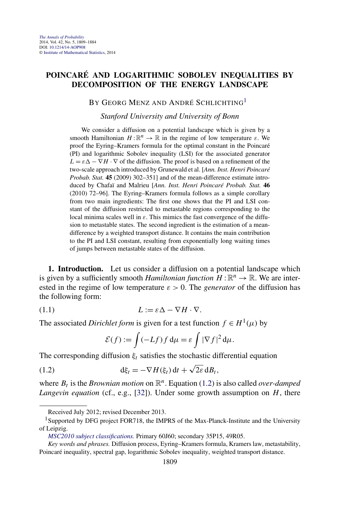## <span id="page-0-0"></span>**POINCARÉ AND LOGARITHMIC SOBOLEV INEQUALITIES BY DECOMPOSITION OF THE ENERGY LANDSCAPE**

## BY GEORG MENZ AND ANDRÉ SCHLICHTING<sup>1</sup>

## *Stanford University and University of Bonn*

We consider a diffusion on a potential landscape which is given by a smooth Hamiltonian  $H: \mathbb{R}^n \to \mathbb{R}$  in the regime of low temperature  $\varepsilon$ . We proof the Eyring–Kramers formula for the optimal constant in the Poincaré (PI) and logarithmic Sobolev inequality (LSI) for the associated generator  $L = \varepsilon \Delta - \nabla H \cdot \nabla$  of the diffusion. The proof is based on a refinement of the two-scale approach introduced by Grunewald et al. [*Ann. Inst. Henri Poincaré Probab. Stat.* **45** (2009) 302–351] and of the mean-difference estimate introduced by Chafaï and Malrieu [*Ann. Inst. Henri Poincaré Probab. Stat.* **46** (2010) 72–96]. The Eyring–Kramers formula follows as a simple corollary from two main ingredients: The first one shows that the PI and LSI constant of the diffusion restricted to metastable regions corresponding to the local minima scales well in *ε*. This mimics the fast convergence of the diffusion to metastable states. The second ingredient is the estimation of a meandifference by a weighted transport distance. It contains the main contribution to the PI and LSI constant, resulting from exponentially long waiting times of jumps between metastable states of the diffusion.

**1. Introduction.** Let us consider a diffusion on a potential landscape which is given by a sufficiently smooth *Hamiltonian function*  $H : \mathbb{R}^n \to \mathbb{R}$ . We are interested in the regime of low temperature  $\varepsilon > 0$ . The *generator* of the diffusion has the following form:

$$
(1.1) \tL := \varepsilon \Delta - \nabla H \cdot \nabla.
$$

The associated *Dirichlet form* is given for a test function  $f \in H^1(\mu)$  by

$$
\mathcal{E}(f) := \int (-Lf) f \, \mathrm{d}\mu = \varepsilon \int |\nabla f|^2 \, \mathrm{d}\mu.
$$

The corresponding diffusion  $\xi_t$  satisfies the stochastic differential equation

(1.2) 
$$
d\xi_t = -\nabla H(\xi_t) dt + \sqrt{2\varepsilon} dB_t,
$$

where  $B_t$  is the *Brownian motion* on  $\mathbb{R}^n$ . Equation (1.2) is also called *over-damped Langevin equation* (cf., e.g., [\[32\]](#page-74-0)). Under some growth assumption on *H*, there

Received July 2012; revised December 2013.

<sup>&</sup>lt;sup>1</sup>Supported by DFG project FOR718, the IMPRS of the Max-Planck-Institute and the University of Leipzig.

*[MSC2010 subject classifications.](http://www.ams.org/mathscinet/msc/msc2010.html)* Primary 60J60; secondary 35P15, 49R05.

*Key words and phrases.* Diffusion process, Eyring–Kramers formula, Kramers law, metastability, Poincaré inequality, spectral gap, logarithmic Sobolev inequality, weighted transport distance.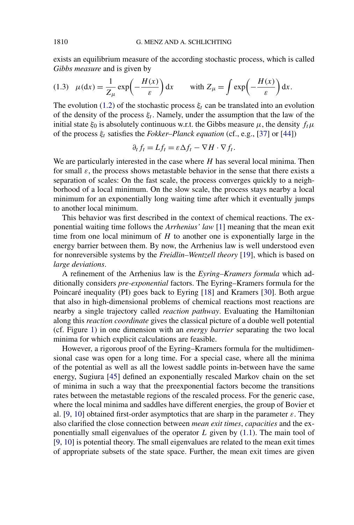exists an equilibrium measure of the according stochastic process, which is called *Gibbs measure* and is given by

(1.3) 
$$
\mu(\mathrm{d}x) = \frac{1}{Z_{\mu}} \exp\left(-\frac{H(x)}{\varepsilon}\right) \mathrm{d}x
$$
 with  $Z_{\mu} = \int \exp\left(-\frac{H(x)}{\varepsilon}\right) \mathrm{d}x$ .

The evolution [\(1.2\)](#page-0-0) of the stochastic process  $\xi_t$  can be translated into an evolution of the density of the process  $\xi_t$ . Namely, under the assumption that the law of the initial state  $\xi_0$  is absolutely continuous w.r.t. the Gibbs measure  $\mu$ , the density  $f_t\mu$ of the process *ξt* satisfies the *Fokker–Planck equation* (cf., e.g., [\[37\]](#page-74-0) or [\[44\]](#page-75-0))

$$
\partial_t f_t = Lf_t = \varepsilon \Delta f_t - \nabla H \cdot \nabla f_t.
$$

We are particularly interested in the case where *H* has several local minima. Then for small  $\varepsilon$ , the process shows metastable behavior in the sense that there exists a separation of scales: On the fast scale, the process converges quickly to a neighborhood of a local minimum. On the slow scale, the process stays nearby a local minimum for an exponentially long waiting time after which it eventually jumps to another local minimum.

This behavior was first described in the context of chemical reactions. The exponential waiting time follows the *Arrhenius' law* [\[1\]](#page-73-0) meaning that the mean exit time from one local minimum of *H* to another one is exponentially large in the energy barrier between them. By now, the Arrhenius law is well understood even for nonreversible systems by the *Freidlin–Wentzell theory* [\[19\]](#page-73-0), which is based on *large deviations*.

A refinement of the Arrhenius law is the *Eyring–Kramers formula* which additionally considers *pre-exponential* factors. The Eyring–Kramers formula for the Poincaré inequality (PI) goes back to Eyring [\[18\]](#page-73-0) and Kramers [\[30\]](#page-74-0). Both argue that also in high-dimensional problems of chemical reactions most reactions are nearby a single trajectory called *reaction pathway*. Evaluating the Hamiltonian along this *reaction coordinate* gives the classical picture of a double well potential (cf. Figure [1\)](#page-2-0) in one dimension with an *energy barrier* separating the two local minima for which explicit calculations are feasible.

However, a rigorous proof of the Eyring–Kramers formula for the multidimensional case was open for a long time. For a special case, where all the minima of the potential as well as all the lowest saddle points in-between have the same energy, Sugiura [\[45\]](#page-75-0) defined an exponentially rescaled Markov chain on the set of minima in such a way that the preexponential factors become the transitions rates between the metastable regions of the rescaled process. For the generic case, where the local minima and saddles have different energies, the group of Bovier et al. [\[9,](#page-73-0) [10\]](#page-73-0) obtained first-order asymptotics that are sharp in the parameter  $\varepsilon$ . They also clarified the close connection between *mean exit times*, *capacities* and the exponentially small eigenvalues of the operator *L* given by [\(1.1\)](#page-0-0). The main tool of [\[9,](#page-73-0) [10\]](#page-73-0) is potential theory. The small eigenvalues are related to the mean exit times of appropriate subsets of the state space. Further, the mean exit times are given

<span id="page-1-0"></span>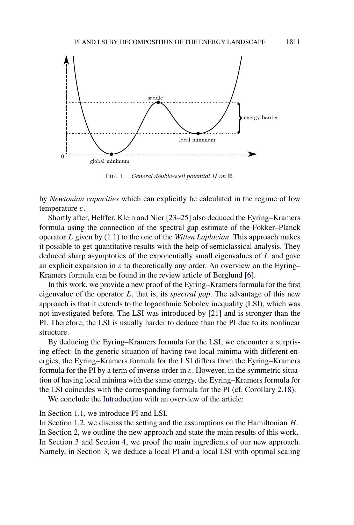<span id="page-2-0"></span>

FIG. 1. *General double-well potential H on* R.

by *Newtonian capacities* which can explicitly be calculated in the regime of low temperature *ε*.

Shortly after, Helffer, Klein and Nier [\[23–25\]](#page-74-0) also deduced the Eyring–Kramers formula using the connection of the spectral gap estimate of the Fokker–Planck operator *L* given by [\(1.1\)](#page-0-0) to the one of the *Witten Laplacian*. This approach makes it possible to get quantitative results with the help of semiclassical analysis. They deduced sharp asymptotics of the exponentially small eigenvalues of *L* and gave an explicit expansion in  $\varepsilon$  to theoretically any order. An overview on the Eyring– Kramers formula can be found in the review article of Berglund [\[6\]](#page-73-0).

In this work, we provide a new proof of the Eyring–Kramers formula for the first eigenvalue of the operator *L*, that is, its *spectral gap*. The advantage of this new approach is that it extends to the logarithmic Sobolev inequality (LSI), which was not investigated before. The LSI was introduced by [\[21\]](#page-73-0) and is stronger than the PI. Therefore, the LSI is usually harder to deduce than the PI due to its nonlinear structure.

By deducing the Eyring–Kramers formula for the LSI, we encounter a surprising effect: In the generic situation of having two local minima with different energies, the Eyring–Kramers formula for the LSI differs from the Eyring–Kramers formula for the PI by a term of inverse order in *ε*. However, in the symmetric situation of having local minima with the same energy, the Eyring–Kramers formula for the LSI coincides with the corresponding formula for the PI (cf. Corollary [2.18\)](#page-16-0).

We conclude the [Introduction](#page-0-0) with an overview of the article:

In Section [1.1,](#page-3-0) we introduce PI and LSI.

In Section [1.2,](#page-3-0) we discuss the setting and the assumptions on the Hamiltonian *H*. In Section [2,](#page-5-0) we outline the new approach and state the main results of this work. In Section [3](#page-20-0) and Section [4,](#page-42-0) we proof the main ingredients of our new approach. Namely, in Section [3,](#page-20-0) we deduce a local PI and a local LSI with optimal scaling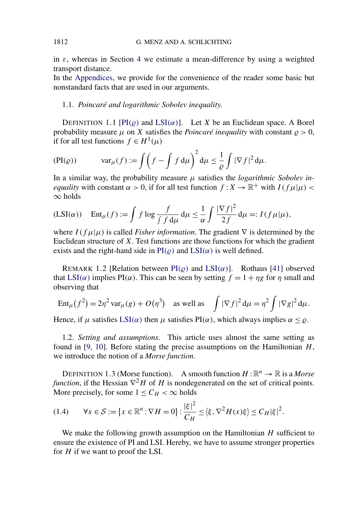in  $\varepsilon$ , whereas in Section [4](#page-42-0) we estimate a mean-difference by using a weighted transport distance.

In the [Appendices,](#page-60-0) we provide for the convenience of the reader some basic but nonstandard facts that are used in our arguments.

## 1.1. *Poincaré and logarithmic Sobolev inequality*.

DEFINITION 1.1 [PI $(\varrho)$  and LSI $(\alpha)$ ]. Let *X* be an Euclidean space. A Borel probability measure  $\mu$  on *X* satisfies the *Poincaré inequality* with constant  $\rho > 0$ , if for all test functions  $f \in H^1(\mu)$ 

$$
(\text{PI}(\varrho)) \quad \text{var}_{\mu}(f) := \int \left(f - \int f \, \mathrm{d}\mu\right)^2 \mathrm{d}\mu \le \frac{1}{\varrho} \int |\nabla f|^2 \, \mathrm{d}\mu.
$$

In a similar way, the probability measure *μ* satisfies the *logarithmic Sobolev inequality* with constant  $\alpha > 0$ , if for all test function  $f: X \to \mathbb{R}^+$  with  $I(f\mu|\mu) < \alpha$ ∞ holds

$$
(\text{LSI}(\alpha)) \quad \text{Ent}_{\mu}(f) := \int f \log \frac{f}{\int f \, \mathrm{d}\mu} \, \mathrm{d}\mu \le \frac{1}{\alpha} \int \frac{|\nabla f|^2}{2f} \, \mathrm{d}\mu =: I(f\,\mu|\mu),
$$

where  $I(f\mu|\mu)$  is called *Fisher information*. The gradient  $\nabla$  is determined by the Euclidean structure of *X*. Test functions are those functions for which the gradient exists and the right-hand side in  $PI(\rho)$  and  $LSI(\alpha)$  is well defined.

REMARK 1.2 [Relation between  $PI(\rho)$  and  $LSI(\alpha)$ ]. Rothaus [\[41\]](#page-74-0) observed that LSI( $\alpha$ ) implies PI( $\alpha$ ). This can be seen by setting  $f = 1 + \eta g$  for  $\eta$  small and observing that

$$
\operatorname{Ent}_{\mu}(f^{2}) = 2\eta^{2} \operatorname{var}_{\mu}(g) + O(\eta^{3}) \quad \text{as well as} \quad \int |\nabla f|^{2} \, \mathrm{d}\mu = \eta^{2} \int |\nabla g|^{2} \, \mathrm{d}\mu.
$$

Hence, if  $\mu$  satisfies  $LSI(\alpha)$  then  $\mu$  satisfies  $PI(\alpha)$ , which always implies  $\alpha \leq \rho$ .

1.2. *Setting and assumptions*. This article uses almost the same setting as found in [\[9,](#page-73-0) [10\]](#page-73-0). Before stating the precise assumptions on the Hamiltonian *H*, we introduce the notion of a *Morse function*.

DEFINITION 1.3 (Morse function). A smooth function  $H : \mathbb{R}^n \to \mathbb{R}$  is a *Morse function*, if the Hessian  $\nabla^2 H$  of *H* is nondegenerated on the set of critical points. More precisely, for some  $1 \leq C_H < \infty$  holds

$$
(1.4) \qquad \forall x \in \mathcal{S} := \{x \in \mathbb{R}^n : \nabla H = 0\} : \frac{|\xi|^2}{C_H} \le \langle \xi, \nabla^2 H(x)\xi \rangle \le C_H |\xi|^2.
$$

We make the following growth assumption on the Hamiltonian *H* sufficient to ensure the existence of PI and LSI. Hereby, we have to assume stronger properties for *H* if we want to proof the LSI.

<span id="page-3-0"></span>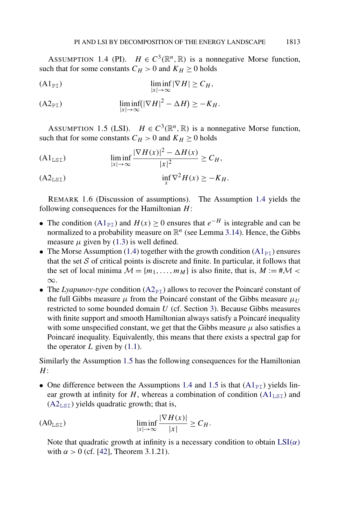<span id="page-4-0"></span>ASSUMPTION 1.4 (PI).  $H \in C^3(\mathbb{R}^n, \mathbb{R})$  is a nonnegative Morse function, such that for some constants  $C_H > 0$  and  $K_H \ge 0$  holds

$$
\liminf_{|x| \to \infty} |\nabla H| \ge C_H,
$$

$$
\liminf_{|x| \to \infty} (|\nabla H|^2 - \Delta H) \ge -K_H.
$$

ASSUMPTION 1.5 (LSI).  $H \in C^3(\mathbb{R}^n, \mathbb{R})$  is a nonnegative Morse function, such that for some constants  $C_H > 0$  and  $K_H \ge 0$  holds

$$
\text{(A1}_{\text{LST}}) \qquad \liminf_{|x| \to \infty} \frac{|\nabla H(x)|^2 - \Delta H(x)}{|x|^2} \ge C_H,
$$

$$
\inf_{x} \nabla^2 H(x) \ge -K_H.
$$

REMARK 1.6 (Discussion of assumptions). The Assumption 1.4 yields the following consequences for the Hamiltonian *H*:

- The condition  $(A1_{PI})$  and  $H(x) \ge 0$  ensures that  $e^{-H}$  is integrable and can be normalized to a probability measure on  $\mathbb{R}^n$  (see Lemma [3.14\)](#page-33-0). Hence, the Gibbs measure  $\mu$  given by [\(1.3\)](#page-1-0) is well defined.
- The Morse Assumption [\(1.4\)](#page-3-0) together with the growth condition ( $A1_{\text{PI}}$ ) ensures that the set  $S$  of critical points is discrete and finite. In particular, it follows that the set of local minima  $M = \{m_1, \ldots, m_M\}$  is also finite, that is,  $M := \# \mathcal{M}$  < ∞.
- The *Lyapunov-type* condition  $(A2_{PT})$  allows to recover the Poincaré constant of the full Gibbs measure  $\mu$  from the Poincaré constant of the Gibbs measure  $\mu_{U}$ restricted to some bounded domain *U* (cf. Section [3\)](#page-20-0). Because Gibbs measures with finite support and smooth Hamiltonian always satisfy a Poincaré inequality with some unspecified constant, we get that the Gibbs measure  $\mu$  also satisfies a Poincaré inequality. Equivalently, this means that there exists a spectral gap for the operator  $L$  given by  $(1.1)$ .

Similarly the Assumption 1.5 has the following consequences for the Hamiltonian *H*:

• One difference between the Assumptions 1.4 and 1.5 is that  $(A1_{\text{PI}})$  yields linear growth at infinity for *H*, whereas a combination of condition  $(A1<sub>LST</sub>)$  and  $(A2<sub>LST</sub>)$  yields quadratic growth; that is,

$$
\text{(A0}_{\text{LST}}) \qquad \qquad \liminf_{|x| \to \infty} \frac{|\nabla H(x)|}{|x|} \ge C_H.
$$

Note that quadratic growth at infinity is a necessary condition to obtain [LSI](#page-3-0)*(α)* with  $\alpha > 0$  (cf. [\[42\]](#page-74-0), Theorem 3.1.21).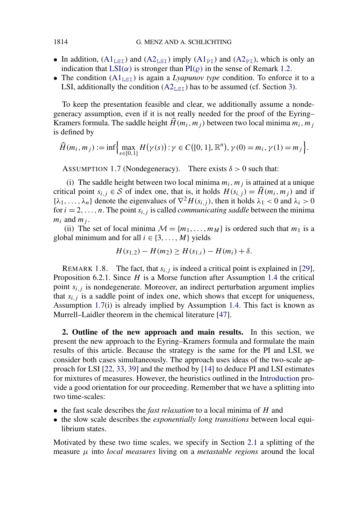- In addition,  $(A1<sub>LSI</sub>)$  $(A1<sub>LSI</sub>)$  and  $(A2<sub>LSI</sub>)$  $(A2<sub>LSI</sub>)$  imply  $(A1<sub>PI</sub>)$  and  $(A2<sub>PI</sub>)$ , which is only an indication that  $LSI(\alpha)$  $LSI(\alpha)$  is stronger than  $PI(\varrho)$  in the sense of Remark [1.2.](#page-3-0)
- The condition  $(Al<sub>LSI</sub>)$  is again a *Lyapunov type* condition. To enforce it to a LSI, additionally the condition  $(A2<sub>LST</sub>)$  $(A2<sub>LST</sub>)$  has to be assumed (cf. Section [3\)](#page-20-0).

To keep the presentation feasible and clear, we additionally assume a nondegeneracy assumption, even if it is not really needed for the proof of the Eyring– Kramers formula. The saddle height  $\hat{H}(m_i, m_j)$  between two local minima  $m_i, m_j$ is defined by

$$
\widehat{H}(m_i, m_j) := \inf \Biggl\{ \max_{s \in [0,1]} H(\gamma(s)) : \gamma \in C([0,1], \mathbb{R}^n), \gamma(0) = m_i, \gamma(1) = m_j \Biggr\}.
$$

ASSUMPTION 1.7 (Nondegeneracy). There exists  $\delta > 0$  such that:

(i) The saddle height between two local minima  $m_i, m_j$  is attained at a unique critical point  $s_{i,j} \in S$  of index one, that is, it holds  $H(s_{i,j}) = \hat{H}(m_i, m_j)$  and if  $\{\lambda_1, \ldots, \lambda_n\}$  denote the eigenvalues of  $\nabla^2 H(s_{i,j})$ , then it holds  $\lambda_1 < 0$  and  $\lambda_i > 0$ for  $i = 2, \ldots, n$ . The point  $s_{i,j}$  is called *communicating saddle* between the minima  $m_i$  and  $m_j$ .

(ii) The set of local minima  $M = \{m_1, \ldots, m_M\}$  is ordered such that  $m_1$  is a global minimum and for all  $i \in \{3, ..., M\}$  yields

$$
H(s_{1,2}) - H(m_2) \ge H(s_{1,i}) - H(m_i) + \delta.
$$

REMARK 1.8. The fact, that  $s_{i,j}$  is indeed a critical point is explained in [\[29\]](#page-74-0), Proposition 6.2.1. Since *H* is a Morse function after Assumption [1.4](#page-4-0) the critical point  $s_{i,j}$  is nondegenerate. Moreover, an indirect perturbation argument implies that  $s_{i,j}$  is a saddle point of index one, which shows that except for uniqueness, Assumption 1.7(i) is already implied by Assumption [1.4.](#page-4-0) This fact is known as Murrell–Laidler theorem in the chemical literature [\[47\]](#page-75-0).

**2. Outline of the new approach and main results.** In this section, we present the new approach to the Eyring–Kramers formula and formulate the main results of this article. Because the strategy is the same for the PI and LSI, we consider both cases simultaneously. The approach uses ideas of the two-scale approach for LSI [\[22,](#page-74-0) [33,](#page-74-0) [39\]](#page-74-0) and the method by [\[14\]](#page-73-0) to deduce PI and LSI estimates for mixtures of measures. However, the heuristics outlined in the [Introduction](#page-0-0) provide a good orientation for our proceeding. Remember that we have a splitting into two time-scales:

- the fast scale describes the *fast relaxation* to a local minima of *H* and
- the slow scale describes the *exponentially long transitions* between local equilibrium states.

Motivated by these two time scales, we specify in Section [2.1](#page-6-0) a splitting of the measure *μ* into *local measures* living on a *metastable regions* around the local

<span id="page-5-0"></span>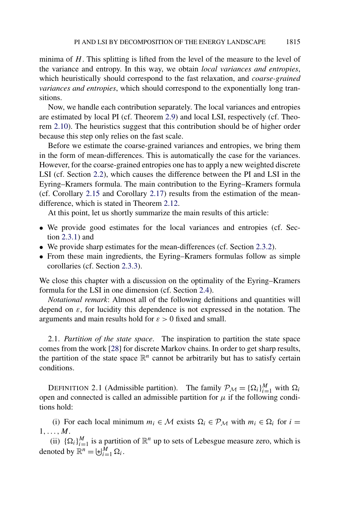<span id="page-6-0"></span>minima of *H*. This splitting is lifted from the level of the measure to the level of the variance and entropy. In this way, we obtain *local variances and entropies*, which heuristically should correspond to the fast relaxation, and *coarse-grained variances and entropies*, which should correspond to the exponentially long transitions.

Now, we handle each contribution separately. The local variances and entropies are estimated by local PI (cf. Theorem [2.9\)](#page-11-0) and local LSI, respectively (cf. Theorem [2.10\)](#page-11-0). The heuristics suggest that this contribution should be of higher order because this step only relies on the fast scale.

Before we estimate the coarse-grained variances and entropies, we bring them in the form of mean-differences. This is automatically the case for the variances. However, for the coarse-grained entropies one has to apply a new weighted discrete LSI (cf. Section [2.2\)](#page-8-0), which causes the difference between the PI and LSI in the Eyring–Kramers formula. The main contribution to the Eyring–Kramers formula (cf. Corollary [2.15](#page-13-0) and Corollary [2.17\)](#page-14-0) results from the estimation of the meandifference, which is stated in Theorem [2.12.](#page-12-0)

At this point, let us shortly summarize the main results of this article:

- We provide good estimates for the local variances and entropies (cf. Section [2.3.1\)](#page-11-0) and
- We provide sharp estimates for the mean-differences (cf. Section [2.3.2\)](#page-12-0).
- From these main ingredients, the Eyring–Kramers formulas follow as simple corollaries (cf. Section [2.3.3\)](#page-13-0).

We close this chapter with a discussion on the optimality of the Eyring–Kramers formula for the LSI in one dimension (cf. Section [2.4\)](#page-18-0).

*Notational remark*: Almost all of the following definitions and quantities will depend on *ε*, for lucidity this dependence is not expressed in the notation. The arguments and main results hold for *ε >* 0 fixed and small.

2.1. *Partition of the state space*. The inspiration to partition the state space comes from the work [\[28\]](#page-74-0) for discrete Markov chains. In order to get sharp results, the partition of the state space  $\mathbb{R}^n$  cannot be arbitrarily but has to satisfy certain conditions.

DEFINITION 2.1 (Admissible partition). The family  $\mathcal{P}_{\mathcal{M}} = {\Omega_i}_{i=1}^M$  with  $\Omega_i$ open and connected is called an admissible partition for  $\mu$  if the following conditions hold:

(i) For each local minimum  $m_i \in \mathcal{M}$  exists  $\Omega_i \in \mathcal{P}_\mathcal{M}$  with  $m_i \in \Omega_i$  for  $i =$ 1*,...,M*.

(ii)  $\{\Omega_i\}_{i=1}^M$  is a partition of  $\mathbb{R}^n$  up to sets of Lebesgue measure zero, which is denoted by  $\mathbb{R}^n = \biguplus_{i=1}^M \Omega_i$ .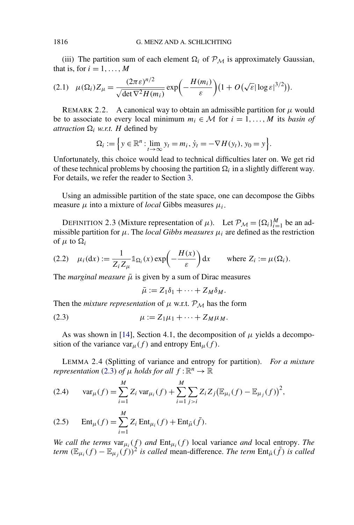<span id="page-7-0"></span>(iii) The partition sum of each element  $\Omega_i$  of  $\mathcal{P}_M$  is approximately Gaussian, that is, for  $i = 1, \ldots, M$ 

$$
(2.1)\quad \mu(\Omega_i)Z_{\mu} = \frac{(2\pi\epsilon)^{n/2}}{\sqrt{\det \nabla^2 H(m_i)}}\exp\biggl(-\frac{H(m_i)}{\epsilon}\biggr)(1+O(\sqrt{\epsilon}|\log\epsilon|^{3/2})).
$$

REMARK 2.2. A canonical way to obtain an admissible partition for  $\mu$  would be to associate to every local minimum  $m_i \in \mathcal{M}$  for  $i = 1, \ldots, M$  its *basin of attraction*  $\Omega_i$  *w.r.t. H* defined by

$$
\Omega_i := \Big\{ y \in \mathbb{R}^n : \lim_{t \to \infty} y_t = m_i, \, \dot{y}_t = -\nabla H(y_t), \, y_0 = y \Big\}.
$$

Unfortunately, this choice would lead to technical difficulties later on. We get rid of these technical problems by choosing the partition  $\Omega_i$  in a slightly different way. For details, we refer the reader to Section [3.](#page-20-0)

Using an admissible partition of the state space, one can decompose the Gibbs measure  $\mu$  into a mixture of *local* Gibbs measures  $\mu_i$ .

DEFINITION 2.3 (Mixture representation of  $\mu$ ). Let  $\mathcal{P}_{\mathcal{M}} = {\{\Omega_i\}}_{i=1}^M$  be an admissible partition for  $\mu$ . The *local Gibbs measures*  $\mu_i$  are defined as the restriction of  $\mu$  to  $\Omega_i$ 

(2.2) 
$$
\mu_i(\mathrm{d}x) := \frac{1}{Z_i Z_\mu} \mathbb{1}_{\Omega_i}(x) \exp\left(-\frac{H(x)}{\varepsilon}\right) \mathrm{d}x
$$
 where  $Z_i := \mu(\Omega_i)$ .

The *marginal measure*  $\bar{\mu}$  is given by a sum of Dirac measures

$$
\bar{\mu} := Z_1 \delta_1 + \cdots + Z_M \delta_M.
$$

Then the *mixture representation* of  $\mu$  w.r.t.  $\mathcal{P}_M$  has the form

$$
\mu := Z_1 \mu_1 + \cdots + Z_M \mu_M.
$$

As was shown in [\[14\]](#page-73-0), Section 4.1, the decomposition of  $\mu$  yields a decomposition of the variance var<sub>*μ*</sub>(*f*) and entropy  $Ent_{\mu}(f)$ .

LEMMA 2.4 (Splitting of variance and entropy for partition). *For a mixture representation* (2.3) *of*  $\mu$  *holds for all*  $f : \mathbb{R}^n \to \mathbb{R}$ 

(2.4) 
$$
\text{var}_{\mu}(f) = \sum_{i=1}^{M} Z_i \text{var}_{\mu_i}(f) + \sum_{i=1}^{M} \sum_{j>i} Z_i Z_j (\mathbb{E}_{\mu_i}(f) - \mathbb{E}_{\mu_j}(f))^2,
$$

(2.5) 
$$
\text{Ent}_{\mu}(f) = \sum_{i=1} Z_i \text{Ent}_{\mu_i}(f) + \text{Ent}_{\bar{\mu}}(\bar{f}).
$$

*We call the terms*  $var_{\mu_i}(f)$  *and*  $Ent_{\mu_i}(f)$  local variance *and* local entropy. The *term*  $(\mathbb{E}_{\mu_i}(f) - \mathbb{E}_{\mu_i}(f))^2$  *is called* mean-difference. The term  $\text{Ent}_{\bar{\mu}}(\bar{f})$  *is called*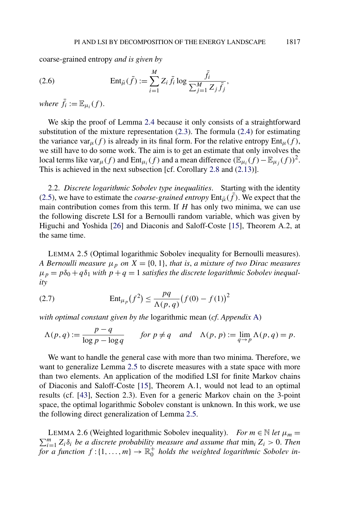<span id="page-8-0"></span>coarse-grained entropy *and is given by*

(2.6) 
$$
\operatorname{Ent}_{\bar{\mu}}(\bar{f}) := \sum_{i=1}^{M} Z_i \bar{f}_i \log \frac{\bar{f}_i}{\sum_{j=1}^{M} Z_j \bar{f}_j},
$$

*where*  $\bar{f}_i := \mathbb{E}_{\mu_i}(f)$ .

We skip the proof of Lemma [2.4](#page-7-0) because it only consists of a straightforward substitution of the mixture representation [\(2.3\)](#page-7-0). The formula [\(2.4\)](#page-7-0) for estimating the variance var<sub>*μ*</sub>(*f*) is already in its final form. For the relative entropy  $Ent<sub>µ</sub>(f)$ , we still have to do some work. The aim is to get an estimate that only involves the local terms like var<sub>μ</sub>(f) and Ent<sub>μi</sub>(f) and a mean difference  $(\mathbb{E}_{\mu}f) - \mathbb{E}_{\mu}f)$ <sup>2</sup>. This is achieved in the next subsection [cf. Corollary [2.8](#page-11-0) and [\(2.13\)](#page-11-0)].

2.2. *Discrete logarithmic Sobolev type inequalities*. Starting with the identity [\(2.5\)](#page-7-0), we have to estimate the *coarse-grained entropy*  $Ent_{\bar{u}}(f)$ . We expect that the main contribution comes from this term. If *H* has only two minima, we can use the following discrete LSI for a Bernoulli random variable, which was given by Higuchi and Yoshida [\[26\]](#page-74-0) and Diaconis and Saloff-Coste [\[15\]](#page-73-0), Theorem A.2, at the same time.

LEMMA 2.5 (Optimal logarithmic Sobolev inequality for Bernoulli measures). *A Bernoulli measure*  $\mu_p$  *on*  $X = \{0, 1\}$ *, that is, a mixture of two Dirac measures*  $\mu_p = p\delta_0 + q\delta_1$  *with*  $p + q = 1$  *satisfies the discrete logarithmic Sobolev inequality*

(2.7) 
$$
\text{Ent}_{\mu_p}(f^2) \le \frac{pq}{\Lambda(p,q)} (f(0) - f(1))^2
$$

*with optimal constant given by the* logarithmic mean (*cf*. *Appendix* [A\)](#page-60-0)

$$
\Lambda(p,q) := \frac{p-q}{\log p - \log q} \qquad \text{for } p \neq q \quad \text{and} \quad \Lambda(p,p) := \lim_{q \to p} \Lambda(p,q) = p.
$$

We want to handle the general case with more than two minima. Therefore, we want to generalize Lemma 2.5 to discrete measures with a state space with more than two elements. An application of the modified LSI for finite Markov chains of Diaconis and Saloff-Coste [\[15\]](#page-73-0), Theorem A.1, would not lead to an optimal results (cf. [\[43\]](#page-75-0), Section 2.3). Even for a generic Markov chain on the 3-point space, the optimal logarithmic Sobolev constant is unknown. In this work, we use the following direct generalization of Lemma 2.5.

LEMMA 2.6 (Weighted logarithmic Sobolev inequality). *For*  $m \in \mathbb{N}$  *let*  $\mu_m =$  $\sum_{i=1}^{m} Z_i \delta_i$  *be a discrete probability measure and assume that*  $\min_i Z_i > 0$ . *Then*  $f_i = \{1, \ldots, m\}$   $\rightarrow \mathbb{R}^+_0$  *holds the weighted logarithmic Sobolev in*-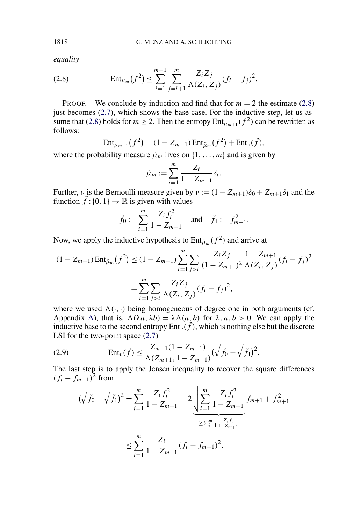*equality*

(2.8) 
$$
\operatorname{Ent}_{\mu_m}(f^2) \leq \sum_{i=1}^{m-1} \sum_{j=i+1}^m \frac{Z_i Z_j}{\Lambda(Z_i, Z_j)} (f_i - f_j)^2.
$$

**PROOF.** We conclude by induction and find that for  $m = 2$  the estimate (2.8) just becomes [\(2.7\)](#page-8-0), which shows the base case. For the inductive step, let us assume that (2.8) holds for  $m \ge 2$ . Then the entropy  $Ent_{\mu_{m+1}}(f^2)$  can be rewritten as follows:

$$
Ent_{\mu_{m+1}}(f^2) = (1 - Z_{m+1}) Ent_{\tilde{\mu}_m}(f^2) + Ent_{\nu}(\tilde{f}),
$$

where the probability measure  $\tilde{\mu}_m$  lives on  $\{1, \ldots, m\}$  and is given by

$$
\tilde{\mu}_m := \sum_{i=1}^m \frac{Z_i}{1 - Z_{m+1}} \delta_i.
$$

Further, *ν* is the Bernoulli measure given by  $v := (1 - Z_{m+1})\delta_0 + Z_{m+1}\delta_1$  and the function  $\tilde{f}$  : {0, 1}  $\rightarrow \mathbb{R}$  is given with values

$$
\tilde{f}_0 := \sum_{i=1}^m \frac{Z_i f_i^2}{1 - Z_{m+1}}
$$
 and  $\tilde{f}_1 := f_{m+1}^2$ .

Now, we apply the inductive hypothesis to  $Ent_{\tilde{\mu}_m}(f^2)$  and arrive at

$$
(1 - Z_{m+1}) \operatorname{Ent}_{\tilde{\mu}_m}(f^2) \le (1 - Z_{m+1}) \sum_{i=1}^m \sum_{j>i} \frac{Z_i Z_j}{(1 - Z_{m+1})^2} \frac{1 - Z_{m+1}}{\Lambda(Z_i, Z_j)} (f_i - f_j)^2
$$

$$
= \sum_{i=1}^m \sum_{j>i} \frac{Z_i Z_j}{\Lambda(Z_i, Z_j)} (f_i - f_j)^2,
$$

where we used  $\Lambda(\cdot, \cdot)$  being homogeneous of degree one in both arguments (cf. Appendix [A\)](#page-60-0), that is,  $\Lambda(\lambda a, \lambda b) = \lambda \Lambda(a, b)$  for  $\lambda, a, b > 0$ . We can apply the inductive base to the second entropy  $Ent_v(\tilde{f})$ , which is nothing else but the discrete LSI for the two-point space  $(2.7)$ 

(2.9) 
$$
\operatorname{Ent}_{\nu}(\tilde{f}) \leq \frac{Z_{m+1}(1 - Z_{m+1})}{\Lambda(Z_{m+1}, 1 - Z_{m+1})} \left(\sqrt{\tilde{f}_0} - \sqrt{\tilde{f}_1}\right)^2.
$$

The last step is to apply the Jensen inequality to recover the square differences  $(f_i - f_{m+1})^2$  from

$$
(\sqrt{\tilde{f}_0} - \sqrt{\tilde{f}_1})^2 = \sum_{i=1}^m \frac{Z_i f_i^2}{1 - Z_{m+1}} - 2 \underbrace{\sqrt{\sum_{i=1}^m \frac{Z_i f_i^2}{1 - Z_{m+1}}}}_{\geq \sum_{i=1}^m \frac{Z_i f_i}{1 - Z_{m+1}}}
$$
  

$$
\leq \sum_{i=1}^m \frac{Z_i}{1 - Z_{m+1}} (f_i - f_{m+1})^2.
$$

<span id="page-9-0"></span>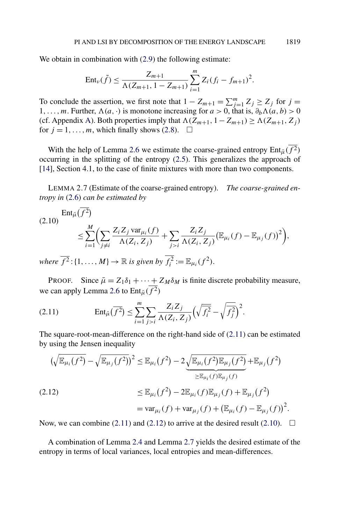We obtain in combination with  $(2.9)$  the following estimate:

$$
Ent_{\nu}(\tilde{f}) \leq \frac{Z_{m+1}}{\Lambda(Z_{m+1}, 1 - Z_{m+1})} \sum_{i=1}^{m} Z_i (f_i - f_{m+1})^2.
$$

To conclude the assertion, we first note that  $1 - Z_{m+1} = \sum_{j=1}^{m} Z_j \ge Z_j$  for  $j =$ 1,...,m. Further,  $\Lambda(a, \cdot)$  is monotone increasing for  $a > 0$ , that is,  $\partial_b \Lambda(a, b) > 0$ (cf. Appendix [A\)](#page-60-0). Both properties imply that  $\Lambda$ ( $Z_{m+1}$ ,  $1 - Z_{m+1}$ ) ≥  $\Lambda$ ( $Z_{m+1}$ ,  $Z_i$ ) for  $j = 1, ..., m$ , which finally shows [\(2.8\)](#page-9-0).  $\Box$ 

With the help of Lemma [2.6](#page-8-0) we estimate the coarse-grained entropy  $Ent_{\bar{u}}(\overline{f^2})$ occurring in the splitting of the entropy [\(2.5\)](#page-7-0). This generalizes the approach of [\[14\]](#page-73-0), Section 4.1, to the case of finite mixtures with more than two components.

LEMMA 2.7 (Estimate of the coarse-grained entropy). *The coarse-grained entropy in* [\(2.6\)](#page-8-0) *can be estimated by*

$$
(2.10) \quad \text{Ent}_{\bar{\mu}}(f^2) \le \sum_{i=1}^{M} \Biggl( \sum_{j \neq i} \frac{Z_i Z_j \, \text{var}_{\mu_i}(f)}{\Lambda(Z_i, Z_j)} + \sum_{j>i} \frac{Z_i Z_j}{\Lambda(Z_i, Z_j)} \bigl( \mathbb{E}_{\mu_i}(f) - \mathbb{E}_{\mu_j}(f) \bigr)^2 \Biggr),
$$
\n
$$
\text{where } \overline{f^2} \cdot \{1, \quad M\} \to \mathbb{R} \text{ is given by } \overline{f^2} := \mathbb{E}_{\mu_i}(f^2).
$$

*where*  $\overline{f^2}$ : {1, ..., *M*}  $\rightarrow \mathbb{R}$  *is given by*  $f_i^2 := \mathbb{E}_{\mu_i}(f^2)$ .

PROOF. Since  $\bar{\mu} = Z_1 \delta_1 + \cdots + Z_M \delta_M$  is finite discrete probability measure, we can apply Lemma [2.6](#page-8-0) to  $Ent_{\bar{u}}(\overline{f^2})$ 

$$
(2.11) \qquad \operatorname{Ent}_{\bar{\mu}}(\overline{f^2}) \le \sum_{i=1}^m \sum_{j>i} \frac{Z_i Z_j}{\Lambda(Z_i, Z_j)} \Big(\sqrt{\overline{f_i^2}} - \sqrt{\overline{f_j^2}}\Big)^2.
$$

The square-root-mean-difference on the right-hand side of (2.11) can be estimated by using the Jensen inequality

$$
(\sqrt{\mathbb{E}_{\mu_i}(f^2)} - \sqrt{\mathbb{E}_{\mu_j}(f^2)})^2 \leq \mathbb{E}_{\mu_i}(f^2) - 2\underbrace{\sqrt{\mathbb{E}_{\mu_i}(f^2)\mathbb{E}_{\mu_j}(f^2)}}_{\geq \mathbb{E}_{\mu_i}(f)\mathbb{E}_{\mu_j}(f)} + \mathbb{E}_{\mu_j}(f^2)
$$
\n
$$
\leq \mathbb{E}_{\mu_i}(f^2) - 2\mathbb{E}_{\mu_i}(f)\mathbb{E}_{\mu_j}(f) + \mathbb{E}_{\mu_j}(f^2)
$$
\n
$$
= \text{var}_{\mu_i}(f) + \text{var}_{\mu_j}(f) + (\mathbb{E}_{\mu_i}(f) - \mathbb{E}_{\mu_j}(f))^2.
$$

Now, we can combine (2.11) and (2.12) to arrive at the desired result (2.10).  $\Box$ 

A combination of Lemma [2.4](#page-7-0) and Lemma 2.7 yields the desired estimate of the entropy in terms of local variances, local entropies and mean-differences.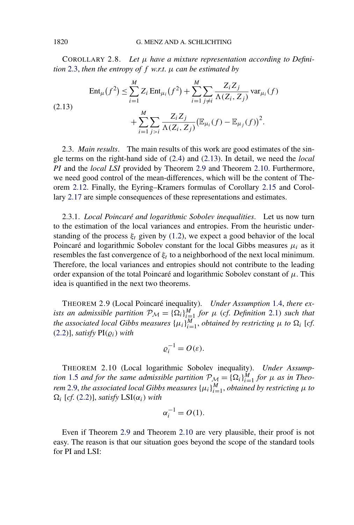<span id="page-11-0"></span>COROLLARY 2.8. *Let μ have a mixture representation according to Definition* [2.3,](#page-7-0) *then the entropy of f w*.*r*.*t*. *μ can be estimated by*

(2.13) 
$$
\operatorname{Ent}_{\mu}(f^{2}) \leq \sum_{i=1}^{M} Z_{i} \operatorname{Ent}_{\mu_{i}}(f^{2}) + \sum_{i=1}^{M} \sum_{j \neq i} \frac{Z_{i} Z_{j}}{\Lambda(Z_{i}, Z_{j})} \operatorname{var}_{\mu_{i}}(f) + \sum_{i=1}^{M} \sum_{j > i} \frac{Z_{i} Z_{j}}{\Lambda(Z_{i}, Z_{j})} (\mathbb{E}_{\mu_{i}}(f) - \mathbb{E}_{\mu_{j}}(f))^{2}.
$$

2.3. *Main results*. The main results of this work are good estimates of the single terms on the right-hand side of [\(2.4\)](#page-7-0) and (2.13). In detail, we need the *local PI* and the *local LSI* provided by Theorem 2.9 and Theorem 2.10. Furthermore, we need good control of the mean-differences, which will be the content of Theorem [2.12.](#page-12-0) Finally, the Eyring–Kramers formulas of Corollary [2.15](#page-13-0) and Corollary [2.17](#page-14-0) are simple consequences of these representations and estimates.

2.3.1. *Local Poincaré and logarithmic Sobolev inequalities*. Let us now turn to the estimation of the local variances and entropies. From the heuristic understanding of the process  $\xi_t$  given by [\(1.2\)](#page-0-0), we expect a good behavior of the local Poincaré and logarithmic Sobolev constant for the local Gibbs measures  $\mu_i$  as it resembles the fast convergence of  $\xi_t$  to a neighborhood of the next local minimum. Therefore, the local variances and entropies should not contribute to the leading order expansion of the total Poincaré and logarithmic Sobolev constant of *μ*. This idea is quantified in the next two theorems.

THEOREM 2.9 (Local Poincaré inequality). *Under Assumption* [1.4,](#page-4-0) *there exists an admissible partition*  $\mathcal{P}_\mathcal{M} = {\Omega_i}_{i=1}^M$  *for*  $\mu$  (*cf. Definition* [2.1\)](#page-6-0) *such that the associated local Gibbs measures*  $\{\mu_i\}_{i=1}^M$ , *obtained by restricting*  $\mu$  *to*  $\Omega_i$  [*cf*.  $(2.2)$ ], *satisfy*  $PI(\rho_i)$  *with* 

$$
\varrho_i^{-1}=O(\varepsilon).
$$

THEOREM 2.10 (Local logarithmic Sobolev inequality). *Under Assumption* [1.5](#page-4-0) *and for the same admissible partition*  $P_M = {\Omega_i}^M_{i=1}$  *for*  $\mu$  *as in Theorem* 2.9, *the associated local Gibbs measures*  $\{\mu_i\}_{i=1}^M$ , *obtained by restricting*  $\mu$  *to*  $\Omega_i$  [*cf.* [\(2.2\)](#page-7-0)], *satisfy* LSI( $\alpha_i$ ) *with* 

$$
\alpha_i^{-1} = O(1).
$$

Even if Theorem 2.9 and Theorem 2.10 are very plausible, their proof is not easy. The reason is that our situation goes beyond the scope of the standard tools for PI and LSI: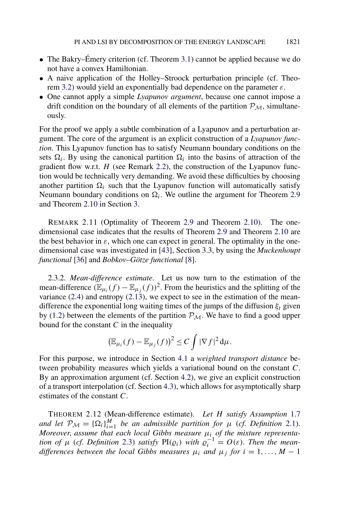- <span id="page-12-0"></span>• The Bakry–Émery criterion (cf. Theorem [3.1\)](#page-20-0) cannot be applied because we do not have a convex Hamiltonian.
- A naive application of the Holley–Stroock perturbation principle (cf. Theorem [3.2\)](#page-21-0) would yield an exponentially bad dependence on the parameter *ε*.
- One cannot apply a simple *Lyapunov argument*, because one cannot impose a drift condition on the boundary of all elements of the partition  $\mathcal{P}_M$ , simultaneously.

For the proof we apply a subtle combination of a Lyapunov and a perturbation argument. The core of the argument is an explicit construction of a *Lyapunov function*. This Lyapunov function has to satisfy Neumann boundary conditions on the sets  $\Omega_i$ . By using the canonical partition  $\Omega_i$  into the basins of attraction of the gradient flow w.r.t. *H* (see Remark [2.2\)](#page-7-0), the construction of the Lyapunov function would be technically very demanding. We avoid these difficulties by choosing another partition  $\Omega_i$  such that the Lyapunov function will automatically satisfy Neumann boundary conditions on  $\Omega_i$ . We outline the argument for Theorem [2.9](#page-11-0) and Theorem [2.10](#page-11-0) in Section [3.](#page-20-0)

REMARK 2.11 (Optimality of Theorem [2.9](#page-11-0) and Theorem [2.10\)](#page-11-0). The onedimensional case indicates that the results of Theorem [2.9](#page-11-0) and Theorem [2.10](#page-11-0) are the best behavior in  $\varepsilon$ , which one can expect in general. The optimality in the onedimensional case was investigated in [\[43\]](#page-75-0), Section 3.3, by using the *Muckenhoupt functional* [\[36\]](#page-74-0) and *Bobkov–Götze functional* [\[8\]](#page-73-0).

2.3.2. *Mean-difference estimate*. Let us now turn to the estimation of the mean-difference  $(\mathbb{E}_{\mu_i}(f) - \mathbb{E}_{\mu_i}(f))^2$ . From the heuristics and the splitting of the variance  $(2.4)$  and entropy  $(2.13)$ , we expect to see in the estimation of the meandifference the exponential long waiting times of the jumps of the diffusion  $\xi_t$  given by [\(1.2\)](#page-0-0) between the elements of the partition  $P_M$ . We have to find a good upper bound for the constant *C* in the inequality

$$
\left(\mathbb{E}_{\mu_i}(f) - \mathbb{E}_{\mu_j}(f)\right)^2 \leq C \int |\nabla f|^2 d\mu.
$$

For this purpose, we introduce in Section [4.1](#page-43-0) a *weighted transport distance* between probability measures which yields a variational bound on the constant *C*. By an approximation argument (cf. Section [4.2\)](#page-45-0), we give an explicit construction of a transport interpolation (cf. Section [4.3\)](#page-47-0), which allows for asymptotically sharp estimates of the constant *C*.

THEOREM 2.12 (Mean-difference estimate). *Let H satisfy Assumption* [1.7](#page-5-0) *and let*  $\mathcal{P}_{\mathcal{M}} = {\Omega_i}_{i=1}^M$  *be an admissible partition for*  $\mu$  (*cf. Definition* [2.1\)](#page-6-0). *Moreover*, *assume that each local Gibbs measure μi of the mixture representation of*  $\mu$  (*cf. Definition* [2.3\)](#page-7-0) *satisfy*  $PI(\varrho_i)$  *with*  $\varrho_i^{-1} = O(\varepsilon)$ *. Then the meandifferences between the local Gibbs measures*  $\mu_i$  *and*  $\mu_j$  *for*  $i = 1, \ldots, M - 1$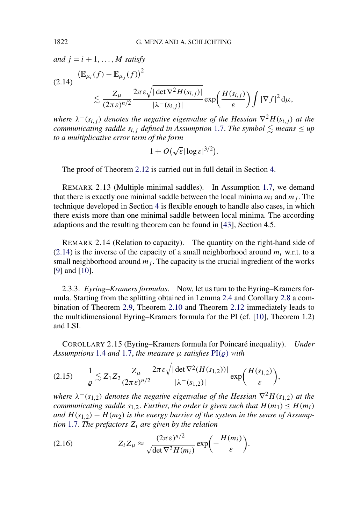<span id="page-13-0"></span>*and*  $j = i + 1, \ldots, M$  *satisfy* 

$$
(2.14) \frac{\left(\mathbb{E}_{\mu_i}(f) - \mathbb{E}_{\mu_j}(f)\right)^2}{\lesssim \frac{Z_{\mu}}{(2\pi\epsilon)^{n/2}} \frac{2\pi\epsilon \sqrt{|\det \nabla^2 H(s_{i,j})|}}{|\lambda^-(s_{i,j})|} \exp\left(\frac{H(s_{i,j})}{\epsilon}\right) \int |\nabla f|^2 d\mu,
$$

*where*  $\lambda^{-}(s_{i,j})$  *denotes the negative eigenvalue of the Hessian*  $\nabla^{2}H(s_{i,j})$  *at the communicating saddle*  $s_{i,j}$  *defined in Assumption [1.7.](#page-5-0) The symbol*  $\lesssim$  *means*  $\leq$  *up to a multiplicative error term of the form*

$$
1 + O(\sqrt{\varepsilon}|\log \varepsilon|^{3/2}).
$$

The proof of Theorem [2.12](#page-12-0) is carried out in full detail in Section [4.](#page-42-0)

REMARK 2.13 (Multiple minimal saddles). In Assumption [1.7,](#page-5-0) we demand that there is exactly one minimal saddle between the local minima  $m_i$  and  $m_j$ . The technique developed in Section [4](#page-42-0) is flexible enough to handle also cases, in which there exists more than one minimal saddle between local minima. The according adaptions and the resulting theorem can be found in [\[43\]](#page-75-0), Section 4.5.

REMARK 2.14 (Relation to capacity). The quantity on the right-hand side of  $(2.14)$  is the inverse of the capacity of a small neighborhood around  $m_i$  w.r.t. to a small neighborhood around  $m_j$ . The capacity is the crucial ingredient of the works [\[9\]](#page-73-0) and [\[10\]](#page-73-0).

2.3.3. *Eyring–Kramers formulas*. Now, let us turn to the Eyring–Kramers formula. Starting from the splitting obtained in Lemma [2.4](#page-7-0) and Corollary [2.8](#page-11-0) a combination of Theorem [2.9,](#page-11-0) Theorem [2.10](#page-11-0) and Theorem [2.12](#page-12-0) immediately leads to the multidimensional Eyring–Kramers formula for the PI (cf. [\[10\]](#page-73-0), Theorem 1.2) and LSI.

COROLLARY 2.15 (Eyring–Kramers formula for Poincaré inequality). *Under Assumptions* [1.4](#page-4-0) *and* [1.7,](#page-5-0) *the measure*  $\mu$  *satisfies*  $PI(\rho)$  *with* 

$$
(2.15) \qquad \frac{1}{\varrho} \lesssim Z_1 Z_2 \frac{Z_\mu}{(2\pi\epsilon)^{n/2}} \frac{2\pi\epsilon \sqrt{|\det \nabla^2(H(s_{1,2}))|}}{|\lambda^-(s_{1,2})|} \exp\bigg(\frac{H(s_{1,2})}{\epsilon}\bigg),
$$

*where*  $\lambda^{-}(s_{1,2})$  *denotes the negative eigenvalue of the Hessian*  $\nabla^{2}H(s_{1,2})$  *at the communicating saddle*  $s_{1,2}$ *. Further, the order is given such that*  $H(m_1) \leq H(m_i)$ *and*  $H(s_{1,2}) - H(m_2)$  *is the energy barrier of the system in the sense of Assumption* [1.7.](#page-5-0) *The prefactors Zi are given by the relation*

(2.16) 
$$
Z_i Z_{\mu} \approx \frac{(2\pi \varepsilon)^{n/2}}{\sqrt{\det \nabla^2 H(m_i)}} \exp\biggl(-\frac{H(m_i)}{\varepsilon}\biggr).
$$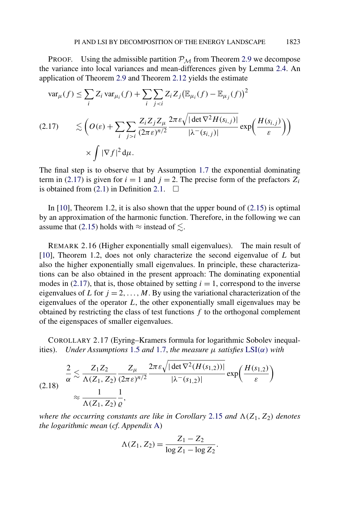<span id="page-14-0"></span>PROOF. Using the admissible partition  $P_M$  from Theorem [2.9](#page-11-0) we decompose the variance into local variances and mean-differences given by Lemma [2.4.](#page-7-0) An application of Theorem [2.9](#page-11-0) and Theorem [2.12](#page-12-0) yields the estimate

$$
\operatorname{var}_{\mu}(f) \leq \sum_{i} Z_{i} \operatorname{var}_{\mu_{i}}(f) + \sum_{i} \sum_{j < i} Z_{i} Z_{j} (\mathbb{E}_{\mu_{i}}(f) - \mathbb{E}_{\mu_{j}}(f))^{2}
$$
\n
$$
(2.17) \qquad \lesssim \left( O(\varepsilon) + \sum_{i} \sum_{j > i} \frac{Z_{i} Z_{j} Z_{\mu}}{(2\pi \varepsilon)^{n/2}} \frac{2\pi \varepsilon \sqrt{|\det \nabla^{2} H(s_{i,j})|}}{|\lambda^{-}(s_{i,j})|} \exp\left(\frac{H(s_{i,j})}{\varepsilon}\right) \right)
$$
\n
$$
\times \int |\nabla f|^{2} d\mu.
$$

The final step is to observe that by Assumption [1.7](#page-5-0) the exponential dominating term in (2.17) is given for  $i = 1$  and  $j = 2$ . The precise form of the prefactors  $Z_i$ is obtained from  $(2.1)$  in Definition [2.1.](#page-6-0)  $\Box$ 

In  $[10]$ , Theorem 1.2, it is also shown that the upper bound of  $(2.15)$  is optimal by an approximation of the harmonic function. Therefore, in the following we can assume that [\(2.15\)](#page-13-0) holds with  $\approx$  instead of  $\leq$ .

REMARK 2.16 (Higher exponentially small eigenvalues). The main result of [\[10\]](#page-73-0), Theorem 1.2, does not only characterize the second eigenvalue of *L* but also the higher exponentially small eigenvalues. In principle, these characterizations can be also obtained in the present approach: The dominating exponential modes in  $(2.17)$ , that is, those obtained by setting  $i = 1$ , correspond to the inverse eigenvalues of *L* for  $j = 2, ..., M$ . By using the variational characterization of the eigenvalues of the operator *L*, the other exponentially small eigenvalues may be obtained by restricting the class of test functions *f* to the orthogonal complement of the eigenspaces of smaller eigenvalues.

COROLLARY 2.17 (Eyring–Kramers formula for logarithmic Sobolev inequalities). *Under Assumptions* [1.5](#page-4-0) *and* [1.7,](#page-5-0) *the measure*  $\mu$  *satisfies*  $LSI(\alpha)$  $LSI(\alpha)$  *with* 

$$
(2.18) \frac{2}{\alpha} \lesssim \frac{Z_1 Z_2}{\Lambda(Z_1, Z_2)} \frac{Z_\mu}{(2\pi\epsilon)^{n/2}} \frac{2\pi\epsilon \sqrt{|\det \nabla^2 (H(s_{1,2}))|}}{|\lambda^-(s_{1,2})|} \exp\left(\frac{H(s_{1,2})}{\epsilon}\right)
$$

$$
\approx \frac{1}{\Lambda(Z_1, Z_2)} \frac{1}{\varrho},
$$

*where the occurring constants are like in Corollary* [2.15](#page-13-0) *and*  $\Lambda$ ( $Z_1$ ,  $Z_2$ ) *denotes the logarithmic mean* (*cf*. *Appendix* [A\)](#page-60-0)

$$
\Lambda(Z_1, Z_2) = \frac{Z_1 - Z_2}{\log Z_1 - \log Z_2}.
$$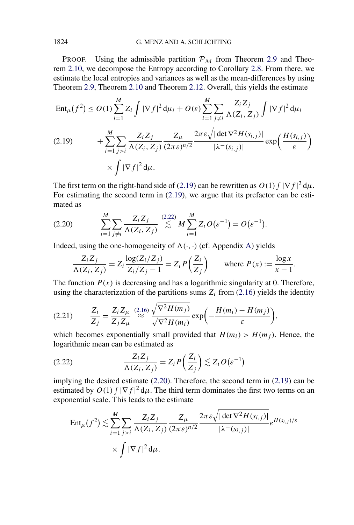<span id="page-15-0"></span>PROOF. Using the admissible partition  $P_M$  from Theorem [2.9](#page-11-0) and Theorem [2.10,](#page-11-0) we decompose the Entropy according to Corollary [2.8.](#page-11-0) From there, we estimate the local entropies and variances as well as the mean-differences by using Theorem [2.9,](#page-11-0) Theorem [2.10](#page-11-0) and Theorem [2.12.](#page-12-0) Overall, this yields the estimate

$$
\operatorname{Ent}_{\mu}(f^{2}) \le O(1) \sum_{i=1}^{M} Z_{i} \int |\nabla f|^{2} d\mu_{i} + O(\varepsilon) \sum_{i=1}^{M} \sum_{j \neq i} \frac{Z_{i} Z_{j}}{\Lambda(Z_{i}, Z_{j})} \int |\nabla f|^{2} d\mu_{i}
$$
\n
$$
(2.19) \qquad + \sum_{i=1}^{M} \sum_{j > i} \frac{Z_{i} Z_{j}}{\Lambda(Z_{i}, Z_{j})} \frac{Z_{\mu}}{(2\pi \varepsilon)^{n/2}} \frac{2\pi \varepsilon \sqrt{|\det \nabla^{2} H(s_{i,j})|}}{|\lambda^{-}(s_{i,j})|} \exp\left(\frac{H(s_{i,j})}{\varepsilon}\right)
$$
\n
$$
\times \int |\nabla f|^{2} d\mu.
$$

The first term on the right-hand side of (2.19) can be rewritten as  $O(1) \int |\nabla f|^2 d\mu$ . For estimating the second term in (2.19), we argue that its prefactor can be estimated as

(2.20) 
$$
\sum_{i=1}^{M} \sum_{j \neq i} \frac{Z_i Z_j}{\Lambda(Z_i, Z_j)} \stackrel{(2.22)}{\lesssim} M \sum_{i=1}^{M} Z_i O(\varepsilon^{-1}) = O(\varepsilon^{-1}).
$$

Indeed, using the one-homogeneity of  $\Lambda(\cdot, \cdot)$  (cf. Appendix [A\)](#page-60-0) yields

$$
\frac{Z_i Z_j}{\Lambda(Z_i, Z_j)} = Z_i \frac{\log(Z_i/Z_j)}{Z_i/Z_j - 1} = Z_i P\left(\frac{Z_i}{Z_j}\right) \quad \text{where } P(x) := \frac{\log x}{x - 1}.
$$

The function  $P(x)$  is decreasing and has a logarithmic singularity at 0. Therefore, using the characterization of the partitions sums  $Z_i$  from [\(2.16\)](#page-13-0) yields the identity

$$
(2.21) \qquad \frac{Z_i}{Z_j} = \frac{Z_i Z_{\mu}}{Z_j Z_{\mu}} \stackrel{(2.16)}{\approx} \frac{\sqrt{\nabla^2 H(m_j)}}{\sqrt{\nabla^2 H(m_i)}} \exp\bigg(-\frac{H(m_i) - H(m_j)}{\varepsilon}\bigg),
$$

which becomes exponentially small provided that  $H(m_i) > H(m_i)$ . Hence, the logarithmic mean can be estimated as

(2.22) 
$$
\frac{Z_i Z_j}{\Lambda(Z_i, Z_j)} = Z_i P\left(\frac{Z_i}{Z_j}\right) \lesssim Z_i O\left(\varepsilon^{-1}\right)
$$

implying the desired estimate (2.20). Therefore, the second term in (2.19) can be estimated by  $O(1) \int |\nabla f|^2 d\mu$ . The third term dominates the first two terms on an exponential scale. This leads to the estimate

$$
\operatorname{Ent}_{\mu}(f^{2}) \lesssim \sum_{i=1}^{M} \sum_{j>i} \frac{Z_{i} Z_{j}}{\Lambda(Z_{i}, Z_{j})} \frac{Z_{\mu}}{(2\pi \varepsilon)^{n/2}} \frac{2\pi \varepsilon \sqrt{|\det \nabla^{2} H(s_{i,j})|}}{|\lambda^{-}(s_{i,j})|} e^{H(s_{i,j})/\varepsilon}
$$
  
 
$$
\times \int |\nabla f|^{2} d\mu.
$$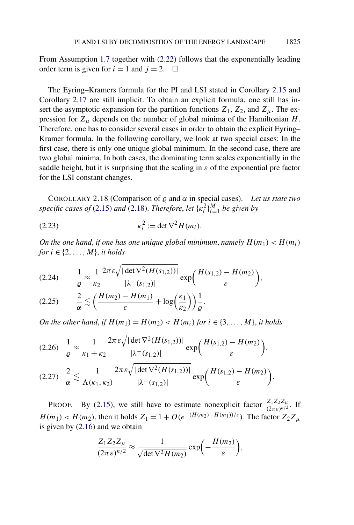<span id="page-16-0"></span>From Assumption [1.7](#page-5-0) together with [\(2.22\)](#page-15-0) follows that the exponentially leading order term is given for  $i = 1$  and  $j = 2$ .  $\Box$ 

The Eyring–Kramers formula for the PI and LSI stated in Corollary [2.15](#page-13-0) and Corollary [2.17](#page-14-0) are still implicit. To obtain an explicit formula, one still has insert the asymptotic expansion for the partition functions  $Z_1$ ,  $Z_2$ , and  $Z_\mu$ . The expression for  $Z_\mu$  depends on the number of global minima of the Hamiltonian  $H$ . Therefore, one has to consider several cases in order to obtain the explicit Eyring– Kramer formula. In the following corollary, we look at two special cases: In the first case, there is only one unique global minimum. In the second case, there are two global minima. In both cases, the dominating term scales exponentially in the saddle height, but it is surprising that the scaling in  $\varepsilon$  of the exponential pre factor for the LSI constant changes.

COROLLARY 2.18 (Comparison of  $\rho$  and  $\alpha$  in special cases). Let us state two *specific cases of* [\(2.15\)](#page-13-0) *and* [\(2.18\)](#page-14-0). *Therefore, let*  $\{ \kappa_i^2 \}_{i=1}^M$  *be given by* 

$$
\kappa_i^2 := \det \nabla^2 H(m_i).
$$

*On the one hand, if one has one unique global minimum, namely*  $H(m_1) < H(m_i)$ *for*  $i \in \{2, \ldots, M\}$ , *it holds* 

$$
(2.24) \qquad \frac{1}{\varrho} \approx \frac{1}{\kappa_2} \frac{2\pi \, \varepsilon \sqrt{|\det \nabla^2 (H(s_{1,2}))|}}{|\lambda^-(s_{1,2})|} \exp\bigg(\frac{H(s_{1,2}) - H(m_2)}{\varepsilon}\bigg),
$$

$$
(2.25) \qquad \frac{2}{\alpha} \lesssim \left(\frac{H(m_2) - H(m_1)}{\varepsilon} + \log\left(\frac{\kappa_1}{\kappa_2}\right)\right) \frac{1}{\varrho}.
$$

*On the other hand, if*  $H(m_1) = H(m_2) < H(m_i)$  *for*  $i \in \{3, ..., M\}$ *, it holds* 

$$
(2.26) \quad \frac{1}{\varrho} \approx \frac{1}{\kappa_1 + \kappa_2} \frac{2\pi \varepsilon \sqrt{|\det \nabla^2 (H(s_{1,2}))|}}{|\lambda^-(s_{1,2})|} \exp\left(\frac{H(s_{1,2}) - H(m_2)}{\varepsilon}\right),
$$
\n
$$
(2.27) \quad \frac{2}{\alpha} \lesssim \frac{1}{\Lambda(\kappa_1, \kappa_2)} \frac{2\pi \varepsilon \sqrt{|\det \nabla^2 (H(s_{1,2}))|}}{|\lambda^-(s_{1,2})|} \exp\left(\frac{H(s_{1,2}) - H(m_2)}{\varepsilon}\right).
$$

**PROOF.** By [\(2.15\)](#page-13-0), we still have to estimate nonexplicit factor  $\frac{Z_1 Z_2 Z_\mu}{(2\pi\epsilon)^{n/2}}$ . If  $H(m_1) < H(m_2)$ , then it holds  $Z_1 = 1 + O(e^{-(H(m_2) - H(m_1))/\epsilon})$ . The factor  $Z_2 Z_u$ is given by [\(2.16\)](#page-13-0) and we obtain

$$
\frac{Z_1 Z_2 Z_{\mu}}{(2\pi \varepsilon)^{n/2}} \approx \frac{1}{\sqrt{\det \nabla^2 H(m_2)}} \exp\biggl(-\frac{H(m_2)}{\varepsilon}\biggr),
$$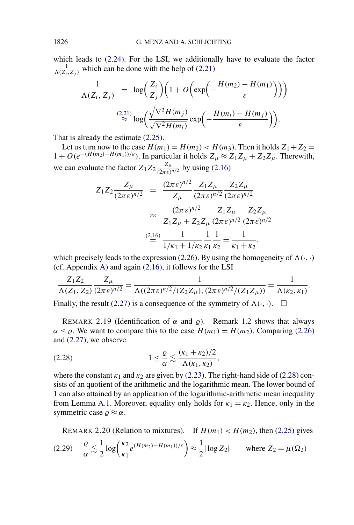<span id="page-17-0"></span>which leads to [\(2.24\)](#page-16-0). For the LSI, we additionally have to evaluate the factor  $\frac{1}{\Lambda(Z_i, Z_j)}$  which can be done with the help of [\(2.21\)](#page-15-0)

$$
\frac{1}{\Lambda(Z_i, Z_j)} = \log \left( \frac{Z_i}{Z_j} \right) \left( 1 + O \left( \exp \left( - \frac{H(m_2) - H(m_1)}{\varepsilon} \right) \right) \right)
$$
  

$$
\approx \log \left( \frac{\sqrt{\nabla^2 H(m_j)}}{\sqrt{\nabla^2 H(m_i)}} \exp \left( - \frac{H(m_i) - H(m_j)}{\varepsilon} \right) \right).
$$

That is already the estimate [\(2.25\)](#page-16-0).

Let us turn now to the case  $H(m_1) = H(m_2) < H(m_3)$ . Then it holds  $Z_1 + Z_2 =$ 1 + *O(e*−*(H(m*2*)*−*H(m*1*))/ε)*. In particular it holds *Zμ* ≈ *Z*1*Zμ* + *Z*2*Zμ*. Therewith, we can evaluate the factor  $Z_1 Z_2 \frac{Z_\mu}{(2\pi\epsilon)^{n/2}}$  by using [\(2.16\)](#page-13-0)

$$
Z_1 Z_2 \frac{Z_\mu}{(2\pi \varepsilon)^{n/2}} = \frac{(2\pi \varepsilon)^{n/2}}{Z_\mu} \frac{Z_1 Z_\mu}{(2\pi \varepsilon)^{n/2}} \frac{Z_2 Z_\mu}{(2\pi \varepsilon)^{n/2}} \n\approx \frac{(2\pi \varepsilon)^{n/2}}{Z_1 Z_\mu + Z_2 Z_\mu} \frac{Z_1 Z_\mu}{(2\pi \varepsilon)^{n/2}} \frac{Z_2 Z_\mu}{(2\pi \varepsilon)^{n/2}} \n\frac{(2.16)}{1/\kappa_1 + 1/\kappa_2} \frac{1}{\kappa_1 + \kappa_2} = \frac{1}{\kappa_1 + \kappa_2},
$$

which precisely leads to the expression [\(2.26\)](#page-16-0). By using the homogeneity of  $\Lambda(\cdot, \cdot)$ (cf. Appendix [A\)](#page-60-0) and again [\(2.16\)](#page-13-0), it follows for the LSI

$$
\frac{Z_1 Z_2}{\Lambda(Z_1, Z_2)} \frac{Z_\mu}{(2\pi \varepsilon)^{n/2}} = \frac{1}{\Lambda((2\pi \varepsilon)^{n/2}/(Z_2 Z_\mu), (2\pi \varepsilon)^{n/2}/(Z_1 Z_\mu))} = \frac{1}{\Lambda(\kappa_2, \kappa_1)}.
$$

Finally, the result [\(2.27\)](#page-16-0) is a consequence of the symmetry of  $\Lambda(\cdot, \cdot)$ .  $\Box$ 

REMARK 2.19 (Identification of  $\alpha$  and  $\rho$ ). Remark [1.2](#page-3-0) shows that always  $\alpha \leq \rho$ . We want to compare this to the case  $H(m_1) = H(m_2)$ . Comparing [\(2.26\)](#page-16-0) and [\(2.27\)](#page-16-0), we observe

$$
(2.28) \t1 \leq \frac{\varrho}{\alpha} \lesssim \frac{(\kappa_1 + \kappa_2)/2}{\Lambda(\kappa_1, \kappa_2)},
$$

where the constant  $\kappa_1$  and  $\kappa_2$  are given by [\(2.23\)](#page-16-0). The right-hand side of (2.28) consists of an quotient of the arithmetic and the logarithmic mean. The lower bound of 1 can also attained by an application of the logarithmic-arithmetic mean inequality from Lemma [A.1.](#page-60-0) Moreover, equality only holds for  $\kappa_1 = \kappa_2$ . Hence, only in the symmetric case  $\rho \approx \alpha$ .

REMARK 2.20 (Relation to mixtures). If  $H(m_1) < H(m_2)$ , then [\(2.25\)](#page-16-0) gives

$$
(2.29) \quad \frac{\varrho}{\alpha} \lesssim \frac{1}{2} \log \left( \frac{\kappa_2}{\kappa_1} e^{(H(m_2) - H(m_1))/\varepsilon} \right) \approx \frac{1}{2} |\log Z_2| \quad \text{where } Z_2 = \mu(\Omega_2)
$$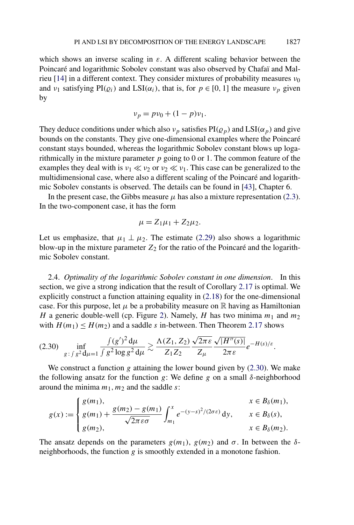<span id="page-18-0"></span>which shows an inverse scaling in  $\varepsilon$ . A different scaling behavior between the Poincaré and logarithmic Sobolev constant was also observed by Chafaï and Malrieu [\[14\]](#page-73-0) in a different context. They consider mixtures of probability measures *ν*<sup>0</sup> and *ν*<sub>1</sub> satisfying  $PI(\varrho_i)$  and  $LSI(\alpha_i)$ , that is, for  $p \in [0, 1]$  the measure *v<sub>p</sub>* given by

$$
\nu_p = p\nu_0 + (1 - p)\nu_1.
$$

They deduce conditions under which also  $v_p$  satisfies  $PI(\rho_p)$  and  $LSI(\alpha_p)$  and give bounds on the constants. They give one-dimensional examples where the Poincaré constant stays bounded, whereas the logarithmic Sobolev constant blows up logarithmically in the mixture parameter *p* going to 0 or 1. The common feature of the examples they deal with is  $v_1 \ll v_2$  or  $v_2 \ll v_1$ . This case can be generalized to the multidimensional case, where also a different scaling of the Poincaré and logarithmic Sobolev constants is observed. The details can be found in [\[43\]](#page-75-0), Chapter 6.

In the present case, the Gibbs measure  $\mu$  has also a mixture representation [\(2.3\)](#page-7-0). In the two-component case, it has the form

$$
\mu = Z_1\mu_1 + Z_2\mu_2.
$$

Let us emphasize, that  $\mu_1 \perp \mu_2$ . The estimate [\(2.29\)](#page-17-0) also shows a logarithmic blow-up in the mixture parameter  $Z_2$  for the ratio of the Poincaré and the logarithmic Sobolev constant.

2.4. *Optimality of the logarithmic Sobolev constant in one dimension*. In this section, we give a strong indication that the result of Corollary [2.17](#page-14-0) is optimal. We explicitly construct a function attaining equality in [\(2.18\)](#page-14-0) for the one-dimensional case. For this purpose, let  $\mu$  be a probability measure on  $\mathbb R$  having as Hamiltonian *H* a generic double-well (cp. Figure [2\)](#page-19-0). Namely, *H* has two minima  $m_1$  and  $m_2$ with  $H(m_1) \leq H(m_2)$  and a saddle *s* in-between. Then Theorem [2.17](#page-14-0) shows

$$
(2.30) \quad \inf_{g\colon \int g^2 d\mu = 1} \frac{\int (g')^2 d\mu}{\int g^2 \log g^2 d\mu} \gtrsim \frac{\Lambda(Z_1, Z_2)}{Z_1 Z_2} \frac{\sqrt{2\pi \varepsilon}}{Z_\mu} \frac{\sqrt{|H''(s)|}}{2\pi \varepsilon} e^{-H(s)/\varepsilon}.
$$

We construct a function *g* attaining the lower bound given by (2.30). We make the following ansatz for the function *g*: We define *g* on a small *δ*-neighborhood around the minima  $m_1, m_2$  and the saddle  $s$ :

$$
g(x) := \begin{cases} g(m_1), & x \in B_\delta(m_1), \\ g(m_1) + \frac{g(m_2) - g(m_1)}{\sqrt{2\pi \varepsilon \sigma}} \int_{m_1}^x e^{-(y-s)^2/(2\sigma \varepsilon)} dy, & x \in B_\delta(s), \\ g(m_2), & x \in B_\delta(m_2). \end{cases}
$$

The ansatz depends on the parameters  $g(m_1)$ ,  $g(m_2)$  and  $\sigma$ . In between the  $\delta$ neighborhoods, the function *g* is smoothly extended in a monotone fashion.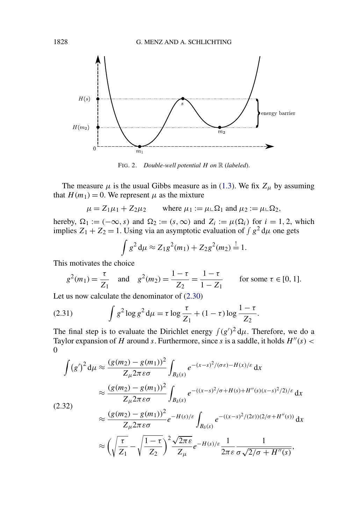<span id="page-19-0"></span>

FIG. 2. *Double-well potential H on* R (*labeled*).

The measure  $\mu$  is the usual Gibbs measure as in [\(1.3\)](#page-1-0). We fix  $Z_{\mu}$  by assuming that  $H(m_1) = 0$ . We represent  $\mu$  as the mixture

$$
\mu = Z_1 \mu_1 + Z_2 \mu_2
$$
 where  $\mu_1 := \mu \Box \Omega_1$  and  $\mu_2 := \mu \Box \Omega_2$ ,

hereby,  $\Omega_1 := (-\infty, s)$  and  $\Omega_2 := (s, \infty)$  and  $Z_i := \mu(\Omega_i)$  for  $i = 1, 2$ , which implies  $Z_1 + Z_2 = 1$ . Using via an asymptotic evaluation of  $\int g^2 d\mu$  one gets

$$
\int g^2 d\mu \approx Z_1 g^2(m_1) + Z_2 g^2(m_2) \stackrel{!}{=} 1.
$$

This motivates the choice

$$
g^2(m_1) = \frac{\tau}{Z_1}
$$
 and  $g^2(m_2) = \frac{1-\tau}{Z_2} = \frac{1-\tau}{1-Z_1}$  for some  $\tau \in [0, 1]$ .

Let us now calculate the denominator of [\(2.30\)](#page-18-0)

(2.31) 
$$
\int g^2 \log g^2 d\mu = \tau \log \frac{\tau}{Z_1} + (1 - \tau) \log \frac{1 - \tau}{Z_2}.
$$

The final step is to evaluate the Dirichlet energy  $\int (g')^2 d\mu$ . Therefore, we do a Taylor expansion of *H* around *s*. Furthermore, since *s* is a saddle, it holds  $H''(s)$  < 0

$$
\int (g')^2 d\mu \approx \frac{(g(m_2) - g(m_1))^2}{Z_{\mu} 2\pi \epsilon \sigma} \int_{B_{\delta}(s)} e^{-(x-s)^2/(\sigma \epsilon) - H(x)/\epsilon} dx
$$
  

$$
\approx \frac{(g(m_2) - g(m_1))^2}{Z_{\mu} 2\pi \epsilon \sigma} \int_{B_{\delta}(s)} e^{-(x-s)^2/\sigma + H(s) + H''(s)(x-s)^2/2)/\epsilon} dx
$$
  
(2.32)  

$$
\approx \frac{(g(m_2) - g(m_1))^2}{Z_{\mu} 2\pi \epsilon \sigma} e^{-H(s)/\epsilon} \int_{B_{\delta}(s)} e^{-(x-s)^2/(2\epsilon))(2/\sigma + H''(s))} dx
$$
  

$$
\approx \left(\sqrt{\frac{\tau}{Z_1}} - \sqrt{\frac{1-\tau}{Z_2}}\right)^2 \frac{\sqrt{2\pi \epsilon}}{Z_{\mu}} e^{-H(s)/\epsilon} \frac{1}{2\pi \epsilon} \frac{1}{\sigma \sqrt{2/\sigma + H''(s)}},
$$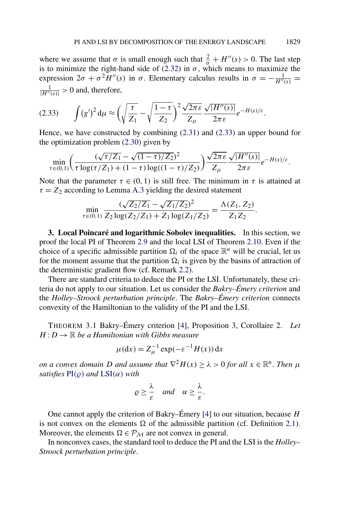<span id="page-20-0"></span>where we assume that  $\sigma$  is small enough such that  $\frac{2}{\sigma} + H''(s) > 0$ . The last step is to minimize the right-hand side of [\(2.32\)](#page-19-0) in  $\sigma$ , which means to maximize the expression  $2\sigma + \sigma^2 H''(s)$  in  $\sigma$ . Elementary calculus results in  $\sigma = -\frac{1}{H''(s)}$  $\frac{1}{|H''(s)|} > 0$  and, therefore,

$$
(2.33) \qquad \int (g')^2 \, \mathrm{d}\mu \approx \left(\sqrt{\frac{\tau}{Z_1}} - \sqrt{\frac{1-\tau}{Z_2}}\right)^2 \frac{\sqrt{2\pi \varepsilon}}{Z_\mu} \frac{\sqrt{|H''(s)|}}{2\pi \varepsilon} e^{-H(s)/\varepsilon}.
$$

Hence, we have constructed by combining [\(2.31\)](#page-19-0) and (2.33) an upper bound for the optimization problem [\(2.30\)](#page-18-0) given by

$$
\min_{\tau\in(0,1)}\left(\frac{(\sqrt{\tau/Z_1}-\sqrt{(1-\tau)/Z_2})^2}{\tau\log(\tau/Z_1)+(1-\tau)\log((1-\tau)/Z_2)}\right)\frac{\sqrt{2\pi\epsilon}}{Z_\mu}\frac{\sqrt{|H''(s)|}}{2\pi\epsilon}e^{-H(s)/\epsilon}.
$$

Note that the parameter  $\tau \in (0, 1)$  is still free. The minimum in  $\tau$  is attained at  $\tau = Z_2$  according to Lemma [A.3](#page-61-0) yielding the desired statement

$$
\min_{\tau \in (0,1)} \frac{(\sqrt{Z_2/Z_1} - \sqrt{Z_1/Z_2})^2}{Z_2 \log(Z_2/Z_1) + Z_1 \log(Z_1/Z_2)} = \frac{\Lambda(Z_1, Z_2)}{Z_1 Z_2}.
$$

**3. Local Poincaré and logarithmic Sobolev inequalities.** In this section, we proof the local PI of Theorem [2.9](#page-11-0) and the local LSI of Theorem [2.10.](#page-11-0) Even if the choice of a specific admissible partition  $\Omega_i$  of the space  $\mathbb{R}^n$  will be crucial, let us for the moment assume that the partition  $\Omega_i$  is given by the basins of attraction of the deterministic gradient flow (cf. Remark [2.2\)](#page-7-0).

There are standard criteria to deduce the PI or the LSI. Unfortunately, these criteria do not apply to our situation. Let us consider the *Bakry–Émery criterion* and the *Holley–Stroock perturbation principle*. The *Bakry–Émery criterion* connects convexity of the Hamiltonian to the validity of the PI and the LSI.

THEOREM 3.1 Bakry–Émery criterion [\[4\]](#page-73-0), Proposition 3, Corollaire 2. *Let*  $H: D \to \mathbb{R}$  *be a Hamiltonian with Gibbs measure* 

$$
\mu(\mathrm{d}x) = Z_{\mu}^{-1} \exp(-\varepsilon^{-1} H(x)) \,\mathrm{d}x
$$

*on a convex domain D and assume that*  $\nabla^2 H(x) \ge \lambda > 0$  *for all*  $x \in \mathbb{R}^n$ . *Then*  $\mu$ *satisfies*  $PI(\rho)$  *and*  $LSI(\alpha)$  $LSI(\alpha)$  *with* 

$$
\varrho \geq \frac{\lambda}{\varepsilon} \quad \text{and} \quad \alpha \geq \frac{\lambda}{\varepsilon}.
$$

One cannot apply the criterion of Bakry–Émery [\[4\]](#page-73-0) to our situation, because *H* is not convex on the elements  $\Omega$  of the admissible partition (cf. Definition [2.1\)](#page-6-0). Moreover, the elements  $\Omega \in \mathcal{P}_M$  are not convex in general.

In nonconvex cases, the standard tool to deduce the PI and the LSI is the *Holley– Stroock perturbation principle*.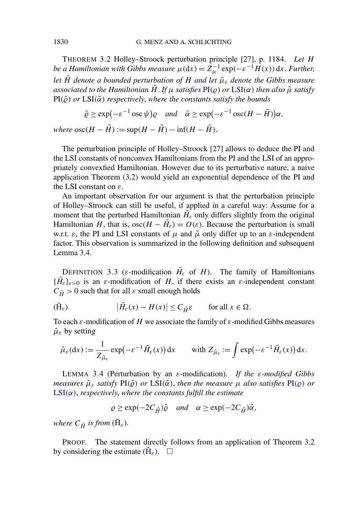<span id="page-21-0"></span>THEOREM 3.2 Holley–Stroock perturbation principle [\[27\]](#page-74-0), p. 1184. *Let H be a Hamiltonian with Gibbs measure*  $\mu(dx) = \tilde{Z}_{\mu}^{-1} \exp(-\varepsilon^{-1} \tilde{H}(x)) dx$ . Further, *let*  $\tilde{H}$  *denote a bounded perturbation of H and let*  $\tilde{\mu}_{\varepsilon}$  *denote the Gibbs measure associated to the Hamiltonian H*. *If*  $\mu$  *satisfies*  $PI(\rho)$  *or*  $LSI(\alpha)$  $LSI(\alpha)$  *then also*  $\tilde{\mu}$  *satisfy*  $PI(\tilde{\varrho})$  *or*  $LSI(\tilde{\alpha})$  *respectively, where the constants satisfy the bounds* 

$$
\tilde{\varrho} \ge \exp(-\varepsilon^{-1} \csc \psi) \varrho
$$
 and  $\tilde{\alpha} \ge \exp(-\varepsilon^{-1} \csc (H - \tilde{H})) \alpha$ ,

*where*  $\operatorname{osc}(H - \tilde{H}) := \sup(H - \tilde{H}) - \inf(H - \tilde{H})$ .

The perturbation principle of Holley–Stroock [\[27\]](#page-74-0) allows to deduce the PI and the LSI constants of nonconvex Hamiltonians from the PI and the LSI of an appropriately convexfied Hamiltonian. However due to its perturbative nature, a naive application Theorem (3.2) would yield an exponential dependence of the PI and the LSI constant on *ε*.

An important observation for our argument is that the perturbation principle of Holley–Stroock can still be useful, if applied in a careful way: Assume for a moment that the perturbed Hamiltonian  $H_{\varepsilon}$  only differs slightly from the original Hamiltonian *H*, that is,  $\csc(H - H_{\varepsilon}) = O(\varepsilon)$ . Because the perturbation is small w.r.t.  $\varepsilon$ , the PI and LSI constants of  $\mu$  and  $\tilde{\mu}$  only differ up to an  $\varepsilon$ -independent factor. This observation is summarized in the following definition and subsequent Lemma 3.4.

DEFINITION 3.3 ( $\varepsilon$ -modification  $H_{\varepsilon}$  of *H*). The family of Hamiltonians  ${\{\tilde{H}_{\varepsilon}\}_{{\varepsilon}>0}}$  is an  ${\varepsilon}$ -modification of *H*, if there exists an  ${\varepsilon}$ -independent constant  $C_{\tilde{H}} > 0$  such that for all  $\varepsilon$  small enough holds

$$
(\tilde{H}_{\varepsilon}) \qquad |\tilde{H}_{\varepsilon}(x) - H(x)| \le C_{\tilde{H}} \varepsilon \qquad \text{for all } x \in \Omega.
$$

To each *ε*-modification of *H* we associate the family of *ε*-modified Gibbs measures  $\tilde{\mu}_{\varepsilon}$  by setting

$$
\tilde{\mu}_{\varepsilon}(\mathrm{d}x):=\frac{1}{Z_{\tilde{\mu}_{\varepsilon}}}\exp(-\varepsilon^{-1}\tilde{H}_{\varepsilon}(x))\,\mathrm{d}x\qquad\text{with }Z_{\tilde{\mu}_{\varepsilon}}:=\int\exp(-\varepsilon^{-1}\tilde{H}_{\varepsilon}(x))\,\mathrm{d}x.
$$

LEMMA 3.4 (Perturbation by an *ε*-modification). *If the ε-modified Gibbs measures*  $\tilde{\mu}_{\varepsilon}$  *satisfy*  $\text{PI}(\tilde{\varrho})$  *or*  $\text{LSI}(\tilde{\alpha})$ *, then the measure*  $\mu$  *also satisfies*  $\text{PI}(\varrho)$  *or* [LSI](#page-3-0)*(α)*, *respectively*, *where the constants fulfill the estimate*

$$
\varrho \ge \exp(-2C_{\tilde{H}})\tilde{\varrho} \quad \text{and} \quad \alpha \ge \exp(-2C_{\tilde{H}})\tilde{\alpha},
$$

*where*  $C_{\tilde{H}}$  *is from* ( $\tilde{H}_{\varepsilon}$ ).

PROOF. The statement directly follows from an application of Theorem 3.2 by considering the estimate  $(\tilde{H}_{\varepsilon})$ .  $\Box$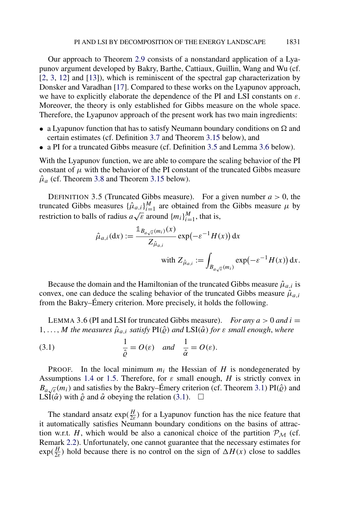<span id="page-22-0"></span>Our approach to Theorem [2.9](#page-11-0) consists of a nonstandard application of a Lyapunov argument developed by Bakry, Barthe, Cattiaux, Guillin, Wang and Wu (cf. [\[2,](#page-73-0) [3,](#page-73-0) [12\]](#page-73-0) and [\[13\]](#page-73-0)), which is reminiscent of the spectral gap characterization by Donsker and Varadhan [\[17\]](#page-73-0). Compared to these works on the Lyapunov approach, we have to explicitly elaborate the dependence of the PI and LSI constants on *ε*. Moreover, the theory is only established for Gibbs measure on the whole space. Therefore, the Lyapunov approach of the present work has two main ingredients:

- a Lyapunov function that has to satisfy Neumann boundary conditions on  $\Omega$  and certain estimates (cf. Definition [3.7](#page-24-0) and Theorem [3.15](#page-37-0) below), and
- a PI for a truncated Gibbs measure (cf. Definition 3.5 and Lemma 3.6 below).

With the Lyapunov function, we are able to compare the scaling behavior of the PI constant of  $\mu$  with the behavior of the PI constant of the truncated Gibbs measure  $\hat{\mu}_a$  (cf. Theorem [3.8](#page-24-0) and Theorem [3.15](#page-37-0) below).

DEFINITION 3.5 (Truncated Gibbs measure). For a given number  $a > 0$ , the truncated Gibbs measures  $\{\hat{\mu}_{a,i}\}_{i=1}^M$  are obtained from the Gibbs measure  $\mu$  by restriction to balls of radius  $a\sqrt{\varepsilon}$  around  $\{m_i\}_{i=1}^M$ , that is,

$$
\hat{\mu}_{a,i}(\mathrm{d}x) := \frac{\mathbb{1}_{B_{a\sqrt{\varepsilon}}(m_i)}(x)}{Z_{\hat{\mu}_{a,i}}} \exp(-\varepsilon^{-1}H(x)) \,\mathrm{d}x
$$
\n
$$
\text{with } Z_{\hat{\mu}_{a,i}} := \int_{B_{a\sqrt{\varepsilon}}(m_i)} \exp(-\varepsilon^{-1}H(x)) \,\mathrm{d}x.
$$

Because the domain and the Hamiltonian of the truncated Gibbs measure  $\hat{\mu}_{a,i}$  is convex, one can deduce the scaling behavior of the truncated Gibbs measure  $\hat{\mu}_{a,i}$ from the Bakry–Émery criterion. More precisely, it holds the following.

LEMMA 3.6 (PI and LSI for truncated Gibbs measure). *For any*  $a > 0$  *and*  $i =$  $1, \ldots, M$  *the measures*  $\hat{\mu}_{a,i}$  *satisfy*  $PI(\hat{\varrho})$  *and*  $LSI(\hat{\alpha})$  *for*  $\varepsilon$  *small enough, where* 

(3.1) 
$$
\frac{1}{\hat{\varrho}} = O(\varepsilon) \quad \text{and} \quad \frac{1}{\hat{\alpha}} = O(\varepsilon).
$$

**PROOF.** In the local minimum  $m_i$  the Hessian of *H* is nondegenerated by Assumptions [1.4](#page-4-0) or [1.5.](#page-4-0) Therefore, for *ε* small enough, *H* is strictly convex in  $B_{a\sqrt{\varepsilon}}(m_i)$  and satisfies by the Bakry–Émery criterion (cf. Theorem [3.1\)](#page-20-0) PI( $\hat{\varrho}$ ) and LSI( $\hat{\alpha}$ ) with  $\hat{\varrho}$  and  $\hat{\alpha}$  obeying the relation (3.1).  $\Box$ 

The standard ansatz  $exp(\frac{H}{2\varepsilon})$  for a Lyapunov function has the nice feature that it automatically satisfies Neumann boundary conditions on the basins of attraction w.r.t. *H*, which would be also a canonical choice of the partition  $P_M$  (cf. Remark [2.2\)](#page-7-0). Unfortunately, one cannot guarantee that the necessary estimates for  $\exp(\frac{H}{2\varepsilon})$  hold because there is no control on the sign of  $\Delta H(x)$  close to saddles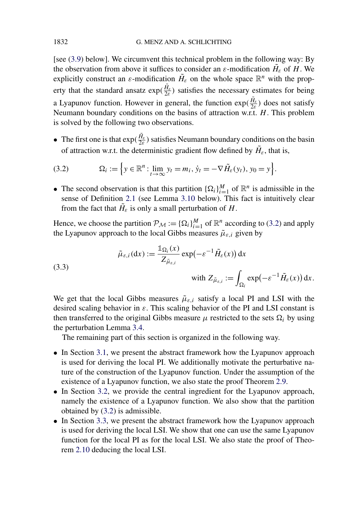<span id="page-23-0"></span>[see [\(3.9\)](#page-25-0) below]. We circumvent this technical problem in the following way: By the observation from above it suffices to consider an  $\varepsilon$ -modification  $H_{\varepsilon}$  of *H*. We explicitly construct an  $\varepsilon$ -modification  $H_{\varepsilon}$  on the whole space  $\mathbb{R}^n$  with the property that the standard ansatz  $\exp(\frac{\tilde{H}_{\varepsilon}}{2\varepsilon})$  satisfies the necessary estimates for being a Lyapunov function. However in general, the function  $\exp(\frac{\tilde{H}_{\varepsilon}}{2\varepsilon})$  does not satisfy Neumann boundary conditions on the basins of attraction w.r.t. *H*. This problem is solved by the following two observations.

• The first one is that  $exp(\frac{\tilde{H}_{\varepsilon}}{2\varepsilon})$  satisfies Neumann boundary conditions on the basin of attraction w.r.t. the deterministic gradient flow defined by  $\tilde{H}_{\varepsilon}$ , that is,

(3.2) 
$$
\Omega_i := \left\{ y \in \mathbb{R}^n : \lim_{t \to \infty} y_t = m_i, \, \dot{y}_t = -\nabla \tilde{H}_\varepsilon(y_t), \, y_0 = y \right\}.
$$

• The second observation is that this partition  ${\Omega_i}_{i=1}^M$  of  $\mathbb{R}^n$  is admissible in the sense of Definition [2.1](#page-6-0) (see Lemma [3.10](#page-27-0) below). This fact is intuitively clear from the fact that  $H_{\varepsilon}$  is only a small perturbation of *H*.

Hence, we choose the partition  $\mathcal{P}_{\mathcal{M}} := {\{\Omega_i\}}_{i=1}^M$  of  $\mathbb{R}^n$  according to (3.2) and apply the Lyapunov approach to the local Gibbs measures  $\tilde{\mu}_{\varepsilon,i}$  given by

(3.3)  
\n
$$
\tilde{\mu}_{\varepsilon,i}(\mathrm{d}x) := \frac{\mathbb{1}_{\Omega_i}(x)}{Z_{\tilde{\mu}_{\varepsilon,i}}} \exp(-\varepsilon^{-1} \tilde{H}_{\varepsilon}(x)) \,\mathrm{d}x
$$
\n
$$
\text{with } Z_{\tilde{\mu}_{\varepsilon,i}} := \int_{\Omega_i} \exp(-\varepsilon^{-1} \tilde{H}_{\varepsilon}(x)) \,\mathrm{d}x.
$$

We get that the local Gibbs measures  $\tilde{\mu}_{\varepsilon,i}$  satisfy a local PI and LSI with the desired scaling behavior in *ε*. This scaling behavior of the PI and LSI constant is then transferred to the original Gibbs measure  $\mu$  restricted to the sets  $\Omega_i$  by using the perturbation Lemma [3.4.](#page-21-0)

The remaining part of this section is organized in the following way.

- In Section [3.1,](#page-24-0) we present the abstract framework how the Lyapunov approach is used for deriving the local PI. We additionally motivate the perturbative nature of the construction of the Lyapunov function. Under the assumption of the existence of a Lyapunov function, we also state the proof Theorem [2.9.](#page-11-0)
- In Section [3.2,](#page-28-0) we provide the central ingredient for the Lyapunov approach, namely the existence of a Lyapunov function. We also show that the partition obtained by (3.2) is admissible.
- In Section [3.3,](#page-37-0) we present the abstract framework how the Lyapunov approach is used for deriving the local LSI. We show that one can use the same Lyapunov function for the local PI as for the local LSI. We also state the proof of Theorem [2.10](#page-11-0) deducing the local LSI.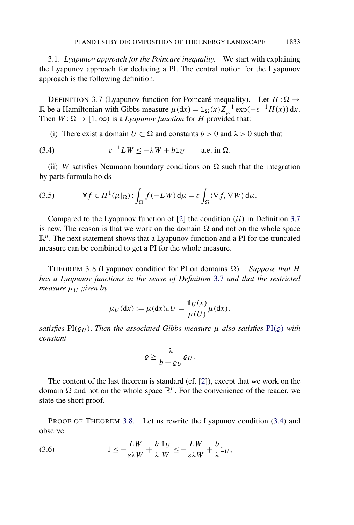<span id="page-24-0"></span>3.1. *Lyapunov approach for the Poincaré inequality*. We start with explaining the Lyapunov approach for deducing a PI. The central notion for the Lyapunov approach is the following definition.

DEFINITION 3.7 (Lyapunov function for Poincaré inequality). Let  $H : \Omega \rightarrow$ R be a Hamiltonian with Gibbs measure  $\mu(dx) = \mathbb{1}_{\Omega}(x)Z_{\mu}^{-1} \exp(-\varepsilon^{-1}H(x)) dx$ . Then  $W : \Omega \to [1, \infty)$  is a *Lyapunov function* for *H* provided that:

(i) There exist a domain  $U \subset \Omega$  and constants  $b > 0$  and  $\lambda > 0$  such that

(3.4) 
$$
\varepsilon^{-1}LW \leq -\lambda W + b\mathbb{1}_U \quad \text{a.e. in } \Omega.
$$

(ii) *W* satisfies Neumann boundary conditions on  $\Omega$  such that the integration by parts formula holds

(3.5) 
$$
\forall f \in H^{1}(\mu|_{\Omega}) : \int_{\Omega} f(-LW) d\mu = \varepsilon \int_{\Omega} \langle \nabla f, \nabla W \rangle d\mu.
$$

Compared to the Lyapunov function of [\[2\]](#page-73-0) the condition *(ii)* in Definition 3.7 is new. The reason is that we work on the domain  $\Omega$  and not on the whole space  $\mathbb{R}^n$ . The next statement shows that a Lyapunov function and a PI for the truncated measure can be combined to get a PI for the whole measure.

THEOREM 3.8 (Lyapunov condition for PI on domains  $\Omega$ ). *Suppose that H has a Lyapunov functions in the sense of Definition* 3.7 *and that the restricted measure*  $μ$ *II* given by

$$
\mu_U(\mathrm{d}x) := \mu(\mathrm{d}x) \llcorner U = \frac{\mathbb{1}_U(x)}{\mu(U)} \mu(\mathrm{d}x),
$$

*satisfies*  $PI(\varrho_U)$ . *Then the associated Gibbs measure*  $\mu$  *also satisfies*  $PI(\varrho)$  *with constant*

$$
\varrho \geq \frac{\lambda}{b + \varrho_U} \varrho_U.
$$

The content of the last theorem is standard (cf. [\[2\]](#page-73-0)), except that we work on the domain  $\Omega$  and not on the whole space  $\mathbb{R}^n$ . For the convenience of the reader, we state the short proof.

PROOF OF THEOREM 3.8. Let us rewrite the Lyapunov condition (3.4) and observe

(3.6) 
$$
1 \leq -\frac{LW}{\varepsilon \lambda W} + \frac{b}{\lambda} \frac{\mathbb{1}_U}{W} \leq -\frac{LW}{\varepsilon \lambda W} + \frac{b}{\lambda} \mathbb{1}_U,
$$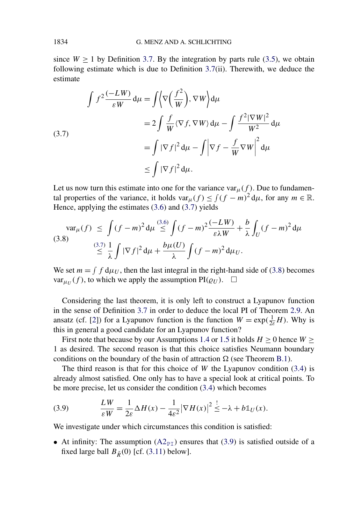<span id="page-25-0"></span>since  $W \ge 1$  by Definition [3.7.](#page-24-0) By the integration by parts rule [\(3.5\)](#page-24-0), we obtain following estimate which is due to Definition [3.7\(](#page-24-0)ii). Therewith, we deduce the estimate

$$
\int f^2 \frac{(-LW)}{\varepsilon W} d\mu = \int \left\langle \nabla \left(\frac{f^2}{W}\right), \nabla W \right\rangle d\mu
$$
  
\n
$$
= 2 \int \frac{f}{W} \langle \nabla f, \nabla W \rangle d\mu - \int \frac{f^2 |\nabla W|^2}{W^2} d\mu
$$
  
\n
$$
= \int |\nabla f|^2 d\mu - \int |\nabla f - \frac{f}{W} \nabla W|^2 d\mu
$$
  
\n
$$
\leq \int |\nabla f|^2 d\mu.
$$

Let us now turn this estimate into one for the variance var $\mu(f)$ . Due to fundamental properties of the variance, it holds  $var_{\mu}(f) \leq \int (f - m)^2 d\mu$ , for any  $m \in \mathbb{R}$ . Hence, applying the estimates [\(3.6\)](#page-24-0) and (3.7) yields

$$
\operatorname{var}_{\mu}(f) \leq \int (f-m)^2 \, \mathrm{d}\mu \stackrel{(3.6)}{\leq} \int (f-m)^2 \frac{(-LW)}{\varepsilon \lambda W} + \frac{b}{\lambda} \int_U (f-m)^2 \, \mathrm{d}\mu
$$
\n
$$
\stackrel{(3.7)}{\leq} \frac{1}{\lambda} \int |\nabla f|^2 \, \mathrm{d}\mu + \frac{b\mu(U)}{\lambda} \int (f-m)^2 \, \mathrm{d}\mu_U.
$$

We set  $m = \int f d\mu_U$ , then the last integral in the right-hand side of (3.8) becomes  $var_{\mu_U}(f)$ , to which we apply the assumption  $PI(\varrho_U)$ .  $\Box$ 

Considering the last theorem, it is only left to construct a Lyapunov function in the sense of Definition [3.7](#page-24-0) in order to deduce the local PI of Theorem [2.9.](#page-11-0) An ansatz (cf. [\[2\]](#page-73-0)) for a Lyapunov function is the function  $W = \exp(\frac{1}{2\varepsilon}H)$ . Why is this in general a good candidate for an Lyapunov function?

First note that because by our Assumptions [1.4](#page-4-0) or [1.5](#page-4-0) it holds  $H \ge 0$  hence  $W \ge$ 1 as desired. The second reason is that this choice satisfies Neumann boundary conditions on the boundary of the basin of attraction  $\Omega$  (see Theorem [B.1\)](#page-64-0).

The third reason is that for this choice of *W* the Lyapunov condition [\(3.4\)](#page-24-0) is already almost satisfied. One only has to have a special look at critical points. To be more precise, let us consider the condition [\(3.4\)](#page-24-0) which becomes

(3.9) 
$$
\frac{LW}{\varepsilon W} = \frac{1}{2\varepsilon} \Delta H(x) - \frac{1}{4\varepsilon^2} |\nabla H(x)|^2 \stackrel{!}{\leq} -\lambda + b \mathbb{1}_U(x).
$$

We investigate under which circumstances this condition is satisfied:

• At infinity: The assumption  $(A2_{\text{PI}})$  $(A2_{\text{PI}})$  ensures that (3.9) is satisfied outside of a fixed large ball  $B_{\tilde{R}}(0)$  [cf. [\(3.11\)](#page-28-0) below].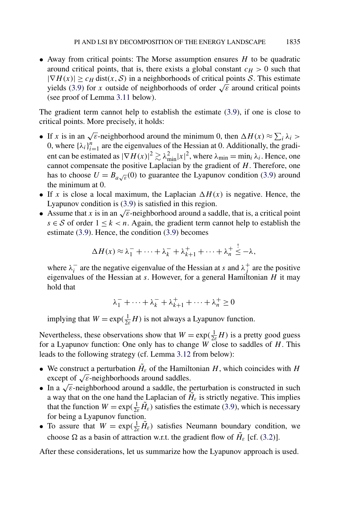• Away from critical points: The Morse assumption ensures *H* to be quadratic around critical points, that is, there exists a global constant  $c_H > 0$  such that  $|\nabla H(x)| \geq c_H \text{dist}(x, \mathcal{S})$  in a neighborhoods of critical points S. This estimate yields [\(3.9\)](#page-25-0) for *x* outside of neighborhoods of order  $\sqrt{\varepsilon}$  around critical points (see proof of Lemma [3.11](#page-28-0) below).

The gradient term cannot help to establish the estimate [\(3.9\)](#page-25-0), if one is close to critical points. More precisely, it holds:

- If *x* is in an  $\sqrt{\varepsilon}$ -neighborhood around the minimum 0, then  $\Delta H(x) \approx \sum_i \lambda_i >$ 0, where  $\{\lambda_i\}_{i=1}^n$  are the eigenvalues of the Hessian at 0. Additionally, the gradient can be estimated as  $|\nabla H(x)|^2 \gtrsim \lambda_{\min}^2 |x|^2$ , where  $\lambda_{\min} = \min_i \lambda_i$ . Hence, one cannot compensate the positive Laplacian by the gradient of *H*. Therefore, one has to choose  $U = B_{a\sqrt{\varepsilon}}(0)$  to guarantee the Lyapunov condition [\(3.9\)](#page-25-0) around the minimum at 0.
- If *x* is close a local maximum, the Laplacian  $\Delta H(x)$  is negative. Hence, the Lyapunov condition is [\(3.9\)](#page-25-0) is satisfied in this region.
- Assume that *x* is in an  $\sqrt{\epsilon}$ -neighborhood around a saddle, that is, a critical point *s* ∈ S of order  $1 \leq k < n$ . Again, the gradient term cannot help to establish the estimate [\(3.9\)](#page-25-0). Hence, the condition [\(3.9\)](#page-25-0) becomes

$$
\Delta H(x) \approx \lambda_1^- + \cdots + \lambda_k^- + \lambda_{k+1}^+ + \cdots + \lambda_n^+ \stackrel{!}{\leq} -\lambda,
$$

where  $\lambda_i^-$  are the negative eigenvalue of the Hessian at *s* and  $\lambda_j^+$  are the positive eigenvalues of the Hessian at *s*. However, for a general Hamiltonian *H* it may hold that

$$
\lambda_1^- + \cdots + \lambda_k^- + \lambda_{k+1}^+ + \cdots + \lambda_n^+ \ge 0
$$

implying that  $W = \exp(\frac{1}{2\varepsilon}H)$  is not always a Lyapunov function.

Nevertheless, these observations show that  $W = \exp(\frac{1}{2\varepsilon}H)$  is a pretty good guess for a Lyapunov function: One only has to change *W* close to saddles of *H*. This leads to the following strategy (cf. Lemma [3.12](#page-29-0) from below):

- We construct a perturbation  $\tilde{H}_{\varepsilon}$  of the Hamiltonian *H*, which coincides with *H* except of  $\sqrt{\varepsilon}$ -neighborhoods around saddles.
- In a  $\sqrt{\epsilon}$ -neighborhood around a saddle, the perturbation is constructed in such a way that on the one hand the Laplacian of  $H_{\varepsilon}$  is strictly negative. This implies that the function  $W = \exp(\frac{1}{2\varepsilon}\tilde{H}_{\varepsilon})$  satisfies the estimate [\(3.9\)](#page-25-0), which is necessary for being a Lyapunov function.
- To assure that  $W = \exp(\frac{1}{2\varepsilon}\tilde{H}_{\varepsilon})$  satisfies Neumann boundary condition, we choose  $\Omega$  as a basin of attraction w.r.t. the gradient flow of  $H_{\varepsilon}$  [cf. [\(3.2\)](#page-23-0)].

After these considerations, let us summarize how the Lyapunov approach is used.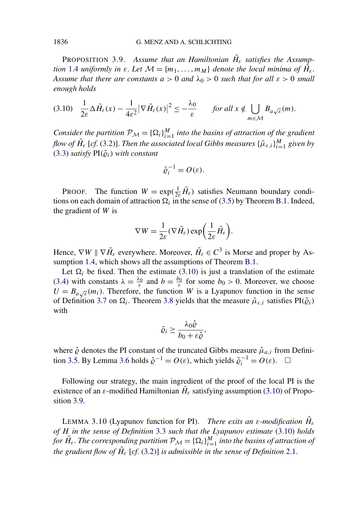<span id="page-27-0"></span>**PROPOSITION 3.9.** Assume that an Hamiltonian  $H_{\varepsilon}$  satisfies the Assump*tion* [1.4](#page-4-0) *uniformly in*  $\varepsilon$ *. Let*  $\mathcal{M} = \{m_1, \ldots, m_M\}$  *denote the local minima of*  $\hat{H}_{\varepsilon}$ *. Assume that there are constants*  $a > 0$  *and*  $\lambda_0 > 0$  *such that for all*  $\varepsilon > 0$  *small enough holds*

$$
(3.10) \quad \frac{1}{2\varepsilon} \Delta \tilde{H}_{\varepsilon}(x) - \frac{1}{4\varepsilon^2} |\nabla \tilde{H}_{\varepsilon}(x)|^2 \leq -\frac{\lambda_0}{\varepsilon} \qquad \text{for all } x \notin \bigcup_{m \in \mathcal{M}} B_{a\sqrt{\varepsilon}}(m).
$$

*Consider the partition*  $\mathcal{P}_{\mathcal{M}} = {\{\Omega_i\}}_{i=1}^M$  *into the basins of attraction of the gradient flow of*  $\tilde{H}_\varepsilon$  *[cf.* [\(3.2\)](#page-23-0)]. *Then the associated local Gibbs measures*  $\{\tilde{\mu}_{\varepsilon,i}\}_{i=1}^M$  given by  $(3.3)$  *satisfy*  $PI(\tilde{\varrho}_i)$  *with constant* 

$$
\tilde{\varrho}_i^{-1} = O(\varepsilon).
$$

PROOF. The function  $W = \exp(\frac{1}{2\varepsilon}\tilde{H}_{\varepsilon})$  satisfies Neumann boundary conditions on each domain of attraction  $\Omega_i$  in the sense of [\(3.5\)](#page-24-0) by Theorem [B.1.](#page-64-0) Indeed, the gradient of *W* is

$$
\nabla W = \frac{1}{2\varepsilon} (\nabla \tilde{H}_{\varepsilon}) \exp \biggl( \frac{1}{2\varepsilon} \tilde{H}_{\varepsilon} \biggr).
$$

Hence,  $\nabla W \parallel \nabla \tilde{H}_{\varepsilon}$  everywhere. Moreover,  $\tilde{H}_{\varepsilon} \in C^3$  is Morse and proper by As-sumption [1.4,](#page-4-0) which shows all the assumptions of Theorem [B.1.](#page-64-0)

Let  $\Omega_i$  be fixed. Then the estimate (3.10) is just a translation of the estimate [\(3.4\)](#page-24-0) with constants  $\lambda = \frac{\lambda_0}{\varepsilon}$  and  $b = \frac{b_0}{\varepsilon}$  for some  $b_0 > 0$ . Moreover, we choose  $U = B_{a\sqrt{\varepsilon}}(m_i)$ . Therefore, the function *W* is a Lyapunov function in the sense of Definition [3.7](#page-24-0) on  $\Omega_i$ . Theorem [3.8](#page-24-0) yields that the measure  $\tilde{\mu}_{\varepsilon,i}$  satisfies PI $(\tilde{\varrho}_i)$ with

$$
\tilde{\varrho}_i \geq \frac{\lambda_0 \hat{\varrho}}{b_0 + \varepsilon \hat{\varrho}}
$$

*,*

where  $\hat{\varrho}$  denotes the PI constant of the truncated Gibbs measure  $\hat{\mu}_{a,i}$  from Defini-tion [3.5.](#page-22-0) By Lemma [3.6](#page-22-0) holds  $\hat{\varrho}^{-1} = O(\varepsilon)$ , which yields  $\tilde{\varrho}_i^{-1} = O(\varepsilon)$ .  $\Box$ 

Following our strategy, the main ingredient of the proof of the local PI is the existence of an  $\varepsilon$ -modified Hamiltonian  $H_{\varepsilon}$  satisfying assumption (3.10) of Proposition 3.9.

LEMMA 3.10 (Lyapunov function for PI). *There exits an ε-modification*  $H_ε$ *of H in the sense of Definition* [3.3](#page-21-0) *such that the Lyapunov estimate* (3.10) *holds for*  $H_{\varepsilon}$ . *The corresponding partition*  $\mathcal{P}_M = {\Omega_i}\big|_{i=1}^M$  *into the basins of attraction of the gradient flow of*  $\tilde{H}_{\varepsilon}$  *[cf.* [\(3.2\)](#page-23-0)] *is admissible in the sense of Definition* [2.1.](#page-6-0)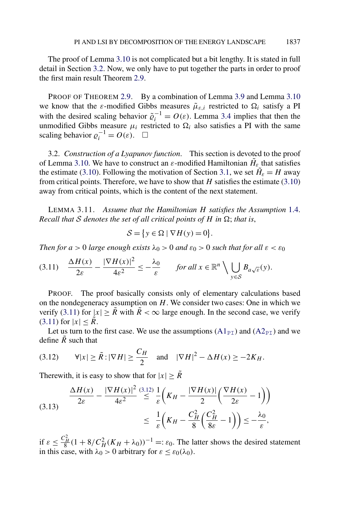<span id="page-28-0"></span>The proof of Lemma [3.10](#page-27-0) is not complicated but a bit lengthy. It is stated in full detail in Section 3.2. Now, we only have to put together the parts in order to proof the first main result Theorem [2.9.](#page-11-0)

PROOF OF THEOREM [2.9.](#page-11-0) By a combination of Lemma [3.9](#page-27-0) and Lemma [3.10](#page-27-0) we know that the  $\varepsilon$ -modified Gibbs measures  $\tilde{\mu}_{\varepsilon,i}$  restricted to  $\Omega_i$  satisfy a PI with the desired scaling behavior  $\tilde{\varrho}_i^{-1} = O(\varepsilon)$ . Lemma [3.4](#page-21-0) implies that then the unmodified Gibbs measure  $\mu_i$  restricted to  $\Omega_i$  also satisfies a PI with the same scaling behavior  $\varrho_i^{-1} = O(\varepsilon)$ .  $\Box$ 

3.2. *Construction of a Lyapunov function*. This section is devoted to the proof of Lemma [3.10.](#page-27-0) We have to construct an  $\varepsilon$ -modified Hamiltonian  $H_{\varepsilon}$  that satisfies the estimate [\(3.10\)](#page-27-0). Following the motivation of Section [3.1,](#page-24-0) we set  $H_{\varepsilon} = H$  away from critical points. Therefore, we have to show that *H* satisfies the estimate [\(3.10\)](#page-27-0) away from critical points, which is the content of the next statement.

LEMMA 3.11. *Assume that the Hamiltonian H satisfies the Assumption* [1.4.](#page-4-0) *Recall that S denotes the set of all critical points of H in*  $\Omega$ ; *that is*,

$$
\mathcal{S} = \{ y \in \Omega \mid \nabla H(y) = 0 \}.
$$

*Then for*  $a > 0$  *large enough exists*  $\lambda_0 > 0$  *and*  $\varepsilon_0 > 0$  *such that for all*  $\varepsilon < \varepsilon_0$ 

$$
(3.11) \quad \frac{\Delta H(x)}{2\varepsilon} - \frac{|\nabla H(x)|^2}{4\varepsilon^2} \le -\frac{\lambda_0}{\varepsilon} \qquad \text{for all } x \in \mathbb{R}^n \setminus \bigcup_{y \in \mathcal{S}} B_{a\sqrt{\varepsilon}}(y).
$$

PROOF. The proof basically consists only of elementary calculations based on the nondegeneracy assumption on *H*. We consider two cases: One in which we verify (3.11) for  $|x| \geq R$  with  $\tilde{R} < \infty$  large enough. In the second case, we verify  $(3.11)$  for  $|x| < R$ .

Let us turn to the first case. We use the assumptions  $(A1_{\text{PI}})$  $(A1_{\text{PI}})$  and  $(A2_{\text{PI}})$  $(A2_{\text{PI}})$  and we define  $\tilde{R}$  such that

$$
(3.12) \qquad \forall |x| \ge \tilde{R} : |\nabla H| \ge \frac{C_H}{2} \quad \text{and} \quad |\nabla H|^2 - \Delta H(x) \ge -2K_H.
$$

Therewith, it is easy to show that for  $|x| \geq \tilde{R}$ 

$$
\frac{\Delta H(x)}{2\varepsilon} - \frac{|\nabla H(x)|^2}{4\varepsilon^2} \stackrel{(3.12)}{\leq} \frac{1}{\varepsilon} \left( K_H - \frac{|\nabla H(x)|}{2} \left( \frac{\nabla H(x)}{2\varepsilon} - 1 \right) \right)
$$
\n
$$
\leq \frac{1}{\varepsilon} \left( K_H - \frac{C_H^2}{8} \left( \frac{C_H^2}{8\varepsilon} - 1 \right) \right) \leq -\frac{\lambda_0}{\varepsilon},
$$

if  $\varepsilon \leq \frac{C_H^2}{8}(1+8/C_H^2(K_H+\lambda_0))^{-1} =: \varepsilon_0$ . The latter shows the desired statement in this case, with  $\lambda_0 > 0$  arbitrary for  $\varepsilon \leq \varepsilon_0(\lambda_0)$ .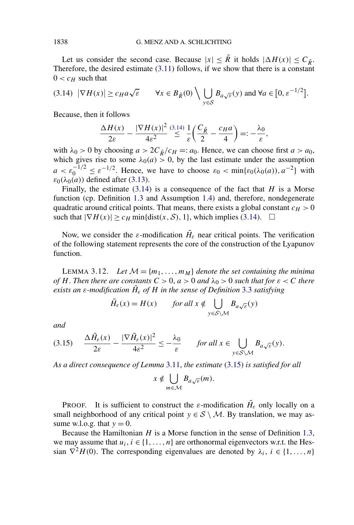<span id="page-29-0"></span>Let us consider the second case. Because  $|x| \leq \tilde{R}$  it holds  $|\Delta H(x)| \leq C_{\tilde{R}}$ . Therefore, the desired estimate  $(3.11)$  follows, if we show that there is a constant  $0 < c_H$  such that

$$
(3.14) \ |\nabla H(x)| \ge c_H a \sqrt{\varepsilon} \qquad \forall x \in B_{\tilde{R}}(0) \setminus \bigcup_{y \in S} B_{a\sqrt{\varepsilon}}(y) \text{ and } \forall a \in [0, \varepsilon^{-1/2}].
$$

Because, then it follows

$$
\frac{\Delta H(x)}{2\varepsilon} - \frac{|\nabla H(x)|^2}{4\varepsilon^2} \stackrel{(3.14)}{\leq} \frac{1}{\varepsilon} \left(\frac{C_{\tilde{R}}}{2} - \frac{c_H a}{4}\right) =: -\frac{\lambda_0}{\varepsilon},
$$

with  $\lambda_0 > 0$  by choosing  $a > 2C_{\tilde{R}}/c_H =: a_0$ . Hence, we can choose first  $a > a_0$ , which gives rise to some  $\lambda_0(a) > 0$ , by the last estimate under the assumption  $a < \varepsilon_0^{-1/2} \le \varepsilon^{-1/2}$ . Hence, we have to choose  $\varepsilon_0 < \min{\varepsilon_0(\lambda_0(a))}, a^{-2}$  with  $ε_0(λ_0(a))$  defined after [\(3.13\)](#page-28-0).

Finally, the estimate (3.14) is a consequence of the fact that *H* is a Morse function (cp. Definition [1.3](#page-3-0) and Assumption [1.4\)](#page-4-0) and, therefore, nondegenerate quadratic around critical points. That means, there exists a global constant  $c_H > 0$ such that  $|\nabla H(x)| \ge c_H \min\{\text{dist}(x, \mathcal{S}), 1\}$ , which implies (3.14).  $\Box$ 

Now, we consider the  $\varepsilon$ -modification  $H_{\varepsilon}$  near critical points. The verification of the following statement represents the core of the construction of the Lyapunov function.

LEMMA 3.12. Let  $M = \{m_1, \ldots, m_M\}$  denote the set containing the minima *of H*. *Then there are constants*  $C > 0$ ,  $a > 0$  *and*  $\lambda_0 > 0$  *such that for*  $\varepsilon < C$  *there exists an ε-modification*  $H_{\varepsilon}$  *of*  $H$  *in the sense of Definition* [3.3](#page-21-0) *satisfying* 

$$
\tilde{H}_{\varepsilon}(x) = H(x) \qquad \text{for all } x \notin \bigcup_{y \in S \setminus \mathcal{M}} B_{a\sqrt{\varepsilon}}(y)
$$

*and*

$$
(3.15) \quad \frac{\Delta \tilde{H}_{\varepsilon}(x)}{2\varepsilon} - \frac{|\nabla \tilde{H}_{\varepsilon}(x)|^2}{4\varepsilon^2} \le -\frac{\lambda_0}{\varepsilon} \quad \text{for all } x \in \bigcup_{y \in \mathcal{S} \setminus \mathcal{M}} B_{a\sqrt{\varepsilon}}(y).
$$

*As a direct consequence of Lemma* [3.11,](#page-28-0) *the estimate* (3.15) *is satisfied for all*

$$
x \notin \bigcup_{m \in \mathcal{M}} B_{a\sqrt{\varepsilon}}(m).
$$

PROOF. It is sufficient to construct the  $\varepsilon$ -modification  $H_{\varepsilon}$  only locally on a small neighborhood of any critical point  $y \in S \setminus M$ . By translation, we may assume w.l.o.g. that  $y = 0$ .

Because the Hamiltonian *H* is a Morse function in the sense of Definition [1.3,](#page-3-0) we may assume that  $u_i, i \in \{1, \ldots, n\}$  are orthonormal eigenvectors w.r.t. the Hessian  $\nabla^2 H(0)$ . The corresponding eigenvalues are denoted by  $\lambda_i$ ,  $i \in \{1, \ldots, n\}$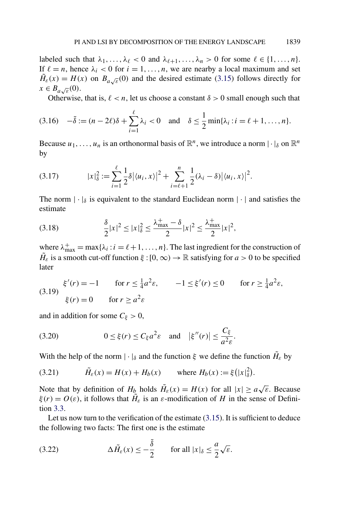<span id="page-30-0"></span>labeled such that  $\lambda_1, \ldots, \lambda_\ell < 0$  and  $\lambda_{\ell+1}, \ldots, \lambda_n > 0$  for some  $\ell \in \{1, \ldots, n\}$ . If  $\ell = n$ , hence  $\lambda_i < 0$  for  $i = 1, \ldots, n$ , we are nearby a local maximum and set  $\tilde{H}_{\varepsilon}(x) = H(x)$  on  $B_{a\sqrt{\varepsilon}}(0)$  and the desired estimate [\(3.15\)](#page-29-0) follows directly for  $x \in B_{a\sqrt{\varepsilon}}(0)$ .

Otherwise, that is,  $\ell < n$ , let us choose a constant  $\delta > 0$  small enough such that

$$
(3.16) \quad -\tilde{\delta} := (n-2\ell)\delta + \sum_{i=1}^{\ell} \lambda_i < 0 \quad \text{and} \quad \delta \le \frac{1}{2} \min\{\lambda_i : i = \ell+1, \dots, n\}.
$$

Because  $u_1, \ldots, u_n$  is an orthonormal basis of  $\mathbb{R}^n$ , we introduce a norm  $|\cdot|_{\delta}$  on  $\mathbb{R}^n$ by

$$
(3.17) \t\t |x|_{\delta}^{2} := \sum_{i=1}^{\ell} \frac{1}{2} \delta |\langle u_i, x \rangle|^{2} + \sum_{i=\ell+1}^{n} \frac{1}{2} (\lambda_{i} - \delta) |\langle u_i, x \rangle|^{2}.
$$

The norm  $|\cdot|_{\delta}$  is equivalent to the standard Euclidean norm  $|\cdot|$  and satisfies the estimate

(3.18) 
$$
\frac{\delta}{2}|x|^2 \le |x|^2_{\delta} \le \frac{\lambda^+_{\max} - \delta}{2}|x|^2 \le \frac{\lambda^+_{\max}}{2}|x|^2,
$$

where  $\lambda_{\text{max}}^+ = \max{\{\lambda_i : i = \ell + 1, ..., n\}}$ . The last ingredient for the construction of  $H_{\varepsilon}$  is a smooth cut-off function  $\xi$  : [0, ∞)  $\to \mathbb{R}$  satisfying for *a* > 0 to be specified later

(3.19) 
$$
\xi'(r) = -1
$$
 for  $r \le \frac{1}{4}a^2 \varepsilon$ ,  $-1 \le \xi'(r) \le 0$  for  $r \ge \frac{1}{4}a^2 \varepsilon$ ,  
\n $\xi(r) = 0$  for  $r \ge a^2 \varepsilon$ 

and in addition for some  $C_{\xi} > 0$ ,

(3.20) 
$$
0 \leq \xi(r) \leq C_{\xi} a^2 \varepsilon \quad \text{and} \quad |\xi''(r)| \leq \frac{C_{\xi}}{a^2 \varepsilon}.
$$

With the help of the norm  $|\cdot|_{\delta}$  and the function  $\xi$  we define the function  $H_{\varepsilon}$  by

(3.21) 
$$
\tilde{H}_{\varepsilon}(x) = H(x) + H_b(x)
$$
 where  $H_b(x) := \xi(|x|_{\delta}^2)$ .

Note that by definition of  $H_b$  holds  $\tilde{H}_\varepsilon(x) = H(x)$  for all  $|x| \ge a\sqrt{\varepsilon}$ . Because *ξ*(*r*) =  $O(ε)$ , it follows that  $H̃<sub>ε</sub>$  is an *ε*-modification of *H* in the sense of Definition [3.3.](#page-21-0)

Let us now turn to the verification of the estimate [\(3.15\)](#page-29-0). It is sufficient to deduce the following two facts: The first one is the estimate

(3.22) 
$$
\Delta \tilde{H}_{\varepsilon}(x) \leq -\frac{\tilde{\delta}}{2} \quad \text{for all } |x|_{\delta} \leq \frac{a}{2}\sqrt{\varepsilon}.
$$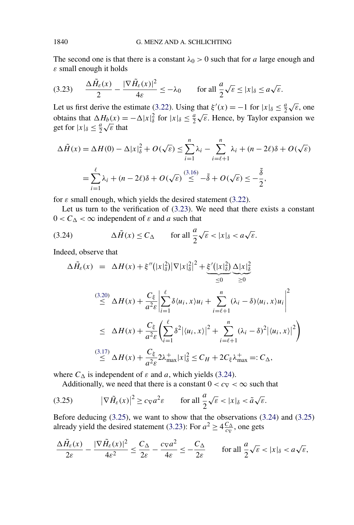The second one is that there is a constant  $\lambda_0 > 0$  such that for *a* large enough and *ε* small enough it holds

$$
(3.23) \qquad \frac{\Delta \tilde{H}_{\varepsilon}(x)}{2} - \frac{|\nabla \tilde{H}_{\varepsilon}(x)|^2}{4\varepsilon} \le -\lambda_0 \qquad \text{for all } \frac{a}{2}\sqrt{\varepsilon} \le |x|_{\delta} \le a\sqrt{\varepsilon}.
$$

Let us first derive the estimate [\(3.22\)](#page-30-0). Using that  $\xi'(x) = -1$  for  $|x|_{\delta} \leq \frac{a}{2}\sqrt{\epsilon}$ , one obtains that  $\Delta H_b(x) = -\Delta |x|^2_{\delta}$  for  $|x|_{\delta} \leq \frac{a}{2} \sqrt{\epsilon}$ . Hence, by Taylor expansion we botains that  $\Delta H_b(x) =$ <br>get for  $|x|_{\delta} \leq \frac{a}{2} \sqrt{\varepsilon}$  that

$$
\Delta \tilde{H}(x) = \Delta H(0) - \Delta |x|_{\delta}^{2} + O(\sqrt{\varepsilon}) \le \sum_{i=1}^{n} \lambda_{i} - \sum_{i=\ell+1}^{n} \lambda_{i} + (n - 2\ell)\delta + O(\sqrt{\varepsilon})
$$

$$
= \sum_{i=1}^{\ell} \lambda_{i} + (n - 2\ell)\delta + O(\sqrt{\varepsilon}) \le -\delta + O(\sqrt{\varepsilon}) \le -\frac{\delta}{2},
$$

for  $\varepsilon$  small enough, which yields the desired statement [\(3.22\)](#page-30-0).

Let us turn to the verification of (3.23). We need that there exists a constant  $0 < C_{\Delta} < \infty$  independent of  $\varepsilon$  and  $a$  such that

(3.24) 
$$
\Delta \tilde{H}(x) \leq C_{\Delta} \quad \text{for all } \frac{a}{2} \sqrt{\varepsilon} < |x|_{\delta} < a \sqrt{\varepsilon}.
$$

Indeed, observe that

$$
\Delta \tilde{H}_{\varepsilon}(x) = \Delta H(x) + \xi''(|x|_{\delta}^{2})|\nabla |x|_{\delta}^{2}|^{2} + \underbrace{\xi'(|x|_{\delta}^{2})}_{\leq 0} \underbrace{\Delta |x|_{\delta}^{2}}_{\geq 0}
$$
\n
$$
\stackrel{(3.20)}{\leq} \Delta H(x) + \frac{C_{\xi}}{a^{2}\varepsilon} \left| \sum_{i=1}^{\ell} \delta \langle u_{i}, x \rangle u_{i} + \sum_{i=\ell+1}^{n} (\lambda_{i} - \delta) \langle u_{i}, x \rangle u_{i} \right|^{2}
$$
\n
$$
\leq \Delta H(x) + \frac{C_{\xi}}{a^{2}\varepsilon} \left( \sum_{i=1}^{\ell} \delta^{2} |\langle u_{i}, x \rangle|^{2} + \sum_{i=\ell+1}^{n} (\lambda_{i} - \delta)^{2} |\langle u_{i}, x \rangle|^{2} \right)
$$
\n
$$
\stackrel{(3.17)}{\leq} \Delta H(x) + \frac{C_{\xi}}{a^{2}\varepsilon} 2\lambda_{\max}^{+} |x|_{\delta}^{2} \leq C_{H} + 2C_{\xi} \lambda_{\max}^{+} =: C_{\Delta},
$$

where  $C_{\Delta}$  is independent of  $\varepsilon$  and  $a$ , which yields (3.24).

Additionally, we need that there is a constant  $0 < c<sub>\nabla</sub> < \infty$  such that

(3.25) 
$$
|\nabla \tilde{H}_{\varepsilon}(x)|^2 \geq c_{\nabla} a^2 \varepsilon \quad \text{for all } \frac{a}{2} \sqrt{\varepsilon} < |x|_{\delta} < \tilde{a} \sqrt{\varepsilon}.
$$

Before deducing (3.25), we want to show that the observations (3.24) and (3.25) already yield the desired statement (3.23): For  $a^2 \ge 4 \frac{C_{\Delta}}{c_{\nabla}}$ , one gets

$$
\frac{\Delta \tilde{H}_{\varepsilon}(x)}{2\varepsilon} - \frac{|\nabla \tilde{H}_{\varepsilon}(x)|^2}{4\varepsilon^2} \le \frac{C_{\Delta}}{2\varepsilon} - \frac{c_{\nabla}a^2}{4\varepsilon} \le -\frac{C_{\Delta}}{2\varepsilon} \qquad \text{for all } \frac{a}{2}\sqrt{\varepsilon} < |x|_{\delta} < a\sqrt{\varepsilon},
$$

<span id="page-31-0"></span>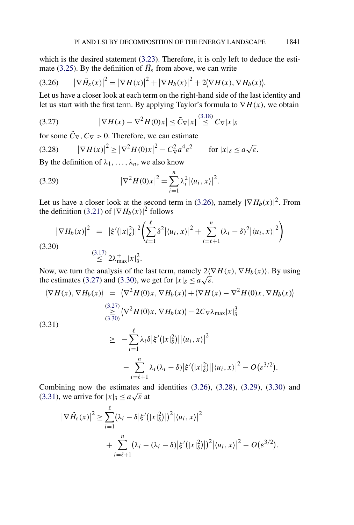which is the desired statement [\(3.23\)](#page-31-0). Therefore, it is only left to deduce the esti-mate [\(3.25\)](#page-31-0). By the definition of  $H_{\varepsilon}$  from above, we can write

$$
(3.26) \qquad |\nabla \tilde{H}_{\varepsilon}(x)|^2 = |\nabla H(x)|^2 + |\nabla H_b(x)|^2 + 2\langle \nabla H(x), \nabla H_b(x) \rangle.
$$

Let us have a closer look at each term on the right-hand side of the last identity and let us start with the first term. By applying Taylor's formula to ∇*H(x)*, we obtain

$$
(3.27) \qquad |\nabla H(x) - \nabla^2 H(0)x| \leq \tilde{C}_{\nabla}|x| \stackrel{(3.18)}{\leq} C_{\nabla}|x|_{\delta}
$$

for some  $\tilde{C}_{\nabla}$ ,  $C_{\nabla} > 0$ . Therefore, we can estimate

(3.28) 
$$
|\nabla H(x)|^2 \ge |\nabla^2 H(0)x|^2 - C_{\nabla}^2 a^4 \varepsilon^2 \quad \text{for } |x|_{\delta} \le a \sqrt{\varepsilon}.
$$

By the definition of  $\lambda_1, \ldots, \lambda_n$ , we also know

(3.29) 
$$
|\nabla^2 H(0)x|^2 = \sum_{i=1}^n \lambda_i^2 | \langle u_i, x \rangle |^2.
$$

Let us have a closer look at the second term in (3.26), namely  $|\nabla H_b(x)|^2$ . From the definition [\(3.21\)](#page-30-0) of  $|\nabla H_b(x)|^2$  follows

$$
|\nabla H_b(x)|^2 = |\xi'(|x|\delta)|^2 \left(\sum_{i=1}^{\ell} \delta^2 |\langle u_i, x \rangle|^2 + \sum_{i=\ell+1}^n (\lambda_i - \delta)^2 |\langle u_i, x \rangle|^2\right)
$$
  
(3.30)  

$$
\leq \sum_{i=1}^{(3.17)} 2\lambda_{\max}^+ |x|\delta^2.
$$

Now, we turn the analysis of the last term, namely  $2\langle \nabla H(x), \nabla H_b(x) \rangle$ . By using the estimates (3.27) and (3.30), we get for  $|x|_{\delta} \le a \sqrt{\varepsilon}$ .

$$
\langle \nabla H(x), \nabla H_b(x) \rangle = \langle \nabla^2 H(0)x, \nabla H_b(x) \rangle + \langle \nabla H(x) - \nabla^2 H(0)x, \nabla H_b(x) \rangle
$$
  

$$
\stackrel{(3.27)}{\geq} \langle \nabla^2 H(0)x, \nabla H_b(x) \rangle - 2C_{\nabla} \lambda_{\text{max}} |x|_{\delta}^3
$$
  
(3.31)  

$$
\geq -\sum_{i=1}^{\ell} \lambda_i \delta |\xi'(x|_{\delta}^2) ||\langle u_i, x \rangle|^2
$$

$$
-\sum_{i=\ell+1}^n \lambda_i(\lambda_i-\delta) \big|\xi'(|x|^2_\delta\big)\big|\langle u_i,x\rangle\big|^2-O(\varepsilon^{3/2}).
$$

Combining now the estimates and identities (3.26), (3.28), (3.29), (3.30) and Combining now the estimates and  $(3.31)$ , we arrive for  $|x|_{\delta} \le a \sqrt{\varepsilon}$  at

$$
\begin{split} |\nabla \tilde{H}_{\varepsilon}(x)|^{2} &\geq \sum_{i=1}^{\ell} (\lambda_{i} - \delta | \xi'(|x|_{\delta}^{2})|)^{2} |\langle u_{i}, x \rangle|^{2} \\ &+ \sum_{i=\ell+1}^{n} (\lambda_{i} - (\lambda_{i} - \delta) | \xi'(|x|_{\delta}^{2})|)^{2} |\langle u_{i}, x \rangle|^{2} - O(\varepsilon^{3/2}). \end{split}
$$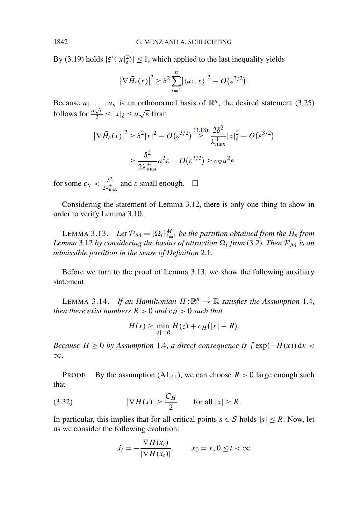By [\(3.19\)](#page-30-0) holds  $|\xi'(x)| \le 1$ , which applied to the last inequality yields

$$
\left|\nabla \tilde{H}_{\varepsilon}(x)\right|^2 \geq \delta^2 \sum_{i=1}^n \left|\langle u_i, x \rangle\right|^2 - O(\varepsilon^{3/2}).
$$

Because  $u_1, \ldots, u_n$  is an orthonormal basis of  $\mathbb{R}^n$ , the desired statement [\(3.25\)](#page-31-0) follows for *<sup>a</sup>* √*ε*  $\frac{\sqrt{\varepsilon}}{2} \leq |x|_{\delta} \leq a\sqrt{\varepsilon}$  from

$$
|\nabla \tilde{H}_{\varepsilon}(x)|^2 \ge \delta^2 |x|^2 - O(\varepsilon^{3/2}) \stackrel{(3.18)}{\ge} \frac{2\delta^2}{\lambda_{\text{max}}^+} |x|_{\delta}^2 - O(\varepsilon^{3/2})
$$

$$
\ge \frac{\delta^2}{2\lambda_{\text{max}}^+} a^2 \varepsilon - O(\varepsilon^{3/2}) \ge c_{\nabla} a^2 \varepsilon
$$

for some  $c_{\nabla} < \frac{\delta^2}{2\lambda_{\max}^+}$  and  $\varepsilon$  small enough.  $\Box$ 

Considering the statement of Lemma [3.12,](#page-29-0) there is only one thing to show in order to verify Lemma [3.10.](#page-27-0)

LEMMA 3.13. *Let*  $\mathcal{P}_M = {\Omega_i}_{i=1}^M$  *be the partition obtained from the*  $H_{\varepsilon}$  *from* Lemma [3.12](#page-29-0) by considering the basins of attraction  $\Omega_i$  from [\(3.2\)](#page-23-0). Then  $P_M$  is an *admissible partition in the sense of Definition* [2.1.](#page-6-0)

Before we turn to the proof of Lemma 3.13, we show the following auxiliary statement.

LEMMA 3.14. *If an Hamiltonian*  $H: \mathbb{R}^n \to \mathbb{R}$  *satisfies the Assumption* [1.4,](#page-4-0) *then there exist numbers*  $R > 0$  *and*  $c_H > 0$  *such that* 

$$
H(x) \ge \min_{|z|=R} H(z) + c_H(|x|-R).
$$

*Because*  $H \geq 0$  *by Assumption* [1.4,](#page-4-0) *a direct consequence is*  $\int \exp(-H(x)) dx$ ∞.

PROOF. By the assumption  $(A1_{\text{PI}})$  $(A1_{\text{PI}})$ , we can choose  $R > 0$  large enough such that

(3.32) 
$$
|\nabla H(x)| \ge \frac{C_H}{2} \quad \text{for all } |x| \ge R.
$$

In particular, this implies that for all critical points  $s \in S$  holds  $|s| \leq R$ . Now, let us we consider the following evolution:

$$
\dot{x}_t = -\frac{\nabla H(x_t)}{|\nabla H(x_t)|}, \qquad x_0 = x, 0 \le t < \infty
$$

<span id="page-33-0"></span>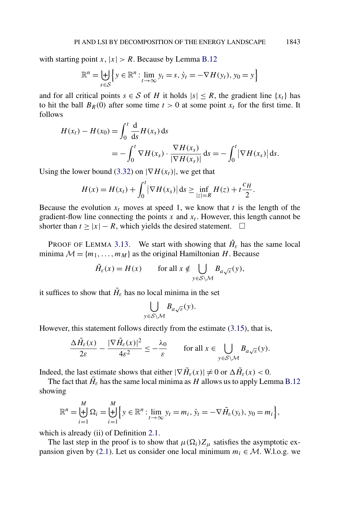with starting point *x*,  $|x| > R$ . Because by Lemma [B.12](#page-68-0)

$$
\mathbb{R}^{n} = \biguplus_{s \in \mathcal{S}} \left\{ y \in \mathbb{R}^{n} : \lim_{t \to \infty} y_{t} = s, \, \dot{y}_{t} = -\nabla H(y_{t}), \, y_{0} = y \right\}
$$

and for all critical points  $s \in S$  of *H* it holds  $|s| \leq R$ , the gradient line  $\{x_t\}$  has to hit the ball  $B_R(0)$  after some time  $t > 0$  at some point  $x_t$  for the first time. It follows

$$
H(x_t) - H(x_0) = \int_0^t \frac{d}{ds} H(x_s) ds
$$
  
= 
$$
- \int_0^t \nabla H(x_s) \cdot \frac{\nabla H(x_s)}{|\nabla H(x_s)|} ds = - \int_0^t |\nabla H(x_s)| ds.
$$

Using the lower bound [\(3.32\)](#page-33-0) on  $|\nabla H(x_t)|$ , we get that

$$
H(x) = H(x_t) + \int_0^t |\nabla H(x_s)| ds \ge \inf_{|z|=R} H(z) + t \frac{c_H}{2}.
$$

Because the evolution  $x_t$  moves at speed 1, we know that  $t$  is the length of the gradient-flow line connecting the points  $x$  and  $x_t$ . However, this length cannot be shorter than  $t \ge |x| - R$ , which yields the desired statement.  $\Box$ 

PROOF OF LEMMA [3.13.](#page-33-0) We start with showing that  $H_{\varepsilon}$  has the same local minima  $M = \{m_1, \ldots, m_M\}$  as the original Hamiltonian *H*. Because

$$
\tilde{H}_{\varepsilon}(x) = H(x) \qquad \text{for all } x \notin \bigcup_{y \in S \setminus \mathcal{M}} B_{a\sqrt{\varepsilon}}(y),
$$

it suffices to show that  $H_{\varepsilon}$  has no local minima in the set

$$
\bigcup_{y \in \mathcal{S} \setminus \mathcal{M}} B_{a\sqrt{\varepsilon}}(y).
$$

However, this statement follows directly from the estimate [\(3.15\)](#page-29-0), that is,

$$
\frac{\Delta \tilde{H}_{\varepsilon}(x)}{2\varepsilon} - \frac{|\nabla \tilde{H}_{\varepsilon}(x)|^2}{4\varepsilon^2} \le -\frac{\lambda_0}{\varepsilon} \qquad \text{for all } x \in \bigcup_{y \in S \setminus \mathcal{M}} B_{a\sqrt{\varepsilon}}(y).
$$

Indeed, the last estimate shows that either  $|\nabla \tilde{H}_{\varepsilon}(x)| \neq 0$  or  $\Delta \tilde{H}_{\varepsilon}(x) < 0$ .

The fact that  $\tilde{H}_{\varepsilon}$  has the same local minima as *H* allows us to apply Lemma [B.12](#page-68-0) showing

$$
\mathbb{R}^n = \biguplus_{i=1}^M \Omega_i = \biguplus_{i=1}^M \left\{ y \in \mathbb{R}^n : \lim_{t \to \infty} y_t = m_i, \, \dot{y}_t = -\nabla \tilde{H}_{\varepsilon}(y_t), \, y_0 = m_i \right\},
$$

which is already (ii) of Definition [2.1.](#page-6-0)

The last step in the proof is to show that  $\mu(\Omega_i)Z_\mu$  satisfies the asymptotic ex-pansion given by [\(2.1\)](#page-7-0). Let us consider one local minimum  $m_i \in \mathcal{M}$ . W.l.o.g. we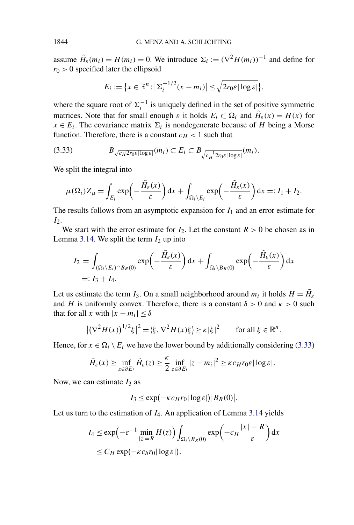assume  $\tilde{H}_{\varepsilon}(m_i) = H(m_i) = 0$ . We introduce  $\Sigma_i := (\nabla^2 H(m_i))^{-1}$  and define for  $r_0 > 0$  specified later the ellipsoid

$$
E_i := \{x \in \mathbb{R}^n : \left|\sum_i \frac{1}{2}(x - m_i)\right| \leq \sqrt{2r_0 \varepsilon |\log \varepsilon|},
$$

where the square root of  $\Sigma_i^{-1}$  is uniquely defined in the set of positive symmetric matrices. Note that for small enough  $\varepsilon$  it holds  $E_i \subset \Omega_i$  and  $\tilde{H}_{\varepsilon}(x) = H(x)$  for  $x \in E_i$ . The covariance matrix  $\Sigma_i$  is nondegenerate because of *H* being a Morse function. Therefore, there is a constant  $c_H < 1$  such that

$$
(3.33) \t B_{\sqrt{c_H 2r_0\varepsilon |\log \varepsilon |}}(m_i) \subset E_i \subset B_{\sqrt{c_H^{-1} 2r_0\varepsilon |\log \varepsilon |}}(m_i).
$$

We split the integral into

$$
\mu(\Omega_i)Z_{\mu} = \int_{E_i} \exp\left(-\frac{\tilde{H}_{\varepsilon}(x)}{\varepsilon}\right) dx + \int_{\Omega_i \setminus E_i} \exp\left(-\frac{\tilde{H}_{\varepsilon}(x)}{\varepsilon}\right) dx =: I_1 + I_2.
$$

The results follows from an asymptotic expansion for *I*<sup>1</sup> and an error estimate for *I*<sub>2</sub>.

We start with the error estimate for  $I_2$ . Let the constant  $R > 0$  be chosen as in Lemma [3.14.](#page-33-0) We split the term  $I_2$  up into

$$
I_2 = \int_{(\Omega_i \setminus E_i) \cap B_R(0)} \exp\left(-\frac{\tilde{H}_{\varepsilon}(x)}{\varepsilon}\right) dx + \int_{\Omega_i \setminus B_R(0)} \exp\left(-\frac{\tilde{H}_{\varepsilon}(x)}{\varepsilon}\right) dx
$$
  
=: I\_3 + I\_4.

Let us estimate the term *I*<sub>3</sub>. On a small neighborhood around  $m_i$  it holds  $H = \tilde{H}_{\varepsilon}$ and *H* is uniformly convex. Therefore, there is a constant  $\delta > 0$  and  $\kappa > 0$  such that for all *x* with  $|x - m_i| \leq \delta$ 

$$
|(\nabla^2 H(x))^{1/2}\xi|^2 = \langle \xi, \nabla^2 H(x)\xi \rangle \ge \kappa |\xi|^2 \quad \text{for all } \xi \in \mathbb{R}^n.
$$

Hence, for  $x \in \Omega_i \setminus E_i$  we have the lower bound by additionally considering (3.33)

$$
\tilde{H}_{\varepsilon}(x) \ge \inf_{z \in \partial E_i} \tilde{H}_{\varepsilon}(z) \ge \frac{\kappa}{2} \inf_{z \in \partial E_i} |z - m_i|^2 \ge \kappa c_H r_0 \varepsilon |\log \varepsilon|.
$$

Now, we can estimate  $I_3$  as

$$
I_3 \le \exp(-\kappa c_H r_0 |\log \varepsilon|) |B_R(0)|.
$$

Let us turn to the estimation of *I*4. An application of Lemma [3.14](#page-33-0) yields

$$
I_4 \le \exp\left(-\varepsilon^{-1} \min_{|z|=R} H(z)\right) \int_{\Omega_i \setminus B_R(0)} \exp\left(-c_H \frac{|x|-R}{\varepsilon}\right) dx
$$
  
 
$$
\le C_H \exp(-\kappa c_h r_0 |\log \varepsilon|).
$$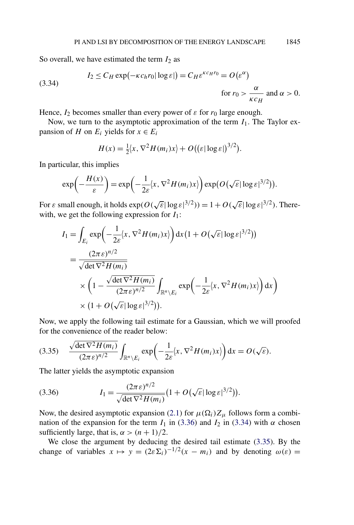So overall, we have estimated the term  $I_2$  as

(3.34) 
$$
I_2 \le C_H \exp(-\kappa c_h r_0 |\log \varepsilon|) = C_H \varepsilon^{\kappa c_H r_0} = O(\varepsilon^{\alpha})
$$
for  $r_0 > \frac{\alpha}{\kappa c_H}$  and  $\alpha > 0$ .

Hence,  $I_2$  becomes smaller than every power of  $\varepsilon$  for  $r_0$  large enough.

Now, we turn to the asymptotic approximation of the term *I*1. The Taylor expansion of *H* on  $E_i$  yields for  $x \in E_i$ 

$$
H(x) = \frac{1}{2}\langle x, \nabla^2 H(m_i)x \rangle + O((\varepsilon |\log \varepsilon|)^{3/2}).
$$

In particular, this implies

$$
\exp\left(-\frac{H(x)}{\varepsilon}\right) = \exp\left(-\frac{1}{2\varepsilon}\langle x, \nabla^2 H(m_i)x\rangle\right) \exp\left(O\left(\sqrt{\varepsilon}|\log \varepsilon|^{3/2}\right)\right).
$$

For  $\varepsilon$  small enough, it holds  $\exp(O(\sqrt{\varepsilon}|\log \varepsilon|^{3/2})) = 1 + O(\sqrt{\varepsilon}|\log \varepsilon|^{3/2})$ . Therewith, we get the following expression for  $I_1$ :

$$
I_1 = \int_{E_i} \exp\left(-\frac{1}{2\varepsilon} \langle x, \nabla^2 H(m_i)x \rangle\right) dx \left(1 + O\left(\sqrt{\varepsilon} |\log \varepsilon|^{3/2}\right)\right)
$$
  
= 
$$
\frac{(2\pi\varepsilon)^{n/2}}{\sqrt{\det \nabla^2 H(m_i)}}
$$
  

$$
\times \left(1 - \frac{\sqrt{\det \nabla^2 H(m_i)}}{(2\pi\varepsilon)^{n/2}} \int_{\mathbb{R}^n \setminus E_i} \exp\left(-\frac{1}{2\varepsilon} \langle x, \nabla^2 H(m_i)x \rangle\right) dx\right)
$$
  

$$
\times \left(1 + O\left(\sqrt{\varepsilon} |\log \varepsilon|^{3/2}\right)\right).
$$

Now, we apply the following tail estimate for a Gaussian, which we will proofed for the convenience of the reader below:

$$
(3.35) \quad \frac{\sqrt{\det \nabla^2 H(m_i)}}{(2\pi \varepsilon)^{n/2}} \int_{\mathbb{R}^n \setminus E_i} \exp\left(-\frac{1}{2\varepsilon} \langle x, \nabla^2 H(m_i)x \rangle\right) dx = O(\sqrt{\varepsilon}).
$$

The latter yields the asymptotic expansion

(3.36) 
$$
I_1 = \frac{(2\pi\epsilon)^{n/2}}{\sqrt{\det \nabla^2 H(m_i)}} \left(1 + O(\sqrt{\epsilon}|\log \epsilon|^{3/2})\right).
$$

Now, the desired asymptotic expansion [\(2.1\)](#page-7-0) for  $\mu(\Omega_i)Z_\mu$  follows form a combination of the expansion for the term  $I_1$  in (3.36) and  $I_2$  in (3.34) with *α* chosen sufficiently large, that is,  $\alpha > (n + 1)/2$ .

We close the argument by deducing the desired tail estimate (3.35). By the change of variables  $x \mapsto y = (2\varepsilon \Sigma_i)^{-1/2} (x - m_i)$  and by denoting  $\omega(\varepsilon) =$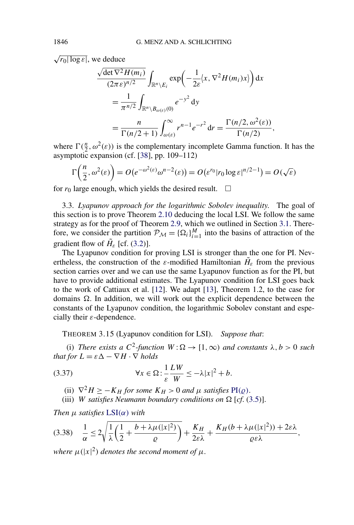$\sqrt{r_0 |\log \varepsilon|}$ , we deduce

$$
\frac{\sqrt{\det \nabla^2 H(m_i)}}{(2\pi \varepsilon)^{n/2}} \int_{\mathbb{R}^n \backslash E_i} \exp\left(-\frac{1}{2\varepsilon} \langle x, \nabla^2 H(m_i)x \rangle\right) dx
$$
  
= 
$$
\frac{1}{\pi^{n/2}} \int_{\mathbb{R}^n \backslash B_{\omega(\varepsilon)}(0)} e^{-y^2} dy
$$
  
= 
$$
\frac{n}{\Gamma(n/2+1)} \int_{\omega(\varepsilon)}^{\infty} r^{n-1} e^{-r^2} dr = \frac{\Gamma(n/2, \omega^2(\varepsilon))}{\Gamma(n/2)},
$$

where  $\Gamma(\frac{n}{2}, \omega^2(\varepsilon))$  is the complementary incomplete Gamma function. It has the asymptotic expansion (cf. [\[38\]](#page-74-0), pp. 109–112)

$$
\Gamma\left(\frac{n}{2},\omega^2(\varepsilon)\right) = O\left(e^{-\omega^2(\varepsilon)}\omega^{n-2}(\varepsilon)\right) = O\left(\varepsilon^{r_0}|r_0\log\varepsilon|^{n/2-1}\right) = O\left(\sqrt{\varepsilon}\right)
$$

for  $r_0$  large enough, which yields the desired result.  $\Box$ 

3.3. *Lyapunov approach for the logarithmic Sobolev inequality*. The goal of this section is to prove Theorem [2.10](#page-11-0) deducing the local LSI. We follow the same strategy as for the proof of Theorem [2.9,](#page-11-0) which we outlined in Section [3.1.](#page-24-0) Therefore, we consider the partition  $\mathcal{P}_M = {\Omega_i}_{i=1}^M$  into the basins of attraction of the gradient flow of  $\tilde{H}_\varepsilon$  [cf. [\(3.2\)](#page-23-0)].

The Lyapunov condition for proving LSI is stronger than the one for PI. Nevertheless, the construction of the *ε*-modified Hamiltonian  $H_{\varepsilon}$  from the previous section carries over and we can use the same Lyapunov function as for the PI, but have to provide additional estimates. The Lyapunov condition for LSI goes back to the work of Cattiaux et al. [\[12\]](#page-73-0). We adapt [\[13\]](#page-73-0), Theorem 1.2, to the case for domains  $\Omega$ . In addition, we will work out the explicit dependence between the constants of the Lyapunov condition, the logarithmic Sobolev constant and especially their *ε*-dependence.

THEOREM 3.15 (Lyapunov condition for LSI). *Suppose that*:

(i) *There exists a*  $C^2$ -function  $W : \Omega \to [1, \infty)$  *and constants*  $\lambda, b > 0$  *such that for*  $L = \varepsilon \Delta - \nabla H \cdot \nabla$  *holds* 

(3.37) 
$$
\forall x \in \Omega : \frac{1}{\varepsilon} \frac{LW}{W} \leq -\lambda |x|^2 + b.
$$

(ii)  $\nabla^2 H \geq -K_H$  *for some*  $K_H > 0$  *and*  $\mu$  *satisfies*  $\text{PI}(\rho)$ *.* 

(iii) *W* satisfies Neumann boundary conditions on  $\Omega$  [cf. [\(3.5\)](#page-24-0)].

*Then μ satisfies* [LSI](#page-3-0)*(α) with*

$$
(3.38)\quad \frac{1}{\alpha} \le 2\sqrt{\frac{1}{\lambda}\left(\frac{1}{2} + \frac{b + \lambda\mu(|x|^2)}{\varrho}\right)} + \frac{K_H}{2\varepsilon\lambda} + \frac{K_H(b + \lambda\mu(|x|^2)) + 2\varepsilon\lambda}{\varrho\varepsilon\lambda},
$$

*where*  $\mu$ (|x|<sup>2</sup>) denotes the second moment of  $\mu$ .

<span id="page-37-0"></span>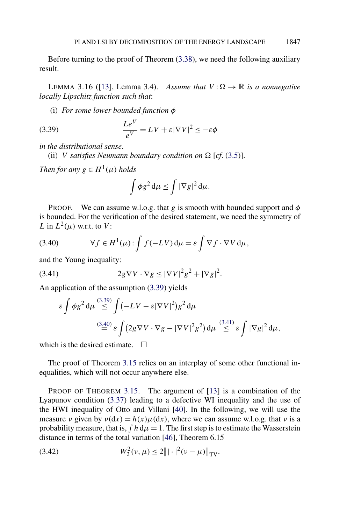<span id="page-38-0"></span>Before turning to the proof of Theorem [\(3.38\)](#page-37-0), we need the following auxiliary result.

LEMMA 3.16 ([\[13\]](#page-73-0), Lemma 3.4). *Assume that*  $V : \Omega \to \mathbb{R}$  *is a nonnegative locally Lipschitz function such that*:

(i) *For some lower bounded function φ*

(3.39) 
$$
\frac{Le^V}{e^V} = LV + \varepsilon |\nabla V|^2 \le -\varepsilon \phi
$$

*in the distributional sense*.

(ii) *V satisfies Neumann boundary condition on*  $\Omega$  [*cf.* [\(3.5\)](#page-24-0)].

*Then for any*  $g \in H^1(\mu)$  *holds* 

$$
\int \phi g^2 d\mu \le \int |\nabla g|^2 d\mu.
$$

PROOF. We can assume w.l.o.g. that *g* is smooth with bounded support and *φ* is bounded. For the verification of the desired statement, we need the symmetry of *L* in  $L^2(\mu)$  w.r.t. to *V*:

(3.40) 
$$
\forall f \in H^{1}(\mu): \int f(-LV) d\mu = \varepsilon \int \nabla f \cdot \nabla V d\mu,
$$

and the Young inequality:

$$
(3.41) \t2g\nabla V \cdot \nabla g \le |\nabla V|^2 g^2 + |\nabla g|^2.
$$

An application of the assumption (3.39) yields

$$
\varepsilon \int \phi g^2 d\mu \stackrel{(3.39)}{\leq} \int (-LV - \varepsilon |\nabla V|^2) g^2 d\mu
$$
  

$$
\stackrel{(3.40)}{=} \varepsilon \int (2g \nabla V \cdot \nabla g - |\nabla V|^2 g^2) d\mu \stackrel{(3.41)}{\leq} \varepsilon \int |\nabla g|^2 d\mu,
$$

which is the desired estimate.  $\Box$ 

The proof of Theorem [3.15](#page-37-0) relies on an interplay of some other functional inequalities, which will not occur anywhere else.

PROOF OF THEOREM [3.15.](#page-37-0) The argument of [\[13\]](#page-73-0) is a combination of the Lyapunov condition [\(3.37\)](#page-37-0) leading to a defective WI inequality and the use of the HWI inequality of Otto and Villani [\[40\]](#page-74-0). In the following, we will use the measure *ν* given by  $v(dx) = h(x) \mu(dx)$ , where we can assume w.l.o.g. that *ν* is a probability measure, that is,  $\int h d\mu = 1$ . The first step is to estimate the Wasserstein distance in terms of the total variation [\[46\]](#page-75-0), Theorem 6.15

(3.42) 
$$
W_2^2(\nu,\mu) \le 2 |||\cdot|^2(\nu-\mu)||_{TV}.
$$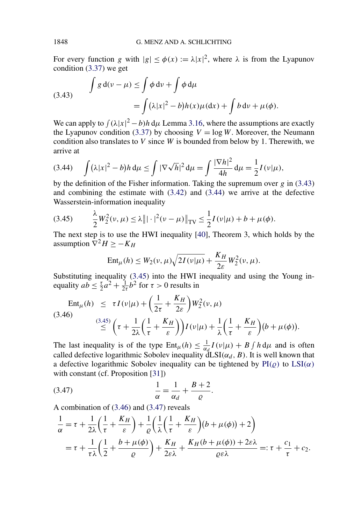For every function *g* with  $|g| \le \phi(x) := \lambda |x|^2$ , where  $\lambda$  is from the Lyapunov condition [\(3.37\)](#page-37-0) we get

(3.43) 
$$
\int g d(\nu - \mu) \le \int \phi d\nu + \int \phi d\mu
$$

$$
= \int (\lambda |x|^2 - b) h(x) \mu(dx) + \int b d\nu + \mu(\phi).
$$

We can apply to  $\int (\lambda |x|^2 - b) h \, d\mu$  Lemma [3.16,](#page-38-0) where the assumptions are exactly the Lyapunov condition [\(3.37\)](#page-37-0) by choosing  $V = \log W$ . Moreover, the Neumann condition also translates to *V* since *W* is bounded from below by 1. Therewith, we arrive at

$$
(3.44) \quad \int (\lambda |x|^2 - b) h \, \mathrm{d}\mu \le \int |\nabla \sqrt{h}|^2 \, \mathrm{d}\mu = \int \frac{|\nabla h|^2}{4h} \, \mathrm{d}\mu = \frac{1}{2} I(\nu | \mu),
$$

by the definition of the Fisher information. Taking the supremum over *g* in (3.43) and combining the estimate with [\(3.42\)](#page-38-0) and (3.44) we arrive at the defective Wasserstein-information inequality

$$
(3.45) \qquad \frac{\lambda}{2}W_2^2(\nu,\mu) \le \lambda \| |\cdot|^2(\nu-\mu) \|_{TV} \le \frac{1}{2}I(\nu|\mu) + b + \mu(\phi).
$$

The next step is to use the HWI inequality [\[40\]](#page-74-0), Theorem 3, which holds by the assumption  $\overline{V}^2 H > -K_H$ 

$$
Ent_{\mu}(h) \le W_2(\nu, \mu) \sqrt{2I(\nu|\mu)} + \frac{K_H}{2\varepsilon} W_2^2(\nu, \mu).
$$

Substituting inequality (3.45) into the HWI inequality and using the Young inequality  $ab \leq \frac{\tau}{2}a^2 + \frac{1}{2\tau}b^2$  for  $\tau > 0$  results in

$$
\operatorname{Ent}_{\mu}(h) \leq \tau I(\nu|\mu) + \left(\frac{1}{2\tau} + \frac{K_H}{2\varepsilon}\right) W_2^2(\nu, \mu)
$$
\n
$$
\stackrel{(3.46)}{\leq} \left(\tau + \frac{1}{2\lambda} \left(\frac{1}{\tau} + \frac{K_H}{\varepsilon}\right)\right) I(\nu|\mu) + \frac{1}{\lambda} \left(\frac{1}{\tau} + \frac{K_H}{\varepsilon}\right) (b + \mu(\phi)).
$$

The last inequality is of the type  $Ent_{\mu}(h) \leq \frac{1}{\alpha_d} I(v|\mu) + B \int h d\mu$  and is often called defective logarithmic Sobolev inequality  $dLSI(\alpha_d, B)$ . It is well known that a defective logarithmic Sobolev inequality can be tightened by  $\text{PI}(\rho)$  to  $\text{LSI}(\alpha)$  $\text{LSI}(\alpha)$  $\text{LSI}(\alpha)$ with constant (cf. Proposition [\[31\]](#page-74-0))

$$
\frac{1}{\alpha} = \frac{1}{\alpha_d} + \frac{B+2}{\varrho}.
$$

A combination of (3.46) and (3.47) reveals

$$
\frac{1}{\alpha} = \tau + \frac{1}{2\lambda} \left( \frac{1}{\tau} + \frac{K_H}{\varepsilon} \right) + \frac{1}{\varrho} \left( \frac{1}{\lambda} \left( \frac{1}{\tau} + \frac{K_H}{\varepsilon} \right) (b + \mu(\phi)) + 2 \right)
$$
\n
$$
= \tau + \frac{1}{\tau \lambda} \left( \frac{1}{2} + \frac{b + \mu(\phi)}{\varrho} \right) + \frac{K_H}{2\varepsilon \lambda} + \frac{K_H(b + \mu(\phi)) + 2\varepsilon \lambda}{\varrho \varepsilon \lambda} =: \tau + \frac{c_1}{\tau} + c_2.
$$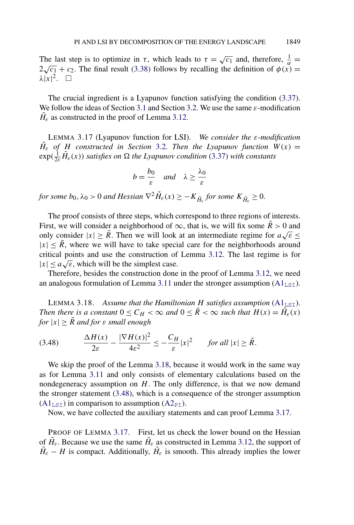<span id="page-40-0"></span>The last step is to optimize in  $\tau$ , which leads to  $\tau = \sqrt{c_1}$  and, therefore,  $\frac{1}{\alpha} =$ The fast step is to optimize in t, which reads to  $t = \sqrt{c_1}$  and, therefore,  $\frac{a}{\alpha} = 2\sqrt{c_1} + c_2$ . The final result [\(3.38\)](#page-37-0) follows by recalling the definition of  $\phi(x) =$  $\lambda |x|^2$ .  $\Box$ 

The crucial ingredient is a Lyapunov function satisfying the condition [\(3.37\)](#page-37-0). We follow the ideas of Section [3.1](#page-24-0) and Section [3.2.](#page-28-0) We use the same *ε*-modification  $H_{\varepsilon}$  as constructed in the proof of Lemma [3.12.](#page-29-0)

LEMMA 3.17 (Lyapunov function for LSI). *We consider the ε-modification*  $\tilde{H}_{\varepsilon}$  *of H* constructed in Section [3.2.](#page-28-0) Then the Lyapunov function  $W(x) =$  $\exp(\frac{1}{2\varepsilon}\tilde{H}_{\varepsilon}(x))$  *satisfies on*  $\Omega$  *the Lyapunov condition* [\(3.37\)](#page-37-0) *with constants* 

$$
b = \frac{b_0}{\varepsilon} \quad \text{and} \quad \lambda \ge \frac{\lambda_0}{\varepsilon}
$$

*for some*  $b_0, \lambda_0 > 0$  *and Hessian*  $\nabla^2 \tilde{H}_\varepsilon(x) \geq -K_{\tilde{H}_\varepsilon}$  *for some*  $K_{\tilde{H}_\varepsilon} \geq 0$ .

The proof consists of three steps, which correspond to three regions of interests. First, we will consider a neighborhood of  $\infty$ , that is, we will fix some  $\tilde{R} > 0$  and First, we will consider a heighborhood of  $\infty$ , that is, we will lix some  $\kappa > 0$  and only consider  $|x| \geq \tilde{R}$ . Then we will look at an intermediate regime for  $a\sqrt{\varepsilon} \leq$  $|x| \leq R$ , where we will have to take special care for the neighborhoods around critical points and use the construction of Lemma [3.12.](#page-29-0) The last regime is for  $|x| \le a\sqrt{\varepsilon}$ , which will be the simplest case.

Therefore, besides the construction done in the proof of Lemma [3.12,](#page-29-0) we need an analogous formulation of Lemma [3.11](#page-28-0) under the stronger assumption  $(A1<sub>LST</sub>)$  $(A1<sub>LST</sub>)$ .

LEMMA 3.18. Assume that the Hamiltonian  $H$  satisfies assumption  $(A1<sub>LST</sub>)$  $(A1<sub>LST</sub>)$ . *Then there is a constant*  $0 \le C_H < \infty$  *and*  $0 \le \tilde{R} < \infty$  *such that*  $H(x) = \tilde{H}_\varepsilon(x)$ *for*  $|x| \geq R$  *and for*  $\varepsilon$  *small enough* 

$$
(3.48)\qquad \frac{\Delta H(x)}{2\varepsilon} - \frac{|\nabla H(x)|^2}{4\varepsilon^2} \le -\frac{C_H}{\varepsilon}|x|^2 \qquad \text{for all } |x| \ge \tilde{R}.
$$

We skip the proof of the Lemma 3.18, because it would work in the same way as for Lemma [3.11](#page-28-0) and only consists of elementary calculations based on the nondegeneracy assumption on *H*. The only difference, is that we now demand the stronger statement (3.48), which is a consequence of the stronger assumption  $(A1<sub>LST</sub>)$  $(A1<sub>LST</sub>)$  in comparison to assumption  $(A2<sub>PI</sub>)$  $(A2<sub>PI</sub>)$ .

Now, we have collected the auxiliary statements and can proof Lemma 3.17.

PROOF OF LEMMA 3.17. First, let us check the lower bound on the Hessian of  $H_{\varepsilon}$ . Because we use the same  $H_{\varepsilon}$  as constructed in Lemma [3.12,](#page-29-0) the support of  $H_{\varepsilon} - H$  is compact. Additionally,  $H_{\varepsilon}$  is smooth. This already implies the lower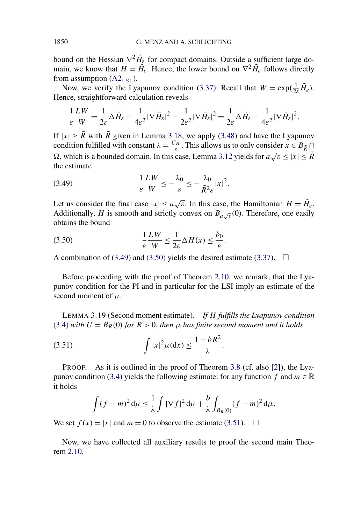<span id="page-41-0"></span>bound on the Hessian  $\nabla^2 \tilde{H}_{\varepsilon}$  for compact domains. Outside a sufficient large domain, we know that  $H = \tilde{H}_{\varepsilon}$ . Hence, the lower bound on  $\nabla^2 \tilde{H}_{\varepsilon}$  follows directly from assumption  $(A2<sub>LST</sub>)$  $(A2<sub>LST</sub>)$ .

Now, we verify the Lyapunov condition [\(3.37\)](#page-37-0). Recall that  $W = \exp(\frac{1}{2\varepsilon}\tilde{H}_{\varepsilon})$ . Hence, straightforward calculation reveals

$$
\frac{1}{\varepsilon}\frac{LW}{W}=\frac{1}{2\varepsilon}\Delta\tilde{H}_{\varepsilon}+\frac{1}{4\varepsilon^{2}}|\nabla\tilde{H}_{\varepsilon}|^{2}-\frac{1}{2\varepsilon^{2}}|\nabla\tilde{H}_{\varepsilon}|^{2}=\frac{1}{2\varepsilon}\Delta\tilde{H}_{\varepsilon}-\frac{1}{4\varepsilon^{2}}|\nabla\tilde{H}_{\varepsilon}|^{2}.
$$

If  $|x| \ge \tilde{R}$  with  $\tilde{R}$  given in Lemma [3.18,](#page-40-0) we apply [\(3.48\)](#page-40-0) and have the Lyapunov condition fulfilled with constant  $\lambda = \frac{C_H}{\varepsilon}$ . This allows us to only consider  $x \in B_{\tilde{R}} \cap$  $\Omega$ , which is a bounded domain. In this case, Lemma [3.12](#page-29-0) yields for *a* $\sqrt{\epsilon}$  ≤ |*x*| ≤ *R*<sup> $\epsilon$ </sup> the estimate

$$
(3.49) \qquad \qquad \frac{1}{\varepsilon} \frac{LW}{W} \le -\frac{\lambda_0}{\varepsilon} \le -\frac{\lambda_0}{\tilde{R}^2 \varepsilon} |x|^2.
$$

Let us consider the final case  $|x| \le a\sqrt{\varepsilon}$ . In this case, the Hamiltonian  $H = \tilde{H}_{\varepsilon}$ . Additionally, *H* is smooth and strictly convex on  $B_{a\sqrt{\varepsilon}}(0)$ . Therefore, one easily obtains the bound

$$
(3.50) \qquad \frac{1}{\varepsilon} \frac{LW}{W} \le \frac{1}{2\varepsilon} \Delta H(x) \le \frac{b_0}{\varepsilon}.
$$

A combination of (3.49) and (3.50) yields the desired estimate [\(3.37\)](#page-37-0).  $\Box$ 

Before proceeding with the proof of Theorem [2.10,](#page-11-0) we remark, that the Lyapunov condition for the PI and in particular for the LSI imply an estimate of the second moment of  $\mu$ .

LEMMA 3.19 (Second moment estimate). *If H fulfills the Lyapunov condition* [\(3.4\)](#page-24-0) *with*  $U = B_R(0)$  *for*  $R > 0$ *, then*  $\mu$  *has finite second moment and it holds* 

$$
(3.51)\qquad \qquad \int |x|^2 \mu(\mathrm{d}x) \le \frac{1 + bR^2}{\lambda}.
$$

PROOF. As it is outlined in the proof of Theorem [3.8](#page-24-0) (cf. also [\[2\]](#page-73-0)), the Lya-punov condition [\(3.4\)](#page-24-0) yields the following estimate: for any function *f* and  $m \in \mathbb{R}$ it holds

$$
\int (f-m)^2 d\mu \leq \frac{1}{\lambda} \int |\nabla f|^2 d\mu + \frac{b}{\lambda} \int_{B_R(0)} (f-m)^2 d\mu.
$$

We set  $f(x) = |x|$  and  $m = 0$  to observe the estimate (3.51).  $\Box$ 

Now, we have collected all auxiliary results to proof the second main Theorem [2.10.](#page-11-0)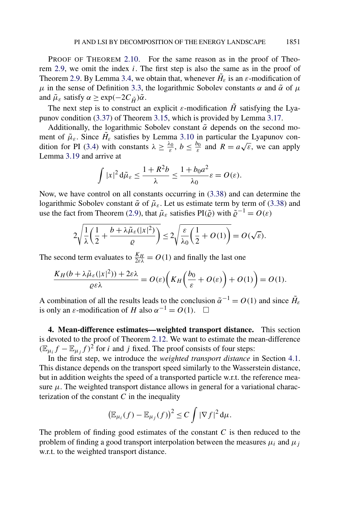<span id="page-42-0"></span>PROOF OF THEOREM [2.10.](#page-11-0) For the same reason as in the proof of Theorem [2.9,](#page-11-0) we omit the index *i*. The first step is also the same as in the proof of Theorem [2.9.](#page-11-0) By Lemma [3.4,](#page-21-0) we obtain that, whenever  $H_{\varepsilon}$  is an  $\varepsilon$ -modification of *μ* in the sense of Definition [3.3,](#page-21-0) the logarithmic Sobolev constants  $\alpha$  and  $\tilde{\alpha}$  of  $\mu$ and  $\tilde{\mu}_{\varepsilon}$  satisfy  $\alpha \geq \exp(-2C_{\tilde{H}})\tilde{\alpha}$ .

The next step is to construct an explicit  $\varepsilon$ -modification  $\hat{H}$  satisfying the Lyapunov condition [\(3.37\)](#page-37-0) of Theorem [3.15,](#page-37-0) which is provided by Lemma [3.17.](#page-40-0)

Additionally, the logarithmic Sobolev constant  $\tilde{\alpha}$  depends on the second moment of  $\tilde{\mu}_{\varepsilon}$ . Since  $\tilde{H}_{\varepsilon}$  satisfies by Lemma [3.10](#page-27-0) in particular the Lyapunov con-dition for PI [\(3.4\)](#page-24-0) with constants  $\lambda \ge \frac{\lambda_0}{\varepsilon}$ ,  $b \le \frac{b_0}{\varepsilon}$  and  $R = a\sqrt{\varepsilon}$ , we can apply Lemma [3.19](#page-41-0) and arrive at

$$
\int |x|^2 d\tilde{\mu}_{\varepsilon} \le \frac{1 + R^2 b}{\lambda} \le \frac{1 + b_0 a^2}{\lambda_0} \varepsilon = O(\varepsilon).
$$

Now, we have control on all constants occurring in [\(3.38\)](#page-37-0) and can determine the logarithmic Sobolev constant  $\tilde{\alpha}$  of  $\tilde{\mu}_{\varepsilon}$ . Let us estimate term by term of [\(3.38\)](#page-37-0) and use the fact from Theorem [\(2.9\)](#page-11-0), that  $\tilde{\mu}_{\varepsilon}$  satisfies PI( $\tilde{\varrho}$ ) with  $\tilde{\varrho}^{-1} = O(\varepsilon)$ 

$$
2\sqrt{\frac{1}{\lambda}\left(\frac{1}{2}+\frac{b+\lambda\tilde{\mu}_{\varepsilon}(|x|^2)}{\varrho}\right)} \leq 2\sqrt{\frac{\varepsilon}{\lambda_0}\left(\frac{1}{2}+O(1)\right)} = O(\sqrt{\varepsilon}).
$$

The second term evaluates to  $\frac{K_H}{2\epsilon\lambda} = O(1)$  and finally the last one

$$
\frac{K_H(b+\lambda\tilde{\mu}_{\varepsilon}(|x|^2))+2\varepsilon\lambda}{\varrho\varepsilon\lambda}=O(\varepsilon)\bigg(K_H\bigg(\frac{b_0}{\varepsilon}+O(\varepsilon)\bigg)+O(1)\bigg)=O(1).
$$

A combination of all the results leads to the conclusion  $\tilde{\alpha}^{-1} = O(1)$  and since  $\tilde{H}_{\varepsilon}$ is only an  $\varepsilon$ -modification of *H* also  $\alpha^{-1} = O(1)$ .  $\Box$ 

**4. Mean-difference estimates—weighted transport distance.** This section is devoted to the proof of Theorem [2.12.](#page-12-0) We want to estimate the mean-difference  $(\mathbb{E}_{\mu_i}f - \mathbb{E}_{\mu_i}f)^2$  for *i* and *j* fixed. The proof consists of four steps:

In the first step, we introduce the *weighted transport distance* in Section [4.1.](#page-43-0) This distance depends on the transport speed similarly to the Wasserstein distance, but in addition weights the speed of a transported particle w.r.t. the reference measure  $\mu$ . The weighted transport distance allows in general for a variational characterization of the constant  $C$  in the inequality

$$
\left(\mathbb{E}_{\mu_i}(f) - \mathbb{E}_{\mu_j}(f)\right)^2 \leq C \int |\nabla f|^2 d\mu.
$$

The problem of finding good estimates of the constant  $C$  is then reduced to the problem of finding a good transport interpolation between the measures  $\mu_i$  and  $\mu_j$ w.r.t. to the weighted transport distance.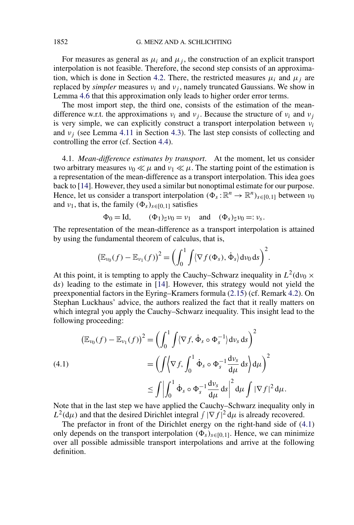<span id="page-43-0"></span>For measures as general as  $\mu_i$  and  $\mu_j$ , the construction of an explicit transport interpolation is not feasible. Therefore, the second step consists of an approxima-tion, which is done in Section [4.2.](#page-45-0) There, the restricted measures  $\mu_i$  and  $\mu_j$  are replaced by *simpler* measures  $v_i$  and  $v_j$ , namely truncated Gaussians. We show in Lemma [4.6](#page-45-0) that this approximation only leads to higher order error terms.

The most import step, the third one, consists of the estimation of the meandifference w.r.t. the approximations  $v_i$  and  $v_j$ . Because the structure of  $v_i$  and  $v_j$ is very simple, we can explicitly construct a transport interpolation between *νi* and  $v_i$  (see Lemma [4.11](#page-49-0) in Section [4.3\)](#page-47-0). The last step consists of collecting and controlling the error (cf. Section [4.4\)](#page-59-0).

4.1. *Mean-difference estimates by transport*. At the moment, let us consider two arbitrary measures  $\nu_0 \ll \mu$  and  $\nu_1 \ll \mu$ . The starting point of the estimation is a representation of the mean-difference as a transport interpolation. This idea goes back to [\[14\]](#page-73-0). However, they used a similar but nonoptimal estimate for our purpose. Hence, let us consider a transport interpolation  $(\Phi_s : \mathbb{R}^n \to \mathbb{R}^n)_{s \in [0,1]}$  between  $\nu_0$ and  $v_1$ , that is, the family  $(\Phi_s)_{s \in [0,1]}$  satisfies

$$
\Phi_0 = \text{Id}, \qquad (\Phi_1)_{\sharp} \nu_0 = \nu_1 \quad \text{and} \quad (\Phi_s)_{\sharp} \nu_0 =: \nu_s.
$$

The representation of the mean-difference as a transport interpolation is attained by using the fundamental theorem of calculus, that is,

$$
\left(\mathbb{E}_{\nu_0}(f) - \mathbb{E}_{\nu_1}(f)\right)^2 = \left(\int_0^1 \int \langle \nabla f(\Phi_s), \dot{\Phi}_s \rangle d\nu_0 ds\right)^2.
$$

At this point, it is tempting to apply the Cauchy–Schwarz inequality in  $L^2(d\nu_0 \times$ d*s)* leading to the estimate in [\[14\]](#page-73-0). However, this strategy would not yield the preexponential factors in the Eyring–Kramers formula [\(2.15\)](#page-13-0) (cf. Remark [4.2\)](#page-44-0). On Stephan Luckhaus' advice, the authors realized the fact that it really matters on which integral you apply the Cauchy–Schwarz inequality. This insight lead to the following proceeding:

$$
\begin{aligned} \left(\mathbb{E}_{\nu_0}(f) - \mathbb{E}_{\nu_1}(f)\right)^2 &= \left(\int_0^1 \int \langle \nabla f, \dot{\Phi}_s \circ \Phi_s^{-1} \rangle \, \mathrm{d}\nu_s \, \mathrm{d}s\right)^2 \\ &= \left(\int \langle \nabla f, \int_0^1 \dot{\Phi}_s \circ \Phi_s^{-1} \frac{\mathrm{d}\nu_s}{\mathrm{d}\mu} \, \mathrm{d}s \right) \mathrm{d}\mu\right)^2 \\ &\leq \int \left|\int_0^1 \dot{\Phi}_s \circ \Phi_s^{-1} \frac{\mathrm{d}\nu_s}{\mathrm{d}\mu} \, \mathrm{d}s\right|^2 \mathrm{d}\mu \int |\nabla f|^2 \, \mathrm{d}\mu. \end{aligned}
$$

Note that in the last step we have applied the Cauchy–Schwarz inequality only in  $L^2(d\mu)$  and that the desired Dirichlet integral  $\int |\nabla f|^2 d\mu$  is already recovered.

The prefactor in front of the Dirichlet energy on the right-hand side of (4.1) only depends on the transport interpolation  $(\Phi_s)_{s \in [0,1]}$ . Hence, we can minimize over all possible admissible transport interpolations and arrive at the following definition.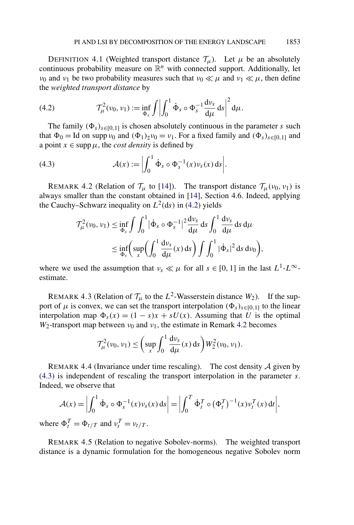<span id="page-44-0"></span>DEFINITION 4.1 (Weighted transport distance  $\mathcal{T}_{\mu}$ ). Let  $\mu$  be an absolutely continuous probability measure on  $\mathbb{R}^n$  with connected support. Additionally, let *ν*<sub>0</sub> and *ν*<sub>1</sub> be two probability measures such that  $\nu_0 \ll \mu$  and  $\nu_1 \ll \mu$ , then define the *weighted transport distance* by

(4.2) 
$$
\mathcal{T}_{\mu}^{2}(v_{0}, v_{1}) := \inf_{\Phi_{s}} \int \left| \int_{0}^{1} \dot{\Phi}_{s} \circ \Phi_{s}^{-1} \frac{dv_{s}}{d\mu} ds \right|^{2} d\mu.
$$

The family  $(\Phi_s)_{s \in [0,1]}$  is chosen absolutely continuous in the parameter *s* such that  $\Phi_0 =$  Id on supp  $\nu_0$  and  $(\Phi_1)_{\sharp} \nu_0 = \nu_1$ . For a fixed family and  $(\Phi_s)_{s \in [0,1]}$  and a point  $x \in \text{supp }\mu$ , the *cost density* is defined by

(4.3) 
$$
\mathcal{A}(x) := \left| \int_0^1 \dot{\Phi}_s \circ \Phi_s^{-1}(x) \nu_s(x) \, ds \right|.
$$

REMARK 4.2 (Relation of  $\mathcal{T}_{\mu}$  to [\[14\]](#page-73-0)). The transport distance  $\mathcal{T}_{\mu}(v_0, v_1)$  is always smaller than the constant obtained in [\[14\]](#page-73-0), Section 4.6. Indeed, applying the Cauchy–Schwarz inequality on  $L^2$ (ds) in (4.2) yields

$$
\mathcal{T}_{\mu}^{2}(\nu_{0}, \nu_{1}) \leq \inf_{\Phi_{s}} \int \int_{0}^{1} |\dot{\Phi}_{s} \circ \Phi_{s}^{-1}|^{2} \frac{d\nu_{s}}{d\mu} ds \int_{0}^{1} \frac{d\nu_{s}}{d\mu} ds d\mu
$$
  

$$
\leq \inf_{\Phi_{s}} \left( \sup_{x} \left( \int_{0}^{1} \frac{d\nu_{s}}{d\mu}(x) ds \right) \int \int_{0}^{1} |\dot{\Phi}_{s}|^{2} ds d\nu_{0} \right),
$$

where we used the assumption that  $v_s \ll \mu$  for all  $s \in [0, 1]$  in the last  $L^1$ - $L^\infty$ estimate.

REMARK 4.3 (Relation of  $\mathcal{T}_{\mu}$  to the  $L^2$ -Wasserstein distance  $W_2$ ). If the support of  $\mu$  is convex, we can set the transport interpolation  $(\Phi_s)_{s \in [0,1]}$  to the linear interpolation map  $\Phi_s(x) = (1 - s)x + sU(x)$ . Assuming that *U* is the optimal  $W_2$ -transport map between  $v_0$  and  $v_1$ , the estimate in Remark 4.2 becomes

$$
\mathcal{T}_{\mu}^{2}(\nu_{0}, \nu_{1}) \leq \left(\sup_{x} \int_{0}^{1} \frac{d\nu_{s}}{d\mu}(x) \, ds\right) W_{2}^{2}(\nu_{0}, \nu_{1}).
$$

REMARK 4.4 (Invariance under time rescaling). The cost density  $\mathcal A$  given by (4.3) is independent of rescaling the transport interpolation in the parameter *s*. Indeed, we observe that

$$
\mathcal{A}(x) = \left| \int_0^1 \dot{\Phi}_s \circ \Phi_s^{-1}(x) \nu_s(x) \, ds \right| = \left| \int_0^T \dot{\Phi}_t^T \circ (\Phi_t^T)^{-1}(x) \nu_t^T(x) \, dt \right|,
$$

where  $\Phi_t^T = \Phi_{t/T}$  and  $v_t^T = v_{t/T}$ .

REMARK 4.5 (Relation to negative Sobolev-norms). The weighted transport distance is a dynamic formulation for the homogeneous negative Sobolev norm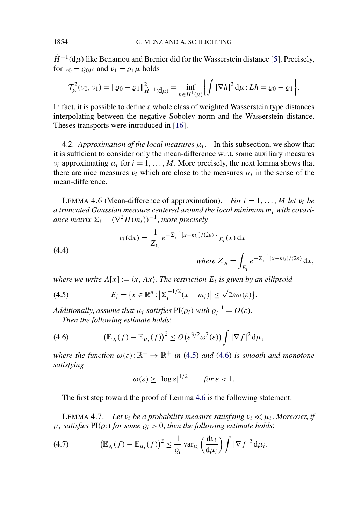<span id="page-45-0"></span> $\dot{H}^{-1}(\mathrm{d}\mu)$  like Benamou and Brenier did for the Wasserstein distance [\[5\]](#page-73-0). Precisely, for  $v_0 = \rho_0 \mu$  and  $v_1 = \rho_1 \mu$  holds

$$
\mathcal{T}_{\mu}^{2}(v_{0}, v_{1}) = ||\varrho_{0} - \varrho_{1}||_{\dot{H}^{-1}(d\mu)}^{2} = \inf_{h \in \dot{H}^{1}(\mu)} \left\{ \int |\nabla h|^{2} d\mu : Lh = \varrho_{0} - \varrho_{1} \right\}.
$$

In fact, it is possible to define a whole class of weighted Wasserstein type distances interpolating between the negative Sobolev norm and the Wasserstein distance. Theses transports were introduced in [\[16\]](#page-73-0).

4.2. *Approximation of the local measures*  $\mu_i$ . In this subsection, we show that it is sufficient to consider only the mean-difference w.r.t. some auxiliary measures *ν<sub>i</sub>* approximating  $\mu_i$  for  $i = 1, \ldots, M$ . More precisely, the next lemma shows that there are nice measures  $v_i$  which are close to the measures  $\mu_i$  in the sense of the mean-difference.

LEMMA 4.6 (Mean-difference of approximation). *For*  $i = 1, \ldots, M$  *let*  $v_i$  *be a truncated Gaussian measure centered around the local minimum mi with covariance matrix*  $\Sigma_i = (\nabla^2 H(m_i))^{-1}$ , *more precisely* 

(4.4) 
$$
v_i(dx) = \frac{1}{Z_{v_i}} e^{-\Sigma_i^{-1}[x-m_i]/(2\varepsilon)} \mathbb{1}_{E_i}(x) dx
$$

$$
where Z_{v_i} = \int_{E_i} e^{-\Sigma_i^{-1}[x-m_i]/(2\varepsilon)} dx,
$$

*where we write*  $A[x] := \langle x, Ax \rangle$ *. The restriction*  $E_i$  *is given by an ellipsoid* 

(4.5) 
$$
E_i = \{x \in \mathbb{R}^n : |\Sigma_i^{-1/2}(x - m_i)| \le \sqrt{2\varepsilon} \omega(\varepsilon)\}.
$$

*Additionally, assume that*  $\mu_i$  *satisfies*  $PI(\varrho_i)$  *with*  $\varrho_i^{-1} = O(\varepsilon)$ *. Then the following estimate holds*:

(4.6) 
$$
\left(\mathbb{E}_{\nu_i}(f)-\mathbb{E}_{\mu_i}(f)\right)^2\leq O\big(\varepsilon^{3/2}\omega^3(\varepsilon)\big)\int |\nabla f|^2\,\mathrm{d}\mu,
$$

*where the function*  $\omega(\varepsilon): \mathbb{R}^+ \to \mathbb{R}^+$  *in* (4.5) *and* (4.6) *is smooth and monotone satisfying*

$$
\omega(\varepsilon) \ge |\log \varepsilon|^{1/2} \qquad \text{for } \varepsilon < 1.
$$

The first step toward the proof of Lemma 4.6 is the following statement.

LEMMA 4.7. *Let*  $v_i$  *be a probability measure satisfying*  $v_i \ll \mu_i$ . Moreover, *if*  $\mu_i$  *satisfies*  $PI(\rho_i)$  *for some*  $\rho_i > 0$ *, then the following estimate holds:* 

(4.7) 
$$
\left(\mathbb{E}_{\nu_i}(f) - \mathbb{E}_{\mu_i}(f)\right)^2 \leq \frac{1}{\varrho_i} \operatorname{var}_{\mu_i}\left(\frac{\mathrm{d}\nu_i}{\mathrm{d}\mu_i}\right) \int |\nabla f|^2 \,\mathrm{d}\mu_i.
$$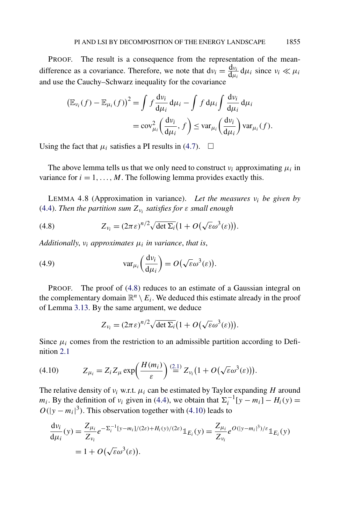<span id="page-46-0"></span>PROOF. The result is a consequence from the representation of the meandifference as a covariance. Therefore, we note that  $dv_i = \frac{dv_i}{d\mu_i} d\mu_i$  since  $v_i \ll \mu_i$ and use the Cauchy–Schwarz inequality for the covariance

$$
\left(\mathbb{E}_{\nu_i}(f) - \mathbb{E}_{\mu_i}(f)\right)^2 = \int f \frac{d\nu_i}{d\mu_i} d\mu_i - \int f d\mu_i \int \frac{d\nu_i}{d\mu_i} d\mu_i
$$

$$
= \text{cov}_{\mu_i}^2 \left(\frac{d\nu_i}{d\mu_i}, f\right) \leq \text{var}_{\mu_i} \left(\frac{d\nu_i}{d\mu_i}\right) \text{var}_{\mu_i}(f).
$$

Using the fact that  $\mu_i$  satisfies a PI results in [\(4.7\)](#page-45-0).  $\Box$ 

The above lemma tells us that we only need to construct  $v_i$  approximating  $\mu_i$  in variance for  $i = 1, \ldots, M$ . The following lemma provides exactly this.

LEMMA 4.8 (Approximation in variance). *Let the measures νi be given by* [\(4.4\)](#page-45-0). *Then the partition sum*  $Z_{v_i}$  *satisfies for*  $\varepsilon$  *small enough* 

(4.8) 
$$
Z_{\nu_i} = (2\pi\varepsilon)^{n/2} \sqrt{\det \Sigma_i} \left(1 + O(\sqrt{\varepsilon} \omega^3(\varepsilon))\right).
$$

*Additionally*, *νi approximates μi in variance*, *that is*,

(4.9) 
$$
\text{var}_{\mu_i}\left(\frac{\mathrm{d}\nu_i}{\mathrm{d}\mu_i}\right) = O\left(\sqrt{\varepsilon}\omega^3(\varepsilon)\right).
$$

PROOF. The proof of (4.8) reduces to an estimate of a Gaussian integral on the complementary domain  $\mathbb{R}^n \setminus E_i$ . We deduced this estimate already in the proof of Lemma [3.13.](#page-33-0) By the same argument, we deduce

$$
Z_{\nu_i} = (2\pi\epsilon)^{n/2} \sqrt{\det \Sigma_i} (1 + O(\sqrt{\epsilon} \omega^3(\epsilon))).
$$

Since  $\mu_i$  comes from the restriction to an admissible partition according to Definition [2.1](#page-6-0)

$$
(4.10) \t Z_{\mu_i} = Z_i Z_{\mu} \exp\left(\frac{H(m_i)}{\varepsilon}\right) \stackrel{(2.1)}{=} Z_{\nu_i} (1 + O(\sqrt{\varepsilon} \omega^3(\varepsilon))).
$$

The relative density of  $v_i$  w.r.t.  $\mu_i$  can be estimated by Taylor expanding *H* around *m<sub>i</sub>*. By the definition of *v<sub>i</sub>* given in [\(4.4\)](#page-45-0), we obtain that  $\Sigma_i^{-1}[y - m_i] - H_i(y) =$  $O(|y - m_i|^3)$ . This observation together with (4.10) leads to

$$
\frac{dv_i}{d\mu_i}(y) = \frac{Z_{\mu_i}}{Z_{\nu_i}} e^{-\Sigma_i^{-1} [y - m_i]/(2\varepsilon) + H_i(y)/(2\varepsilon)} \mathbb{1}_{E_i}(y) = \frac{Z_{\mu_i}}{Z_{\nu_i}} e^{O(|y - m_i|^3)/\varepsilon} \mathbb{1}_{E_i}(y)
$$
  
= 1 + O(\sqrt{\varepsilon} \omega^3(\varepsilon)).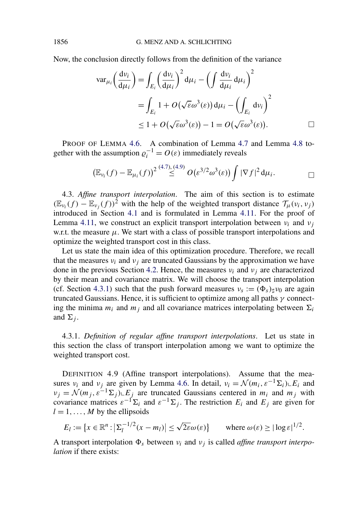<span id="page-47-0"></span>Now, the conclusion directly follows from the definition of the variance

$$
\operatorname{var}_{\mu_i}\left(\frac{\mathrm{d}\nu_i}{\mathrm{d}\mu_i}\right) = \int_{E_i} \left(\frac{\mathrm{d}\nu_i}{\mathrm{d}\mu_i}\right)^2 \mathrm{d}\mu_i - \left(\int \frac{\mathrm{d}\nu_i}{\mathrm{d}\mu_i} \mathrm{d}\mu_i\right)^2
$$
  
= 
$$
\int_{E_i} 1 + O(\sqrt{\varepsilon}\omega^3(\varepsilon)) \mathrm{d}\mu_i - \left(\int_{E_i} \mathrm{d}\nu_i\right)^2
$$
  
\$\leq 1 + O(\sqrt{\varepsilon}\omega^3(\varepsilon)) - 1 = O(\sqrt{\varepsilon}\omega^3(\varepsilon)). \qquad \Box

PROOF OF LEMMA [4.6.](#page-45-0) A combination of Lemma [4.7](#page-45-0) and Lemma [4.8](#page-46-0) together with the assumption  $\varrho_i^{-1} = O(\varepsilon)$  immediately reveals

$$
\left(\mathbb{E}_{\nu_i}(f)-\mathbb{E}_{\mu_i}(f)\right)^2\stackrel{(4.7),(4.9)}{\leq}O\left(\varepsilon^{3/2}\omega^3(\varepsilon)\right)\int|\nabla f|^2\,\mathrm{d}\mu_i.\qquad\qquad\Box
$$

4.3. *Affine transport interpolation*. The aim of this section is to estimate  $(\mathbb{E}_{\nu_i}(f) - \mathbb{E}_{\nu_i}(f))^2$  with the help of the weighted transport distance  $\mathcal{T}_{\mu}(\nu_i, \nu_j)$ introduced in Section [4.1](#page-43-0) and is formulated in Lemma [4.11.](#page-49-0) For the proof of Lemma [4.11,](#page-49-0) we construct an explicit transport interpolation between  $v_i$  and  $v_j$ w.r.t. the measure  $\mu$ . We start with a class of possible transport interpolations and optimize the weighted transport cost in this class.

Let us state the main idea of this optimization procedure. Therefore, we recall that the measures  $v_i$  and  $v_j$  are truncated Gaussians by the approximation we have done in the previous Section [4.2.](#page-45-0) Hence, the measures  $v_i$  and  $v_j$  are characterized by their mean and covariance matrix. We will choose the transport interpolation (cf. Section 4.3.1) such that the push forward measures  $v_s := (\Phi_s)_\sharp v_0$  are again truncated Gaussians. Hence, it is sufficient to optimize among all paths *γ* connecting the minima  $m_i$  and  $m_j$  and all covariance matrices interpolating between  $\Sigma_i$ and  $\Sigma_i$ .

4.3.1. *Definition of regular affine transport interpolations*. Let us state in this section the class of transport interpolation among we want to optimize the weighted transport cost.

DEFINITION 4.9 (Affine transport interpolations). Assume that the measures  $v_i$  and  $v_j$  are given by Lemma [4.6.](#page-45-0) In detail,  $v_i = \mathcal{N}(m_i, \varepsilon^{-1} \Sigma_i) \cup E_i$  and  $\nu_j = \mathcal{N}(m_j, \varepsilon^{-1} \Sigma_j) E_j$  are truncated Gaussians centered in  $m_i$  and  $m_j$  with covariance matrices  $\varepsilon^{-1} \Sigma_i$  and  $\varepsilon^{-1} \Sigma_j$ . The restriction  $E_i$  and  $E_j$  are given for  $l = 1, \ldots, M$  by the ellipsoids

$$
E_l := \{ x \in \mathbb{R}^n : |\Sigma_l^{-1/2} (x - m_l)| \le \sqrt{2\varepsilon} \omega(\varepsilon) \} \quad \text{where } \omega(\varepsilon) \ge |\log \varepsilon|^{1/2}.
$$

A transport interpolation  $\Phi_s$  between  $v_i$  and  $v_j$  is called *affine transport interpolation* if there exists: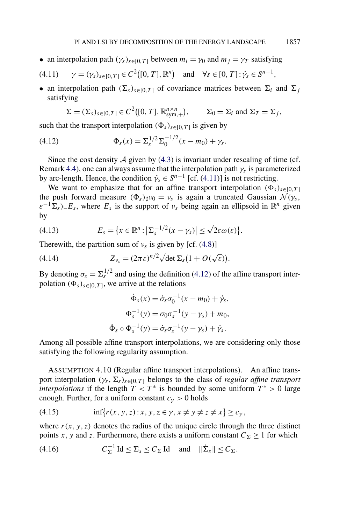- <span id="page-48-0"></span>• an interpolation path  $(\gamma_s)_{s \in [0,T]}$  between  $m_i = \gamma_0$  and  $m_j = \gamma_T$  satisfying
- $\gamma = (\gamma_s)_{s \in [0,T]} \in C^2([0,T], \mathbb{R}^n)$  and  $\forall s \in [0,T]: \dot{\gamma}_s \in S^{n-1}$ ,
- an interpolation path  $(\Sigma_s)_{s \in [0,T]}$  of covariance matrices between  $\Sigma_i$  and  $\Sigma_j$ satisfying

$$
\Sigma = (\Sigma_s)_{s \in [0,T]} \in C^2([0,T], \mathbb{R}^{n \times n}_{sym,+}), \qquad \Sigma_0 = \Sigma_i \text{ and } \Sigma_T = \Sigma_j,
$$

such that the transport interpolation  $(\Phi_s)_{s \in [0,T]}$  is given by

(4.12) 
$$
\Phi_s(x) = \Sigma_s^{1/2} \Sigma_0^{-1/2} (x - m_0) + \gamma_s.
$$

Since the cost density  $A$  given by [\(4.3\)](#page-44-0) is invariant under rescaling of time (cf. Remark [4.4\)](#page-44-0), one can always assume that the interpolation path *γs* is parameterized by arc-length. Hence, the condition  $\dot{\gamma}_s \in S^{n-1}$  [cf. (4.11)] is not restricting.

We want to emphasize that for an affine transport interpolation  $(\Phi_s)_{s \in [0,T]}$ the push forward measure  $(\Phi_s)_\sharp \nu_0 = \nu_s$  is again a truncated Gaussian  $\mathcal{N}(\gamma_s)$ ,  $\varepsilon^{-1} \Sigma_s$ ) $\subset E_s$ , where  $E_s$  is the support of  $\nu_s$  being again an ellipsoid in  $\mathbb{R}^n$  given by

(4.13) 
$$
E_s = \{x \in \mathbb{R}^n : |\Sigma_s^{-1/2}(x - \gamma_s)| \le \sqrt{2\varepsilon} \omega(\varepsilon)\}.
$$

Therewith, the partition sum of  $v_s$  is given by [cf. [\(4.8\)](#page-46-0)]

(4.14) 
$$
Z_{\nu_s} = (2\pi\epsilon)^{n/2} \sqrt{\det \Sigma_s} (1 + O(\sqrt{\epsilon})).
$$

By denoting  $\sigma_s = \Sigma_s^{1/2}$  and using the definition (4.12) of the affine transport interpolation  $(\Phi_s)_{s \in [0,T]}$ , we arrive at the relations

$$
\dot{\Phi}_s(x) = \dot{\sigma}_s \sigma_0^{-1} (x - m_0) + \dot{\gamma}_s,
$$
  

$$
\Phi_s^{-1}(y) = \sigma_0 \sigma_s^{-1} (y - \gamma_s) + m_0,
$$
  

$$
\dot{\Phi}_s \circ \Phi_s^{-1}(y) = \dot{\sigma}_s \sigma_s^{-1} (y - \gamma_s) + \dot{\gamma}_s.
$$

Among all possible affine transport interpolations, we are considering only those satisfying the following regularity assumption.

ASSUMPTION 4.10 (Regular affine transport interpolations). An affine transport interpolation  $(\gamma_s, \Sigma_s)_{s \in [0,T]}$  belongs to the class of *regular affine transport interpolations* if the length  $T < T^*$  is bounded by some uniform  $T^* > 0$  large enough. Further, for a uniform constant  $c<sub>\gamma</sub> > 0$  holds

(4.15) 
$$
\inf \{ r(x, y, z) : x, y, z \in \gamma, x \neq y \neq z \neq x \} \geq c_{\gamma},
$$

where  $r(x, y, z)$  denotes the radius of the unique circle through the three distinct points *x*, *y* and *z*. Furthermore, there exists a uniform constant  $C_{\Sigma} \ge 1$  for which

(4.16) 
$$
C_{\Sigma}^{-1} \operatorname{Id} \leq \Sigma_{s} \leq C_{\Sigma} \operatorname{Id} \quad \text{and} \quad \|\dot{\Sigma}_{s}\| \leq C_{\Sigma}.
$$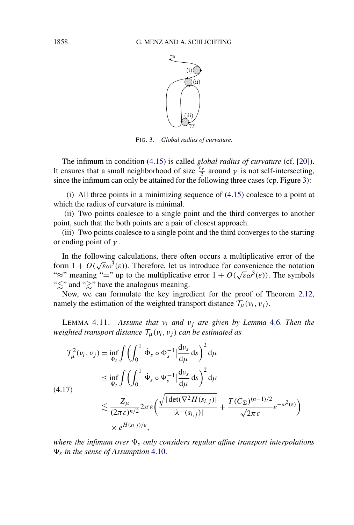

FIG. 3. *Global radius of curvature*.

<span id="page-49-0"></span>The infimum in condition [\(4.15\)](#page-48-0) is called *global radius of curvature* (cf. [\[20\]](#page-73-0)). It ensures that a small neighborhood of size  $\frac{c_y}{2}$  around  $\gamma$  is not self-intersecting, since the infimum can only be attained for the following three cases (cp. Figure 3):

(i) All three points in a minimizing sequence of [\(4.15\)](#page-48-0) coalesce to a point at which the radius of curvature is minimal.

(ii) Two points coalesce to a single point and the third converges to another point, such that the both points are a pair of closest approach.

(iii) Two points coalesce to a single point and the third converges to the starting or ending point of *γ* .

In the following calculations, there often occurs a multiplicative error of the form  $1 + O(\sqrt{\epsilon} \omega^3(\epsilon))$ . Therefore, let us introduce for convenience the notation "≈" meaning "=" up to the multiplicative error  $1 + O(\sqrt{\varepsilon} \omega^3(\varepsilon))$ . The symbols " $\lesssim$ " and " $\gtrsim$ " have the analogous meaning.

Now, we can formulate the key ingredient for the proof of Theorem [2.12,](#page-12-0) namely the estimation of the weighted transport distance  $\mathcal{T}_{\mu}(v_i, v_j)$ .

LEMMA 4.11. *Assume that νi and νj are given by Lemma* [4.6.](#page-45-0) *Then the weighted transport distance*  $\mathcal{T}_{\mu}(v_i, v_j)$  *can be estimated as* 

$$
\mathcal{T}_{\mu}^{2}(v_{i}, v_{j}) = \inf_{\Phi_{s}} \int \left( \int_{0}^{1} |\dot{\Phi}_{s} \circ \Phi_{s}^{-1}| \frac{dv_{s}}{d\mu} ds \right)^{2} d\mu
$$
\n
$$
\leq \inf_{\Psi_{s}} \int \left( \int_{0}^{1} |\dot{\Psi}_{s} \circ \Psi_{s}^{-1}| \frac{dv_{s}}{d\mu} ds \right)^{2} d\mu
$$
\n
$$
\lesssim \frac{Z_{\mu}}{(2\pi \varepsilon)^{n/2}} 2\pi \varepsilon \left( \frac{\sqrt{|\det(\nabla^{2} H(s_{i,j})|}}{|\lambda^{-}(s_{i,j})|} + \frac{T(C_{\Sigma})^{(n-1)/2}}{\sqrt{2\pi \varepsilon}} e^{-\omega^{2}(\varepsilon)} \right)
$$
\n
$$
\times e^{H(s_{i,j})/\varepsilon},
$$

*where the infimum over*  $\Psi_s$  *only considers regular affine transport interpolations s in the sense of Assumption* [4.10.](#page-48-0)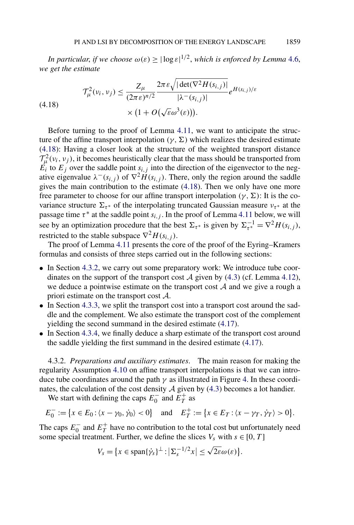<span id="page-50-0"></span>*In particular, if we choose*  $\omega(\varepsilon) \geq |\log \varepsilon|^{1/2}$ , *which is enforced by Lemma* [4.6,](#page-45-0) *we get the estimate*

(4.18) 
$$
\mathcal{T}_{\mu}^{2}(v_{i}, v_{j}) \leq \frac{Z_{\mu}}{(2\pi\epsilon)^{n/2}} \frac{2\pi\epsilon\sqrt{|\det(\nabla^{2}H(s_{i,j})|}}{|\lambda^{-}(s_{i,j})|} e^{H(s_{i,j})/\epsilon} \times (1 + O(\sqrt{\epsilon}\omega^{3}(\epsilon))).
$$

Before turning to the proof of Lemma [4.11,](#page-49-0) we want to anticipate the structure of the affine transport interpolation  $(\gamma, \Sigma)$  which realizes the desired estimate (4.18): Having a closer look at the structure of the weighted transport distance  $\mathcal{T}_{\mu}^{2}(v_{i}, v_{j})$ , it becomes heuristically clear that the mass should be transported from  $E_i$  to  $E_j$  over the saddle point  $s_{i,j}$  into the direction of the eigenvector to the negative eigenvalue  $\lambda^{-}(s_{i,j})$  of  $\nabla^2 H(s_{i,j})$ . There, only the region around the saddle gives the main contribution to the estimate (4.18). Then we only have one more free parameter to choose for our affine transport interpolation  $(\gamma, \Sigma)$ : It is the covariance structure  $\Sigma_{\tau^*}$  of the interpolating truncated Gaussian measure  $v_{\tau^*}$  at the passage time  $\tau^*$  at the saddle point  $s_{i,j}$ . In the proof of Lemma [4.11](#page-49-0) below, we will see by an optimization procedure that the best  $\Sigma_{\tau^*}$  is given by  $\Sigma_{\tau^*}^{-1} = \nabla^2 H(s_{i,j})$ , restricted to the stable subspace  $\nabla^2 H(s_{i,j})$ .

The proof of Lemma [4.11](#page-49-0) presents the core of the proof of the Eyring–Kramers formulas and consists of three steps carried out in the following sections:

- In Section 4.3.2, we carry out some preparatory work: We introduce tube coordinates on the support of the transport cost  $A$  given by [\(4.3\)](#page-44-0) (cf. Lemma [4.12\)](#page-51-0), we deduce a pointwise estimate on the transport cost  $A$  and we give a rough a priori estimate on the transport cost A.
- In Section [4.3.3,](#page-54-0) we split the transport cost into a transport cost around the saddle and the complement. We also estimate the transport cost of the complement yielding the second summand in the desired estimate [\(4.17\)](#page-49-0).
- In Section [4.3.4,](#page-55-0) we finally deduce a sharp estimate of the transport cost around the saddle yielding the first summand in the desired estimate [\(4.17\)](#page-49-0).

4.3.2. *Preparations and auxiliary estimates*. The main reason for making the regularity Assumption [4.10](#page-48-0) on affine transport interpolations is that we can introduce tube coordinates around the path  $\gamma$  as illustrated in Figure [4.](#page-51-0) In these coordinates, the calculation of the cost density  $A$  given by [\(4.3\)](#page-44-0) becomes a lot handier.

We start with defining the caps  $E_0^-$  and  $E_T^+$  as

$$
E_0^- := \{ x \in E_0 : \langle x - \gamma_0, \dot{\gamma}_0 \rangle < 0 \} \quad \text{and} \quad E_T^+ := \{ x \in E_T : \langle x - \gamma_T, \dot{\gamma}_T \rangle > 0 \}.
$$

The caps  $E_0^-$  and  $E_T^+$  have no contribution to the total cost but unfortunately need some special treatment. Further, we define the slices  $V_s$  with  $s \in [0, T]$ 

$$
V_s = \{x \in \text{span}\{\dot{\gamma}_s\}^{\perp} : |\Sigma_s^{-1/2}x| \leq \sqrt{2\varepsilon}\omega(\varepsilon)\}.
$$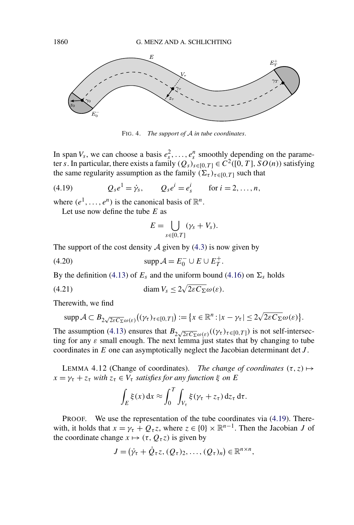

FIG. 4. *The support of* A *in tube coordinates*.

In span  $V_s$ , we can choose a basis  $e_s^2, \ldots, e_s^n$  smoothly depending on the parameter *s*. In particular, there exists a family  $(Q_s)_{s\in[0,T]} \in C^2([0,T], SO(n))$  satisfying the same regularity assumption as the family  $(\Sigma_{\tau})_{\tau \in [0, T]}$  such that

(4.19) 
$$
Q_{s}e^{1} = \dot{\gamma}_{s}, \qquad Q_{s}e^{i} = e_{s}^{i} \qquad \text{for } i = 2, ..., n,
$$

where  $(e^1, \ldots, e^n)$  is the canonical basis of  $\mathbb{R}^n$ .

Let use now define the tube *E* as

$$
E=\bigcup_{s\in[0,T]}(\gamma_s+V_s).
$$

The support of the cost density  $\mathcal A$  given by [\(4.3\)](#page-44-0) is now given by

(4.20)  $\text{supp } A = E_0^- \cup E \cup E_T^+$ .

By the definition [\(4.13\)](#page-48-0) of  $E_s$  and the uniform bound [\(4.16\)](#page-48-0) on  $\Sigma_s$  holds

(4.21) 
$$
\text{diam } V_s \leq 2\sqrt{2\varepsilon C_{\Sigma}}\omega(\varepsilon).
$$

Therewith, we find

$$
\operatorname{supp} \mathcal{A} \subset B_{2\sqrt{2\varepsilon C_{\Sigma}}\omega(\varepsilon)}((\gamma_{\tau})_{\tau \in [0,T]}) := \{x \in \mathbb{R}^n : |x - \gamma_{\tau}| \le 2\sqrt{2\varepsilon C_{\Sigma}}\omega(\varepsilon)\}.
$$

The assumption [\(4.13\)](#page-48-0) ensures that  $B_{2\sqrt{2\varepsilon C_{\Sigma}}\omega(\varepsilon)}((\gamma_{\tau})_{\tau\in[0,T]})$  is not self-intersecting for any  $\varepsilon$  small enough. The next lemma just states that by changing to tube coordinates in *E* one can asymptotically neglect the Jacobian determinant det *J* .

LEMMA 4.12 (Change of coordinates). *The change of coordinates*  $(\tau, z) \mapsto$  $x = \gamma_{\tau} + z_{\tau}$  *with*  $z_{\tau} \in V_{\tau}$  *satisfies for any function*  $\xi$  *on E* 

$$
\int_E \xi(x) dx \approx \int_0^T \int_{V_\tau} \xi(\gamma_\tau + z_\tau) dz_\tau d\tau.
$$

PROOF. We use the representation of the tube coordinates via (4.19). Therewith, it holds that  $x = \gamma_{\tau} + Q_{\tau}z$ , where  $z \in \{0\} \times \mathbb{R}^{n-1}$ . Then the Jacobian *J* of the coordinate change  $x \mapsto (\tau, Q_{\tau}z)$  is given by

$$
J=(\dot{\gamma}_{\tau}+\dot{Q}_{\tau}z, (Q_{\tau})_2, \ldots, (Q_{\tau})_n)\in\mathbb{R}^{n\times n},
$$

<span id="page-51-0"></span>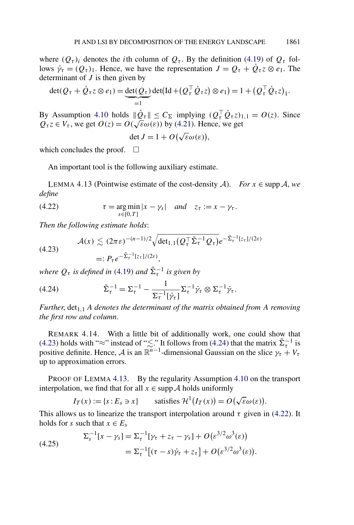<span id="page-52-0"></span>where  $(Q_{\tau})_i$  denotes the *i*th column of  $Q_{\tau}$ . By the definition [\(4.19\)](#page-51-0) of  $Q_{\tau}$  follows  $\dot{\gamma}_\tau = (Q_\tau)_1$ . Hence, we have the representation  $J = Q_\tau + Q_\tau z \otimes e_1$ . The determinant of *J* is then given by

$$
\det(Q_{\tau} + \dot{Q}_{\tau}z \otimes e_1) = \underbrace{\det(Q_{\tau})}_{=1} \det(\mathrm{Id} + (Q_{\tau}^{\top} \dot{Q}_{\tau}z) \otimes e_1) = 1 + (Q_{\tau}^{\top} \dot{Q}_{\tau}z)_{1}.
$$

By Assumption [4.10](#page-48-0) holds  $\|\dot{Q}_{\tau}\| \le C_{\Sigma}$  implying  $(Q_{\tau}^{\top} \dot{Q}_{\tau} z)_{1,1} = O(z)$ . Since  $Q_{\tau} z \in V_{\tau}$ , we get  $O(z) = O(\sqrt{\varepsilon \omega(\varepsilon)})$  by [\(4.21\)](#page-51-0). Hence, we get

det  $J = 1 + O(\sqrt{\varepsilon} \omega(\varepsilon)),$ 

which concludes the proof.  $\square$ 

An important tool is the following auxiliary estimate.

LEMMA 4.13 (Pointwise estimate of the cost-density A). *For*  $x \in \text{supp } A$ , *we define*

(4.22) 
$$
\tau = \underset{s \in [0,T]}{\arg \min} |x - \gamma_s| \quad and \quad z_\tau := x - \gamma_\tau.
$$

*Then the following estimate holds*:

$$
\mathcal{A}(x) \lesssim (2\pi\epsilon)^{-(n-1)/2} \sqrt{\det_{1,1}(Q_t^{\top}\tilde{\Sigma}_\tau^{-1}Q_\tau)} e^{-\tilde{\Sigma}_\tau^{-1}[z_\tau]/(2\epsilon)}
$$
\n
$$
=: P_\tau e^{-\tilde{\Sigma}_\tau^{-1}[z_\tau]/(2\epsilon)},
$$

*where*  $Q_{\tau}$  *is defined in* ([4.19](#page-51-0)) *and*  $\tilde{\Sigma}_{\tau}^{-1}$  *is given by* 

(4.24) 
$$
\tilde{\Sigma}_{\tau}^{-1} = \Sigma_{\tau}^{-1} - \frac{1}{\Sigma_{\tau}^{-1}[\dot{\gamma}_{\tau}]} \Sigma_{\tau}^{-1} \dot{\gamma}_{\tau} \otimes \Sigma_{\tau}^{-1} \dot{\gamma}_{\tau}.
$$

 $Further, det<sub>1,1</sub> A denotes the determinant of the matrix obtained from A removing$ *the first row and column*.

REMARK 4.14. With a little bit of additionally work, one could show that (4.23) holds with "≈" instead of " $\lesssim$ ." It follows from (4.24) that the matrix  $\tilde{\Sigma}_{\tau}^{-1}$  is positive definite. Hence, A is an  $\mathbb{R}^{n-1}$ -dimensional Gaussian on the slice  $\gamma_t + V_\tau$ up to approximation errors.

PROOF OF LEMMA 4.13. By the regularity Assumption [4.10](#page-48-0) on the transport interpolation, we find that for all  $x \in \text{supp } A$  holds uniformly

$$
I_T(x) := \{s : E_s \ni x\}
$$
 satisfies  $\mathcal{H}^1(I_T(x)) = O(\sqrt{\varepsilon} \omega(\varepsilon)).$ 

This allows us to linearize the transport interpolation around  $\tau$  given in (4.22). It holds for *s* such that  $x \in E_s$ 

(4.25) 
$$
\Sigma_s^{-1}[x - \gamma_s] = \Sigma_{\tau}^{-1}[\gamma_{\tau} + z_{\tau} - \gamma_s] + O(\varepsilon^{3/2} \omega^3(\varepsilon)) \n= \Sigma_{\tau}^{-1}[(\tau - s)\dot{\gamma}_{\tau} + z_{\tau}] + O(\varepsilon^{3/2} \omega^3(\varepsilon)).
$$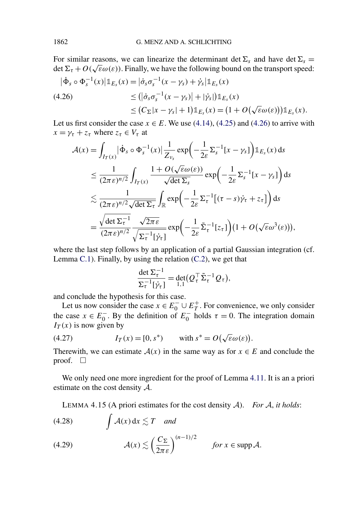<span id="page-53-0"></span>For similar reasons, we can linearize the determinant det  $\Sigma_s$  and have det  $\Sigma_s$ det  $\Sigma_{\tau} + O(\sqrt{\varepsilon} \omega(\varepsilon))$ . Finally, we have the following bound on the transport speed:

$$
\begin{aligned} |\dot{\Phi}_s \circ \Phi_s^{-1}(x)| \mathbb{1}_{E_s}(x) &= |\dot{\sigma}_s \sigma_s^{-1}(x - \gamma_s) + \dot{\gamma}_s | \mathbb{1}_{E_s}(x) \\ &\leq (|\dot{\sigma}_s \sigma_s^{-1}(x - \gamma_s)| + |\dot{\gamma}_s|) \mathbb{1}_{E_s}(x) \\ &\leq (C_\Sigma |x - \gamma_s| + 1) \mathbb{1}_{E_s}(x) = (1 + O(\sqrt{\varepsilon} \omega(\varepsilon))) \mathbb{1}_{E_s}(x). \end{aligned}
$$

Let us first consider the case  $x \in E$ . We use [\(4.14\)](#page-48-0), [\(4.25\)](#page-52-0) and (4.26) to arrive with  $x = \gamma_{\tau} + z_{\tau}$  where  $z_{\tau} \in V_{\tau}$  at

$$
\mathcal{A}(x) = \int_{I_T(x)} |\dot{\Phi}_s \circ \Phi_s^{-1}(x)| \frac{1}{Z_{\nu_s}} \exp\left(-\frac{1}{2\varepsilon} \Sigma_s^{-1}[x - \gamma_s]\right) \mathbb{1}_{E_s}(x) \, ds
$$
  
\n
$$
\leq \frac{1}{(2\pi\varepsilon)^{n/2}} \int_{I_T(x)} \frac{1 + O(\sqrt{\varepsilon}\omega(\varepsilon))}{\sqrt{\det \Sigma_s}} \exp\left(-\frac{1}{2\varepsilon} \Sigma_s^{-1}[x - \gamma_s]\right) \, ds
$$
  
\n
$$
\lesssim \frac{1}{(2\pi\varepsilon)^{n/2} \sqrt{\det \Sigma_t}} \int_{\mathbb{R}} \exp\left(-\frac{1}{2\varepsilon} \Sigma_t^{-1}[(\tau - s)\dot{\gamma}_\tau + z_\tau]\right) \, ds
$$
  
\n
$$
= \frac{\sqrt{\det \Sigma_t^{-1}}}{(2\pi\varepsilon)^{n/2}} \frac{\sqrt{2\pi\varepsilon}}{\sqrt{\Sigma_t^{-1}[\dot{\gamma}_t]}} \exp\left(-\frac{1}{2\varepsilon} \tilde{\Sigma}_\tau^{-1}[z_\tau]\right) (1 + O(\sqrt{\varepsilon}\omega^3(\varepsilon))),
$$

where the last step follows by an application of a partial Gaussian integration (cf. Lemma [C.1\)](#page-69-0). Finally, by using the relation [\(C.2\)](#page-70-0), we get that

$$
\frac{\det \Sigma_{\tau}^{-1}}{\Sigma_{\tau}^{-1}[\dot{\gamma}_{\tau}]} = \det_{1,1}(Q_{\tau}^{\top} \tilde{\Sigma}_{\tau}^{-1} Q_{\tau}),
$$

and conclude the hypothesis for this case.

Let us now consider the case  $x \in E_0^- \cup E_T^+$ . For convenience, we only consider the case  $x \in E_0^-$ . By the definition of  $E_0^-$  holds  $\tau = 0$ . The integration domain  $I_T(x)$  is now given by

(4.27) 
$$
I_T(x) = [0, s^*) \quad \text{with } s^* = O(\sqrt{\varepsilon} \omega(\varepsilon)).
$$

Therewith, we can estimate  $A(x)$  in the same way as for  $x \in E$  and conclude the proof.  $\Box$ 

We only need one more ingredient for the proof of Lemma [4.11.](#page-49-0) It is an a priori estimate on the cost density A.

LEMMA 4.15 (A priori estimates for the cost density A). *For* A, *it holds*:

$$
(4.28) \t\t \t\t \int \mathcal{A}(x) dx \lesssim T \t and
$$

(4.29) 
$$
\mathcal{A}(x) \lesssim \left(\frac{C_{\Sigma}}{2\pi\varepsilon}\right)^{(n-1)/2} \quad \text{for } x \in \text{supp }\mathcal{A}.
$$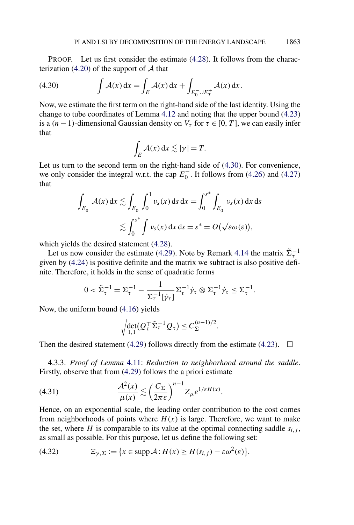<span id="page-54-0"></span>PROOF. Let us first consider the estimate [\(4.28\)](#page-53-0). It follows from the charac-terization [\(4.20\)](#page-51-0) of the support of  $A$  that

(4.30) 
$$
\int \mathcal{A}(x) dx = \int_E \mathcal{A}(x) dx + \int_{E_0^- \cup E_T^+} \mathcal{A}(x) dx.
$$

Now, we estimate the first term on the right-hand side of the last identity. Using the change to tube coordinates of Lemma [4.12](#page-51-0) and noting that the upper bound [\(4.23\)](#page-52-0) is a  $(n-1)$ -dimensional Gaussian density on  $V_\tau$  for  $\tau \in [0, T]$ , we can easily infer that

$$
\int_E \mathcal{A}(x) \, \mathrm{d}x \lesssim |\gamma| = T.
$$

Let us turn to the second term on the right-hand side of (4.30). For convenience, we only consider the integral w.r.t. the cap  $E_0^-$ . It follows from [\(4.26\)](#page-53-0) and [\(4.27\)](#page-53-0) that

$$
\int_{E_0^-} \mathcal{A}(x) dx \lesssim \int_{E_0^-} \int_0^1 \nu_s(x) ds dx = \int_0^{s^*} \int_{E_0^-} \nu_s(x) dx ds
$$
  

$$
\lesssim \int_0^{s^*} \int \nu_s(x) dx ds = s^* = O(\sqrt{\varepsilon} \omega(\varepsilon)),
$$

which yields the desired statement  $(4.28)$ .

Let us now consider the estimate [\(4.29\)](#page-53-0). Note by Remark [4.14](#page-52-0) the matrix  $\tilde{\Sigma}_{\tau}^{-1}$ given by [\(4.24\)](#page-52-0) is positive definite and the matrix we subtract is also positive definite. Therefore, it holds in the sense of quadratic forms

$$
0 < \tilde{\Sigma}_{\tau}^{-1} = \Sigma_{\tau}^{-1} - \frac{1}{\Sigma_{\tau}^{-1}[\dot{\gamma}_{\tau}]} \Sigma_{\tau}^{-1} \dot{\gamma}_{\tau} \otimes \Sigma_{\tau}^{-1} \dot{\gamma}_{\tau} \leq \Sigma_{\tau}^{-1}.
$$

Now, the uniform bound [\(4.16\)](#page-48-0) yields

$$
\sqrt{\det_{1,1}(Q_{\tau}^{\top} \tilde{\Sigma}_{\tau}^{-1} Q_{\tau})} \leq C_{\Sigma}^{(n-1)/2}.
$$

Then the desired statement [\(4.29\)](#page-53-0) follows directly from the estimate [\(4.23\)](#page-52-0).  $\Box$ 

4.3.3. *Proof of Lemma* [4.11:](#page-49-0) *Reduction to neighborhood around the saddle*. Firstly, observe that from [\(4.29\)](#page-53-0) follows the a priori estimate

(4.31) 
$$
\frac{\mathcal{A}^2(x)}{\mu(x)} \lesssim \left(\frac{C_{\Sigma}}{2\pi\varepsilon}\right)^{n-1} Z_{\mu} e^{1/\varepsilon H(x)}.
$$

Hence, on an exponential scale, the leading order contribution to the cost comes from neighborhoods of points where  $H(x)$  is large. Therefore, we want to make the set, where *H* is comparable to its value at the optimal connecting saddle  $s_{i,j}$ , as small as possible. For this purpose, let us define the following set:

(4.32) 
$$
\Xi_{\gamma,\Sigma} := \{x \in \text{supp } \mathcal{A} : H(x) \geq H(s_{i,j}) - \varepsilon \omega^2(\varepsilon)\}.
$$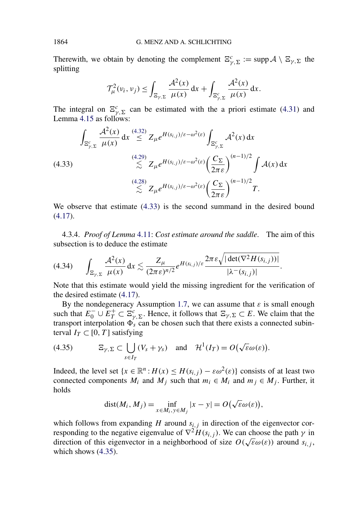Therewith, we obtain by denoting the complement  $\Xi_{\gamma,\Sigma}^c := \text{supp}\,\mathcal{A}\setminus \Xi_{\gamma,\Sigma}$  the splitting

$$
\mathcal{T}_{\mu}^{2}(v_{i}, v_{j}) \leq \int_{\Xi_{\gamma}, \Sigma} \frac{\mathcal{A}^{2}(x)}{\mu(x)} dx + \int_{\Xi_{\gamma}, \Sigma} \frac{\mathcal{A}^{2}(x)}{\mu(x)} dx.
$$

The integral on  $\mathbb{E}_{\gamma,\Sigma}^c$  can be estimated with the a priori estimate [\(4.31\)](#page-54-0) and Lemma [4.15](#page-53-0) as follows:

$$
\int_{\Xi_{\gamma,\Sigma}^c} \frac{\mathcal{A}^2(x)}{\mu(x)} dx \stackrel{(4.32)}{\leq} Z_{\mu} e^{H(s_{i,j})/\varepsilon - \omega^2(\varepsilon)} \int_{\Xi_{\gamma,\Sigma}^c} \mathcal{A}^2(x) dx
$$
\n
$$
\stackrel{(4.29)}{\leq} Z_{\mu} e^{H(s_{i,j})/\varepsilon - \omega^2(\varepsilon)} \left(\frac{C_{\Sigma}}{2\pi\varepsilon}\right)^{(n-1)/2} \int \mathcal{A}(x) dx
$$
\n
$$
\stackrel{(4.28)}{\leq} Z_{\mu} e^{H(s_{i,j})/\varepsilon - \omega^2(\varepsilon)} \left(\frac{C_{\Sigma}}{2\pi\varepsilon}\right)^{(n-1)/2} T.
$$

We observe that estimate (4.33) is the second summand in the desired bound [\(4.17\)](#page-49-0).

4.3.4. *Proof of Lemma* [4.11:](#page-49-0) *Cost estimate around the saddle*. The aim of this subsection is to deduce the estimate

$$
(4.34) \qquad \int_{\Xi_{\gamma,\Sigma}} \frac{\mathcal{A}^2(x)}{\mu(x)} dx \lesssim \frac{Z_{\mu}}{(2\pi\epsilon)^{n/2}} e^{H(s_{i,j})/\epsilon} \frac{2\pi\epsilon \sqrt{|\det(\nabla^2 H(s_{i,j}))|}}{|\lambda^-(s_{i,j})|}.
$$

Note that this estimate would yield the missing ingredient for the verification of the desired estimate [\(4.17\)](#page-49-0).

By the nondegeneracy Assumption [1.7,](#page-5-0) we can assume that  $\varepsilon$  is small enough such that  $E_0^- \cup E_T^+ \subset \Xi_{\gamma,\Sigma}^c$ . Hence, it follows that  $\Xi_{\gamma,\Sigma} \subset E$ . We claim that the transport interpolation  $\Phi_s$  can be chosen such that there exists a connected subinterval  $I_T \subset [0, T]$  satisfying

(4.35) 
$$
\Xi_{\gamma, \Sigma} \subset \bigcup_{s \in I_T} (V_s + \gamma_s) \text{ and } \mathcal{H}^1(I_T) = O(\sqrt{\varepsilon} \omega(\varepsilon)).
$$

Indeed, the level set  $\{x \in \mathbb{R}^n : H(x) \leq H(s_{i,j}) - \varepsilon \omega^2(\varepsilon)\}$  consists of at least two connected components  $M_i$  and  $M_j$  such that  $m_i \in M_i$  and  $m_j \in M_j$ . Further, it holds

$$
dist(M_i, M_j) = \inf_{x \in M_i, y \in M_j} |x - y| = O(\sqrt{\varepsilon} \omega(\varepsilon)),
$$

which follows from expanding  $H$  around  $s_{i,j}$  in direction of the eigenvector corresponding to the negative eigenvalue of  $\nabla^2 H(s_{i,j})$ . We can choose the path  $\gamma$  in direction of this eigenvector in a neighborhood of size  $O(\sqrt{\varepsilon} \omega(\varepsilon))$  around  $s_{i,j}$ , which shows (4.35).

<span id="page-55-0"></span>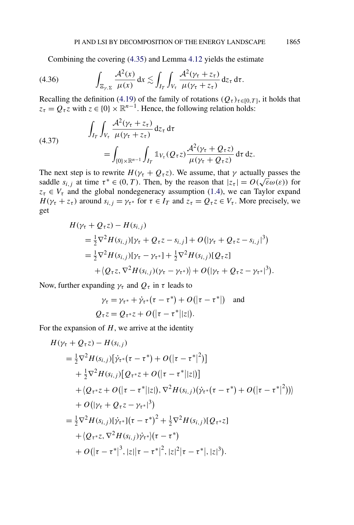<span id="page-56-0"></span>Combining the covering [\(4.35\)](#page-55-0) and Lemma [4.12](#page-51-0) yields the estimate

$$
(4.36) \qquad \int_{\Xi_{\gamma,\Sigma}} \frac{\mathcal{A}^2(x)}{\mu(x)} dx \lesssim \int_{I_T} \int_{V_\tau} \frac{\mathcal{A}^2(\gamma_\tau + z_\tau)}{\mu(\gamma_\tau + z_\tau)} dz_\tau d\tau.
$$

Recalling the definition [\(4.19\)](#page-51-0) of the family of rotations  $(Q_{\tau})_{\tau \in [0,T]}$ , it holds that  $z_{\tau} = Q_{\tau} z$  with  $z \in \{0\} \times \mathbb{R}^{n-1}$ . Hence, the following relation holds:

(4.37) 
$$
\int_{I_T} \int_{V_\tau} \frac{\mathcal{A}^2(\gamma_\tau + z_\tau)}{\mu(\gamma_\tau + z_\tau)} dz_\tau d\tau \n= \int_{\{0\} \times \mathbb{R}^{n-1}} \int_{I_T} \mathbb{1}_{V_\tau} (Q_\tau z) \frac{\mathcal{A}^2(\gamma_\tau + Q_\tau z)}{\mu(\gamma_\tau + Q_\tau z)} d\tau dz.
$$

The next step is to rewrite  $H(\gamma_\tau + Q_\tau z)$ . We assume, that  $\gamma$  actually passes the saddle  $s_{i,j}$  at time  $\tau^* \in (0, T)$ . Then, by the reason that  $|z_{\tau}| = O(\sqrt{\varepsilon} \omega(\varepsilon))$  for  $z_{\tau} \in V_{\tau}$  and the global nondegeneracy assumption [\(1.4\)](#page-3-0), we can Taylor expand *H*( $\gamma_{\tau} + z_{\tau}$ ) around  $s_{i,j} = \gamma_{\tau^*}$  for  $\tau \in I_T$  and  $z_{\tau} = Q_{\tau} z \in V_{\tau}$ . More precisely, we get

$$
H(\gamma_{\tau} + Q_{\tau}z) - H(s_{i,j})
$$
  
=  $\frac{1}{2}\nabla^2 H(s_{i,j})[\gamma_{\tau} + Q_{\tau}z - s_{i,j}] + O(|\gamma_{\tau} + Q_{\tau}z - s_{i,j}|^3)$   
=  $\frac{1}{2}\nabla^2 H(s_{i,j})[\gamma_{\tau} - \gamma_{\tau^*}] + \frac{1}{2}\nabla^2 H(s_{i,j})[Q_{\tau}z]$   
+  $\langle Q_{\tau}z, \nabla^2 H(s_{i,j})(\gamma_{\tau} - \gamma_{\tau^*}) \rangle + O(|\gamma_{\tau} + Q_{\tau}z - \gamma_{\tau^*}|^3).$ 

Now, further expanding  $\gamma_{\tau}$  and  $Q_{\tau}$  in  $\tau$  leads to

$$
\gamma_{\tau} = \gamma_{\tau^*} + \dot{\gamma}_{\tau^*}(\tau - \tau^*) + O(|\tau - \tau^*|)
$$
 and  

$$
Q_{\tau}z = Q_{\tau^*}z + O(|\tau - \tau^*||z|).
$$

For the expansion of  $H$ , we arrive at the identity

$$
H(\gamma_{\tau} + Q_{\tau}z) - H(s_{i,j})
$$
  
\n
$$
= \frac{1}{2}\nabla^{2}H(s_{i,j})[\dot{\gamma}_{\tau^{*}}(\tau - \tau^{*}) + O(|\tau - \tau^{*}|^{2})]
$$
  
\n
$$
+ \frac{1}{2}\nabla^{2}H(s_{i,j})[Q_{\tau^{*}}z + O(|\tau - \tau^{*}||z|)]
$$
  
\n
$$
+ \langle Q_{\tau^{*}}z + O(|\tau - \tau^{*}||z|), \nabla^{2}H(s_{i,j})(\dot{\gamma}_{\tau^{*}}(\tau - \tau^{*}) + O(|\tau - \tau^{*}|^{2})) \rangle
$$
  
\n
$$
+ O(|\gamma_{\tau} + Q_{\tau}z - \gamma_{\tau^{*}}|^{3})
$$
  
\n
$$
= \frac{1}{2}\nabla^{2}H(s_{i,j})[\dot{\gamma}_{\tau^{*}}](\tau - \tau^{*})^{2} + \frac{1}{2}\nabla^{2}H(s_{i,j})[Q_{\tau^{*}}z]
$$
  
\n
$$
+ \langle Q_{\tau^{*}}z, \nabla^{2}H(s_{i,j})\dot{\gamma}_{\tau^{*}}\rangle(\tau - \tau^{*})
$$
  
\n
$$
+ O(|\tau - \tau^{*}|^{3}, |z||\tau - \tau^{*}|^{2}, |z|^{2}|\tau - \tau^{*}|, |z|^{3}).
$$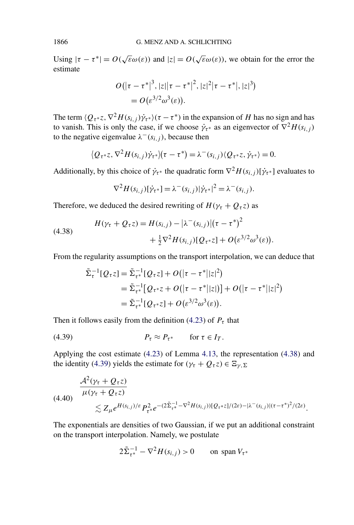Using  $|\tau - \tau^*| = O(\sqrt{\varepsilon} \omega(\varepsilon))$  and  $|z| = O(\sqrt{\varepsilon} \omega(\varepsilon))$ , we obtain for the error the estimate

$$
O(|\tau - \tau^*|^3, |z||\tau - \tau^*|^2, |z|^2|\tau - \tau^*|, |z|^3)
$$
  
=  $O(\varepsilon^{3/2} \omega^3(\varepsilon)).$ 

The term  $\langle Q_{\tau} \cdot z, \nabla^2 H(s_{i,j}) \dot{\gamma}_{\tau} \cdot \rangle (\tau - \tau^*)$  in the expansion of *H* has no sign and has to vanish. This is only the case, if we choose  $\dot{\gamma}_{\tau^*}$  as an eigenvector of  $\nabla^2 H(s_{i,j})$ to the negative eigenvalue  $\lambda^{-}(s_{i,j})$ , because then

$$
\langle Q_{\tau^*}z, \nabla^2 H(s_{i,j})\dot{\gamma}_{\tau^*}\rangle(\tau-\tau^*)=\lambda^-(s_{i,j})\langle Q_{\tau^*}z, \dot{\gamma}_{\tau^*}\rangle=0.
$$

Additionally, by this choice of  $\dot{\gamma}_{\tau^*}$  the quadratic form  $\nabla^2 H(s_{i,j})[\dot{\gamma}_{\tau^*}]$  evaluates to

$$
\nabla^2 H(s_{i,j})[\dot{\gamma}_{\tau^*}] = \lambda^-(s_{i,j})|\dot{\gamma}_{\tau^*}|^2 = \lambda^-(s_{i,j}).
$$

Therefore, we deduced the desired rewriting of  $H(\gamma_\tau + Q_\tau z)$  as

(4.38) 
$$
H(\gamma_{\tau} + Q_{\tau} z) = H(s_{i,j}) - |\lambda^{-}(s_{i,j})| (\tau - \tau^{*})^{2} + \frac{1}{2} \nabla^{2} H(s_{i,j}) [Q_{\tau^{*}} z] + O(\varepsilon^{3/2} \omega^{3}(\varepsilon)).
$$

From the regularity assumptions on the transport interpolation, we can deduce that

$$
\tilde{\Sigma}_{\tau}^{-1}[Q_{\tau}z] = \tilde{\Sigma}_{\tau^*}^{-1}[Q_{\tau}z] + O(|\tau - \tau^*||z|^2) \n= \tilde{\Sigma}_{\tau^*}^{-1}[Q_{\tau^*}z + O(|\tau - \tau^*||z|)] + O(|\tau - \tau^*||z|^2) \n= \tilde{\Sigma}_{\tau^*}^{-1}[Q_{\tau^*}z] + O(\varepsilon^{3/2}\omega^3(\varepsilon)).
$$

Then it follows easily from the definition [\(4.23\)](#page-52-0) of  $P_\tau$  that

$$
(4.39) \t\t\t P_{\tau} \approx P_{\tau^*} \t\t \text{for } \tau \in I_T.
$$

Applying the cost estimate [\(4.23\)](#page-52-0) of Lemma [4.13,](#page-52-0) the representation (4.38) and the identity (4.39) yields the estimate for  $(\gamma_{\tau} + Q_{\tau}z) \in \Xi_{\gamma, \Sigma}$ 

$$
(4.40) \frac{\mathcal{A}^2(\gamma_{\tau} + Q_{\tau} z)}{\mu(\gamma_{\tau} + Q_{\tau} z)} \lesssim Z_{\mu} e^{H(s_{i,j})/\varepsilon} P_{\tau^*}^2 e^{-(2\tilde{\Sigma}_{\tau^*}^{-1} - \nabla^2 H(s_{i,j}))[Q_{\tau^*} z]/(2\varepsilon) - |\lambda^-(s_{i,j})|(\tau - \tau^*)^2/(2\varepsilon)}.
$$

The exponentials are densities of two Gaussian, if we put an additional constraint on the transport interpolation. Namely, we postulate

$$
2\tilde{\Sigma}_{\tau^*}^{-1} - \nabla^2 H(s_{i,j}) > 0 \qquad \text{on span } V_{\tau^*}
$$

<span id="page-57-0"></span>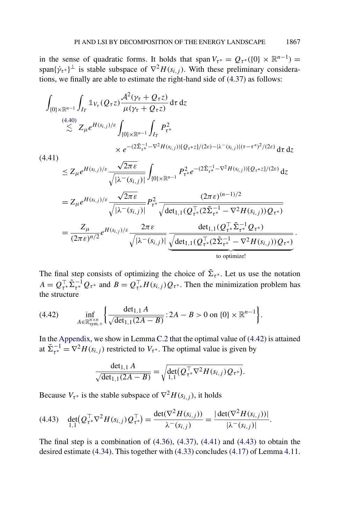in the sense of quadratic forms. It holds that span  $V_{\tau}$  ≠ =  $Q_{\tau}$  \* ({0} × R<sup>n-1</sup>) = span $\{\dot{\gamma}_{\tau^*}\}^{\perp}$  is stable subspace of  $\nabla^2 H(s_{i,j})$ . With these preliminary considerations, we finally are able to estimate the right-hand side of [\(4.37\)](#page-56-0) as follows:

$$
\int_{\{0\} \times \mathbb{R}^{n-1}} \int_{I_T} \mathbb{1}_{V_{\tau}}(Q_{\tau}z) \frac{\mathcal{A}^2(\gamma_{\tau} + Q_{\tau}z)}{\mu(\gamma_{\tau} + Q_{\tau}z)} d\tau dz
$$
\n
$$
\lesssim 2_{\mu} e^{H(s_{i,j})/\varepsilon} \int_{\{0\} \times \mathbb{R}^{n-1}} \int_{I_T} P_{\tau^*}^2
$$
\n
$$
\times e^{-(2\tilde{\Sigma}_{\tau^*}^{-1} - \nabla^2 H(s_{i,j}))[Q_{\tau^*}z]/(2\varepsilon) - |\lambda - (s_{i,j})|(\tau - \tau^*)^2/(2\varepsilon)} d\tau dz
$$
\n
$$
\leq Z_{\mu} e^{H(s_{i,j})/\varepsilon} \frac{\sqrt{2\pi\varepsilon}}{\sqrt{|\lambda - (s_{i,j})|}} \int_{\{0\} \times \mathbb{R}^{n-1}} P_{\tau^*}^2 e^{-(2\tilde{\Sigma}_{\tau^*}^{-1} - \nabla^2 H(s_{i,j}))[Q_{\tau^*}z]/(2\varepsilon)} d\tau
$$
\n
$$
= Z_{\mu} e^{H(s_{i,j})/\varepsilon} \frac{\sqrt{2\pi\varepsilon}}{\sqrt{|\lambda - (s_{i,j})|}} P_{\tau^*}^2 \frac{(2\pi\varepsilon)^{(n-1)/2}}{\sqrt{\det_{1,1}(Q_{\tau^*}^T(2\tilde{\Sigma}_{\tau^*}^{-1} - \nabla^2 H(s_{i,j}))Q_{\tau^*})}}
$$
\n
$$
= \frac{Z_{\mu}}{(2\pi\varepsilon)^{n/2}} e^{H(s_{i,j})/\varepsilon} \frac{2\pi\varepsilon}{\sqrt{|\lambda - (s_{i,j})|}} \frac{\det_{1,1}(Q_{\tau^*}^T(2\tilde{\Sigma}_{\tau^*}^{-1} - \nabla^2 H(s_{i,j}))Q_{\tau^*})}{\text{to optimize!}}
$$

The final step consists of optimizing the choice of  $\tilde{\Sigma}_{\tau^*}$ . Let us use the notation  $A = Q_{\tau^*}^{\top} \tilde{\Sigma}_{\tau^*}^{-1} Q_{\tau^*}$  and  $B = Q_{\tau^*}^{\top} H(s_{i,j}) Q_{\tau^*}$ . Then the minimization problem has the structure

(4.42) 
$$
\inf_{A \in \mathbb{R}_{sym,+}^{n \times n}} \left\{ \frac{\det_{1,1} A}{\sqrt{\det_{1,1} (2A - B)}} : 2A - B > 0 \text{ on } \{0\} \times \mathbb{R}^{n-1} \right\}.
$$

In the [Appendix,](#page-60-0) we show in Lemma [C.2](#page-71-0) that the optimal value of  $(4.42)$  is attained at  $\tilde{\Sigma}_{\tau^*}^{-1} = \nabla^2 H(s_{i,j})$  restricted to  $V_{\tau^*}$ . The optimal value is given by

$$
\frac{\det_{1,1} A}{\sqrt{\det_{1,1}(2A-B)}} = \sqrt{\det_{1,1}(Q_{\tau^*}^\top \nabla^2 H(s_{i,j}) Q_{\tau^*})}.
$$

Because  $V_{\tau^*}$  is the stable subspace of  $\nabla^2 H(s_{i,j})$ , it holds

$$
(4.43) \quad \det_{1,1}(Q_{\tau^*}^\top \nabla^2 H(s_{i,j}) Q_{\tau^*}^\top) = \frac{\det(\nabla^2 H(s_{i,j}))}{\lambda^-(s_{i,j})} = \frac{|\det(\nabla^2 H(s_{i,j}))|}{|\lambda^-(s_{i,j})|}.
$$

The final step is a combination of  $(4.36)$ ,  $(4.37)$ ,  $(4.41)$  and  $(4.43)$  to obtain the desired estimate [\(4.34\)](#page-55-0). This together with [\(4.33\)](#page-55-0) concludes [\(4.17\)](#page-49-0) of Lemma [4.11.](#page-49-0)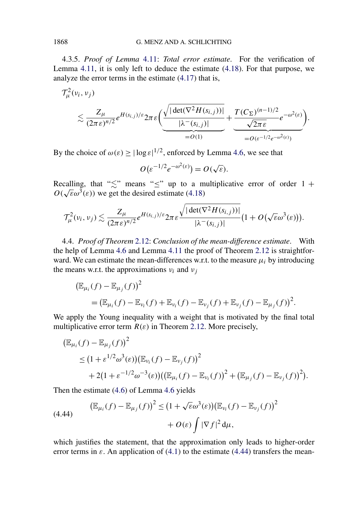<span id="page-59-0"></span>4.3.5. *Proof of Lemma* [4.11:](#page-49-0) *Total error estimate*. For the verification of Lemma [4.11,](#page-49-0) it is only left to deduce the estimate [\(4.18\)](#page-50-0). For that purpose, we analyze the error terms in the estimate [\(4.17\)](#page-49-0) that is,

$$
\mathcal{T}_{\mu}^{2}(v_{i}, v_{j})\n\lesssim \frac{Z_{\mu}}{(2\pi\epsilon)^{n/2}}e^{H(s_{i,j})/\epsilon}2\pi\epsilon \left(\frac{\sqrt{|\det(\nabla^{2}H(s_{i,j}))|}}{|\lambda^{-}(s_{i,j})|} + \frac{T(C_{\Sigma})^{(n-1)/2}}{\sqrt{2\pi\epsilon}}e^{-\omega^{2}(\epsilon)}\right)\n= O(1)\n\qquad \qquad \underbrace{-O(\epsilon^{-1/2}e^{-\omega^{2}(\epsilon)})}.
$$

By the choice of  $\omega(\varepsilon) \ge |\log \varepsilon|^{1/2}$ , enforced by Lemma [4.6,](#page-45-0) we see that

$$
O(\varepsilon^{-1/2}e^{-\omega^2(\varepsilon)})=O(\sqrt{\varepsilon}).
$$

Recalling, that " $\leq$ " means " $\leq$ " up to a multiplicative error of order 1 +  $O(\sqrt{\epsilon}\omega^3(\epsilon))$  we get the desired estimate [\(4.18\)](#page-50-0)

$$
\mathcal{T}_{\mu}^{2}(v_{i}, v_{j}) \lesssim \frac{Z_{\mu}}{(2\pi \varepsilon)^{n/2}} e^{H(s_{i,j})/\varepsilon} 2\pi \varepsilon \frac{\sqrt{|\det(\nabla^{2} H(s_{i,j}))|}}{|\lambda^{-}(s_{i,j})|} (1 + O(\sqrt{\varepsilon} \omega^{3}(\varepsilon))).
$$

4.4. *Proof of Theorem* [2.12:](#page-12-0) *Conclusion of the mean-difference estimate*. With the help of Lemma [4.6](#page-45-0) and Lemma [4.11](#page-49-0) the proof of Theorem [2.12](#page-12-0) is straightforward. We can estimate the mean-differences w.r.t. to the measure  $\mu_i$  by introducing the means w.r.t. the approximations  $v_i$  and  $v_j$ 

$$
\begin{aligned} \left(\mathbb{E}_{\mu_i}(f) - \mathbb{E}_{\mu_j}(f)\right)^2 \\ &= \left(\mathbb{E}_{\mu_i}(f) - \mathbb{E}_{\nu_i}(f) + \mathbb{E}_{\nu_i}(f) - \mathbb{E}_{\nu_j}(f) + \mathbb{E}_{\nu_j}(f) - \mathbb{E}_{\mu_j}(f)\right)^2. \end{aligned}
$$

We apply the Young inequality with a weight that is motivated by the final total multiplicative error term  $R(\varepsilon)$  in Theorem [2.12.](#page-12-0) More precisely,

$$
\begin{aligned} \left(\mathbb{E}_{\mu_i}(f) - \mathbb{E}_{\mu_j}(f)\right)^2 &\leq (1 + \varepsilon^{1/2} \omega^3(\varepsilon) \left(\mathbb{E}_{\nu_i}(f) - \mathbb{E}_{\nu_j}(f)\right)^2 \\ &+ 2(1 + \varepsilon^{-1/2} \omega^{-3}(\varepsilon) \left(\left(\mathbb{E}_{\mu_i}(f) - \mathbb{E}_{\nu_i}(f)\right)^2 + \left(\mathbb{E}_{\mu_j}(f) - \mathbb{E}_{\nu_j}(f)\right)^2\right). \end{aligned}
$$

Then the estimate [\(4.6\)](#page-45-0) of Lemma [4.6](#page-45-0) yields

(4.44) 
$$
\left(\mathbb{E}_{\mu_i}(f) - \mathbb{E}_{\mu_j}(f)\right)^2 \leq \left(1 + \sqrt{\varepsilon}\omega^3(\varepsilon)\right)\left(\mathbb{E}_{\nu_i}(f) - \mathbb{E}_{\nu_j}(f)\right)^2 + O(\varepsilon) \int |\nabla f|^2 d\mu,
$$

which justifies the statement, that the approximation only leads to higher-order error terms in  $\varepsilon$ . An application of [\(4.1\)](#page-43-0) to the estimate (4.44) transfers the mean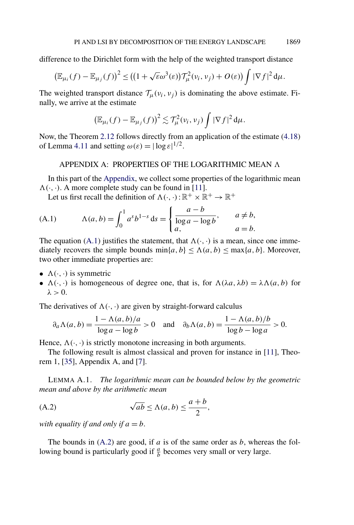<span id="page-60-0"></span>difference to the Dirichlet form with the help of the weighted transport distance

$$
\left(\mathbb{E}_{\mu_i}(f) - \mathbb{E}_{\mu_j}(f)\right)^2 \leq \left((1 + \sqrt{\varepsilon}\omega^3(\varepsilon))\mathcal{T}_{\mu}^2(\nu_i, \nu_j) + O(\varepsilon)\right) \int |\nabla f|^2 d\mu.
$$

The weighted transport distance  $\mathcal{T}_{\mu}(v_i, v_j)$  is dominating the above estimate. Finally, we arrive at the estimate

$$
\left(\mathbb{E}_{\mu_i}(f)-\mathbb{E}_{\mu_j}(f)\right)^2\lesssim \mathcal{T}^2_\mu(\nu_i,\nu_j)\int |\nabla f|^2\,\mathrm{d}\mu.
$$

Now, the Theorem [2.12](#page-12-0) follows directly from an application of the estimate [\(4.18\)](#page-50-0) of Lemma [4.11](#page-49-0) and setting  $\omega(\varepsilon) = |\log \varepsilon|^{1/2}$ .

## APPENDIX A: PROPERTIES OF THE LOGARITHMIC MEAN A

In this part of the Appendix, we collect some properties of the logarithmic mean  $\Lambda(\cdot, \cdot)$ . A more complete study can be found in [\[11\]](#page-73-0).

Let us first recall the definition of  $\Lambda(\cdot, \cdot): \mathbb{R}^+ \times \mathbb{R}^+ \to \mathbb{R}^+$ 

(A.1) 
$$
\Lambda(a, b) = \int_0^1 a^s b^{1-s} ds = \begin{cases} \frac{a-b}{\log a - \log b}, & a \neq b, \\ a, & a = b. \end{cases}
$$

The equation (A.1) justifies the statement, that  $\Lambda(\cdot, \cdot)$  is a mean, since one immediately recovers the simple bounds  $\min\{a, b\} \leq \Lambda(a, b) \leq \max\{a, b\}$ . Moreover, two other immediate properties are:

- $\Lambda(\cdot, \cdot)$  is symmetric
- $\Lambda(\cdot, \cdot)$  is homogeneous of degree one, that is, for  $\Lambda(\lambda a, \lambda b) = \lambda \Lambda(a, b)$  for  $\lambda > 0$ .

The derivatives of  $\Lambda(\cdot, \cdot)$  are given by straight-forward calculus

$$
\partial_a \Lambda(a, b) = \frac{1 - \Lambda(a, b)/a}{\log a - \log b} > 0 \quad \text{and} \quad \partial_b \Lambda(a, b) = \frac{1 - \Lambda(a, b)/b}{\log b - \log a} > 0.
$$

Hence,  $\Lambda(\cdot, \cdot)$  is strictly monotone increasing in both arguments.

The following result is almost classical and proven for instance in [\[11\]](#page-73-0), Theorem 1, [\[35\]](#page-74-0), Appendix A, and [\[7\]](#page-73-0).

LEMMA A.1. *The logarithmic mean can be bounded below by the geometric mean and above by the arithmetic mean*

(A.2) 
$$
\sqrt{ab} \le \Lambda(a, b) \le \frac{a+b}{2},
$$

*with equality if and only if*  $a = b$ .

The bounds in (A.2) are good, if *a* is of the same order as *b*, whereas the following bound is particularly good if  $\frac{a}{b}$  becomes very small or very large.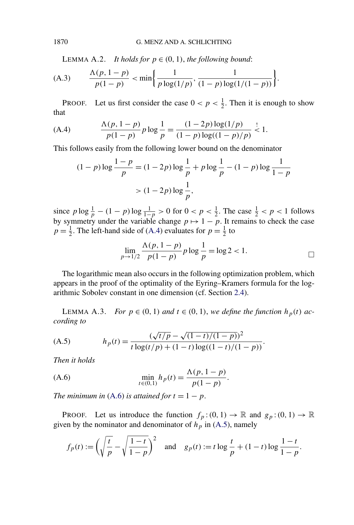LEMMA A.2. *It holds for*  $p \in (0, 1)$ *, the following bound:* 

(A.3) 
$$
\frac{\Lambda(p, 1-p)}{p(1-p)} < \min\left\{\frac{1}{p\log(1/p)}, \frac{1}{(1-p)\log(1/(1-p))}\right\}.
$$

PROOF. Let us first consider the case  $0 < p < \frac{1}{2}$ . Then it is enough to show that

(A.4) 
$$
\frac{\Lambda(p, 1-p)}{p(1-p)} p \log \frac{1}{p} = \frac{(1-2p) \log(1/p)}{(1-p) \log((1-p)/p)} \le 1.
$$

This follows easily from the following lower bound on the denominator

$$
(1-p)\log\frac{1-p}{p} = (1-2p)\log\frac{1}{p} + p\log\frac{1}{p} - (1-p)\log\frac{1}{1-p}
$$

$$
> (1-2p)\log\frac{1}{p},
$$

since  $p \log \frac{1}{p} - (1 - p) \log \frac{1}{1 - p} > 0$  for  $0 < p < \frac{1}{2}$ . The case  $\frac{1}{2} < p < 1$  follows by symmetry under the variable change  $p \mapsto 1 - p$ . It remains to check the case  $p = \frac{1}{2}$ . The left-hand side of (A.4) evaluates for  $p = \frac{1}{2}$  to

$$
\lim_{p \to 1/2} \frac{\Lambda(p, 1-p)}{p(1-p)} p \log \frac{1}{p} = \log 2 < 1.
$$

The logarithmic mean also occurs in the following optimization problem, which appears in the proof of the optimality of the Eyring–Kramers formula for the logarithmic Sobolev constant in one dimension (cf. Section [2.4\)](#page-18-0).

LEMMA A.3. *For*  $p \in (0, 1)$  *and*  $t \in (0, 1)$ *, we define the function*  $h_p(t)$  *according to*

(A.5) 
$$
h_p(t) = \frac{(\sqrt{t/p} - \sqrt{(1-t)/(1-p)})^2}{t \log(t/p) + (1-t) \log((1-t)/(1-p))}.
$$

*Then it holds*

(A.6) 
$$
\min_{t \in (0,1)} h_p(t) = \frac{\Lambda(p, 1-p)}{p(1-p)}.
$$

*The minimum in* (A.6) *is attained for*  $t = 1 - p$ .

**PROOF.** Let us introduce the function  $f_p:(0,1) \to \mathbb{R}$  and  $g_p:(0,1) \to \mathbb{R}$ given by the nominator and denominator of  $h_p$  in (A.5), namely

$$
f_p(t) := \left(\sqrt{\frac{t}{p}} - \sqrt{\frac{1-t}{1-p}}\right)^2
$$
 and  $g_p(t) := t \log \frac{t}{p} + (1-t) \log \frac{1-t}{1-p}$ .

<span id="page-61-0"></span>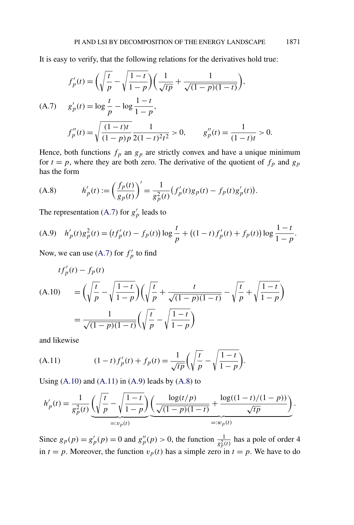It is easy to verify, that the following relations for the derivatives hold true:

$$
f_p'(t) = \left(\sqrt{\frac{t}{p}} - \sqrt{\frac{1-t}{1-p}}\right) \left(\frac{1}{\sqrt{tp}} + \frac{1}{\sqrt{(1-p)(1-t)}}\right),
$$
  
(A.7) 
$$
g_p'(t) = \log \frac{t}{p} - \log \frac{1-t}{1-p},
$$

$$
f_p''(t) = \sqrt{\frac{(1-t)t}{(1-p)p}} \frac{1}{2(1-t)^2 t^2} > 0, \qquad g_p''(t) = \frac{1}{(1-t)t} > 0.
$$

Hence, both functions  $f_p$  an  $g_p$  are strictly convex and have a unique minimum for  $t = p$ , where they are both zero. The derivative of the quotient of  $f_p$  and  $g_p$ has the form

(A.8) 
$$
h'_{p}(t) := \left(\frac{f_{p}(t)}{g_{p}(t)}\right)' = \frac{1}{g_{p}^{2}(t)} \left(f'_{p}(t)g_{p}(t) - f_{p}(t)g'_{p}(t)\right).
$$

The representation (A.7) for  $g'_p$  leads to

(A.9) 
$$
h'_p(t)g_p^2(t) = (tf'_p(t) - f_p(t))\log \frac{t}{p} + ((1-t)f'_p(t) + f_p(t))\log \frac{1-t}{1-p}
$$
.

Now, we can use (A.7) for  $f'_p$  to find

$$
tf'_{p}(t) - f_{p}(t)
$$
  
(A.10) 
$$
= \left(\sqrt{\frac{t}{p}} - \sqrt{\frac{1-t}{1-p}}\right) \left(\sqrt{\frac{t}{p}} + \frac{t}{\sqrt{(1-p)(1-t)}} - \sqrt{\frac{t}{p}} + \sqrt{\frac{1-t}{1-p}}\right)
$$

$$
= \frac{1}{\sqrt{(1-p)(1-t)}} \left(\sqrt{\frac{t}{p}} - \sqrt{\frac{1-t}{1-p}}\right)
$$

and likewise

(A.11) 
$$
(1-t)f_p'(t) + f_p(t) = \frac{1}{\sqrt{tp}} \left( \sqrt{\frac{t}{p}} - \sqrt{\frac{1-t}{1-p}} \right).
$$

Using  $(A.10)$  and  $(A.11)$  in  $(A.9)$  leads by  $(A.8)$  to

$$
h'_{p}(t) = \frac{1}{g_{p}^{2}(t)} \underbrace{\left(\sqrt{\frac{t}{p}} - \sqrt{\frac{1-t}{1-p}}\right)}_{=:v_{p}(t)} \underbrace{\left(\frac{\log(t/p)}{\sqrt{(1-p)(1-t)}} + \frac{\log((1-t)/(1-p))}{\sqrt{tp}}\right)}_{=:w_{p}(t)}.
$$

Since  $g_p(p) = g'_p(p) = 0$  and  $g''_p(p) > 0$ , the function  $\frac{1}{g_p^2(t)}$  has a pole of order 4 in  $t = p$ . Moreover, the function  $v_p(t)$  has a simple zero in  $t = p$ . We have to do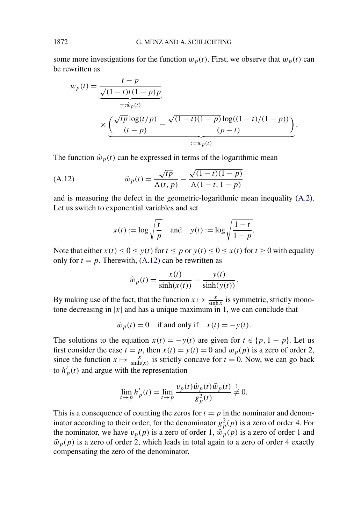some more investigations for the function  $w_p(t)$ . First, we observe that  $w_p(t)$  can be rewritten as

$$
w_p(t) = \frac{t - p}{\sqrt{(1 - t)t(1 - p)p}}
$$
  
=:\hat{w}\_p(t)  

$$
\times \underbrace{\left(\frac{\sqrt{tp} \log(t/p)}{(t - p)} - \frac{\sqrt{(1 - t)(1 - p)} \log((1 - t)/(1 - p))}{(p - t)}\right)}_{:=\tilde{w}_p(t)}.
$$

The function  $\tilde{w}_p(t)$  can be expressed in terms of the logarithmic mean

(A.12) 
$$
\tilde{w}_p(t) = \frac{\sqrt{tp}}{\Lambda(t, p)} - \frac{\sqrt{(1-t)(1-p)}}{\Lambda(1-t, 1-p)}
$$

and is measuring the defect in the geometric-logarithmic mean inequality [\(A.2\)](#page-60-0). Let us switch to exponential variables and set

$$
x(t) := \log \sqrt{\frac{t}{p}} \quad \text{and} \quad y(t) := \log \sqrt{\frac{1-t}{1-p}}.
$$

Note that either  $x(t) \le 0 \le y(t)$  for  $t \le p$  or  $y(t) \le 0 \le x(t)$  for  $t \ge 0$  with equality only for  $t = p$ . Therewith, (A.12) can be rewritten as

$$
\tilde{w}_p(t) = \frac{x(t)}{\sinh(x(t))} - \frac{y(t)}{\sinh(y(t))}.
$$

By making use of the fact, that the function  $x \mapsto \frac{x}{\sinh x}$  is symmetric, strictly monotone decreasing in  $|x|$  and has a unique maximum in 1, we can conclude that

$$
\tilde{w}_p(t) = 0
$$
 if and only if  $x(t) = -y(t)$ .

The solutions to the equation  $x(t) = -y(t)$  are given for  $t \in \{p, 1 - p\}$ . Let us first consider the case  $t = p$ , then  $x(t) = y(t) = 0$  and  $w_p(p)$  is a zero of order 2, since the function  $x \mapsto \frac{x}{\sinh(x)}$  is strictly concave for  $t = 0$ . Now, we can go back to  $h'_p(t)$  and argue with the representation

$$
\lim_{t \to p} h'_p(t) = \lim_{t \to p} \frac{v_p(t)\hat{w}_p(t)\tilde{w}_p(t)}{g_p^2(t)} \neq 0.
$$

This is a consequence of counting the zeros for  $t = p$  in the nominator and denominator according to their order; for the denominator  $g_p^2(p)$  is a zero of order 4. For the nominator, we have  $v_p(p)$  is a zero of order 1,  $\hat{w}_p(p)$  is a zero of order 1 and  $\tilde{w}_p(p)$  is a zero of order 2, which leads in total again to a zero of order 4 exactly compensating the zero of the denominator.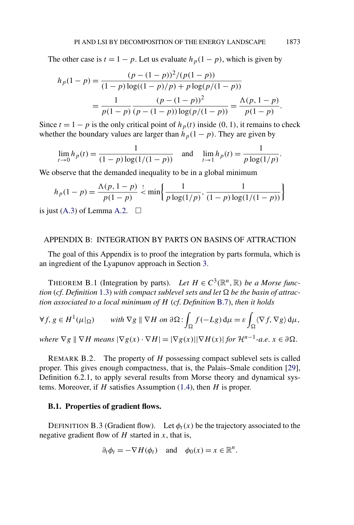<span id="page-64-0"></span>The other case is  $t = 1 - p$ . Let us evaluate  $h_p(1 - p)$ , which is given by

$$
h_p(1-p) = \frac{(p - (1-p))^2/(p(1-p))}{(1-p)\log((1-p)/p) + p\log(p/(1-p))}
$$
  
= 
$$
\frac{1}{p(1-p)} \frac{(p - (1-p))^2}{(p - (1-p))\log(p/(1-p))} = \frac{\Lambda(p, 1-p)}{p(1-p)}.
$$

Since  $t = 1 - p$  is the only critical point of  $h_p(t)$  inside (0, 1), it remains to check whether the boundary values are larger than  $h_p(1 - p)$ . They are given by

$$
\lim_{t \to 0} h_p(t) = \frac{1}{(1-p) \log(1/(1-p))} \quad \text{and} \quad \lim_{t \to 1} h_p(t) = \frac{1}{p \log(1/p)}.
$$

We observe that the demanded inequality to be in a global minimum

$$
h_p(1-p) = \frac{\Lambda(p, 1-p)}{p(1-p)} \stackrel{!}{\leq} \min\left\{\frac{1}{p\log(1/p)}, \frac{1}{(1-p)\log(1/(1-p))}\right\}
$$

is just [\(A.3\)](#page-61-0) of Lemma [A.2.](#page-61-0)  $\Box$ 

#### APPENDIX B: INTEGRATION BY PARTS ON BASINS OF ATTRACTION

The goal of this Appendix is to proof the integration by parts formula, which is an ingredient of the Lyapunov approach in Section [3.](#page-20-0)

THEOREM B.1 (Integration by parts). Let  $H \in C^3(\mathbb{R}^n, \mathbb{R})$  be a Morse func*tion* (cf. Definition [1.3\)](#page-3-0) with compact sublevel sets and let  $\Omega$  be the basin of attrac*tion associated to a local minimum of H* (*cf*. *Definition* [B.7\)](#page-66-0), *then it holds*

$$
\forall f, g \in H^{1}(\mu|_{\Omega}) \qquad \text{with } \nabla g \parallel \nabla H \text{ on } \partial \Omega: \int_{\Omega} f(-Lg) d\mu = \varepsilon \int_{\Omega} \langle \nabla f, \nabla g \rangle d\mu,
$$

*where*  $\nabla g \parallel \nabla H$  *means*  $|\nabla g(x) \cdot \nabla H| = |\nabla g(x)| |\nabla H(x)|$  *for*  $\mathcal{H}^{n-1}$ *-a.e.*  $x \in \partial \Omega$ *.* 

REMARK B.2. The property of *H* possessing compact sublevel sets is called proper. This gives enough compactness, that is, the Palais–Smale condition [\[29\]](#page-74-0), Definition 6.2.1, to apply several results from Morse theory and dynamical systems. Moreover, if *H* satisfies Assumption [\(1.4\)](#page-4-0), then *H* is proper.

### **B.1. Properties of gradient flows.**

DEFINITION B.3 (Gradient flow). Let  $\phi_t(x)$  be the trajectory associated to the negative gradient flow of *H* started in *x*, that is,

$$
\partial_t \phi_t = -\nabla H(\phi_t)
$$
 and  $\phi_0(x) = x \in \mathbb{R}^n$ .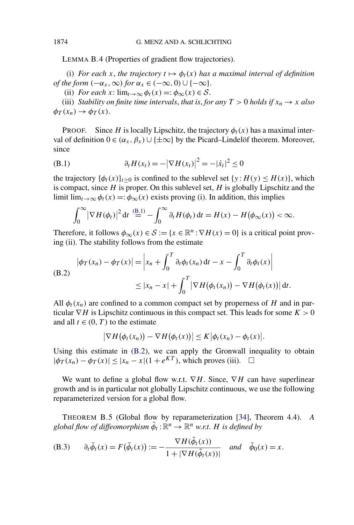<span id="page-65-0"></span>LEMMA B.4 (Properties of gradient flow trajectories).

(i) *For each x*, *the trajectory*  $t \mapsto \phi_t(x)$  *has a maximal interval of definition of the form*  $(-\alpha_x, \infty)$  *for*  $\alpha_x \in (-\infty, 0) \cup \{-\infty\}.$ 

(ii) *For each*  $x: \lim_{t\to\infty} \phi_t(x) =: \phi_\infty(x) \in S$ .

(iii) *Stability on finite time intervals, that is, for any*  $T > 0$  *holds if*  $x_n \to x$  *also*  $\phi_T(x_n) \rightarrow \phi_T(x)$ .

**PROOF.** Since *H* is locally Lipschitz, the trajectory  $\phi_t(x)$  has a maximal interval of definition  $0 \in (α_x, β_x) \cup \{\pm ∞\}$  by the Picard–Lindelöf theorem. Moreover, since

(B.1) 
$$
\partial_t H(x_t) = -|\nabla H(x_t)|^2 = -|\dot{x}_t|^2 \le 0
$$

the trajectory  $\{\phi_t(x)\}_{t>0}$  is confined to the sublevel set  $\{y : H(y) \leq H(x)\}\)$ , which is compact, since *H* is proper. On this sublevel set, *H* is globally Lipschitz and the limit  $\lim_{t\to\infty} \phi_t(x) =:\phi_\infty(x)$  exists proving (i). In addition, this implies

$$
\int_0^\infty \left|\nabla H(\phi_t)\right|^2 \mathrm{d}t \stackrel{\text{(B.1)}}{=} -\int_0^\infty \partial_t H(\phi_t) \mathrm{d}t = H(x) - H(\phi_\infty(x)) < \infty.
$$

Therefore, it follows  $\phi_{\infty}(x) \in \mathcal{S} := \{x \in \mathbb{R}^n : \nabla H(x) = 0\}$  is a critical point proving (ii). The stability follows from the estimate

(B.2)  
\n
$$
|\phi_T(x_n) - \phi_T(x)| = \left| x_n + \int_0^T \partial_t \phi_t(x_n) dt - x - \int_0^T \partial_t \phi_t(x) \right|
$$
\n
$$
\leq |x_n - x| + \int_0^T \left| \nabla H(\phi_t(x_n)) - \nabla H(\phi_t(x)) \right| dt.
$$

All  $\phi_t(x_n)$  are confined to a common compact set by properness of *H* and in particular  $\nabla H$  is Lipschitz continuous in this compact set. This leads for some  $K > 0$ and all  $t \in (0, T)$  to the estimate

$$
\big|\nabla H(\phi_t(x_n))-\nabla H(\phi_t(x))\big|\leq K\big|\phi_t(x_n)-\phi_t(x)\big|.
$$

Using this estimate in (B.2), we can apply the Gronwall inequality to obtain  $|\phi_T(x_n) - \phi_T(x)| \le |x_n - x| (1 + e^{KT})$ , which proves (iii). □

We want to define a global flow w.r.t. ∇*H*. Since, ∇*H* can have superlinear growth and is in particular not globally Lipschitz continuous, we use the following reparameterized version for a global flow.

THEOREM B.5 (Global flow by reparameterization [\[34\]](#page-74-0), Theorem 4.4). *A global flow of diffeomorphism*  $\tilde{\phi}_t : \mathbb{R}^n \to \mathbb{R}^n$  *w.r.t. H is defined by* 

(B.3) 
$$
\partial_t \tilde{\phi}_t(x) = F(\tilde{\phi}_t(x)) := -\frac{\nabla H(\tilde{\phi}_t(x))}{1 + |\nabla H(\tilde{\phi}_t(x))|} \text{ and } \tilde{\phi}_0(x) = x.
$$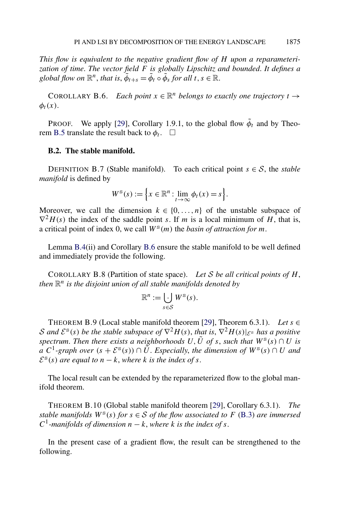<span id="page-66-0"></span>*This flow is equivalent to the negative gradient flow of H upon a reparameterization of time*. *The vector field F is globally Lipschitz and bounded*. *It defines a global flow on*  $\mathbb{R}^n$ , *that is*,  $\tilde{\phi}_{t+s} = \tilde{\phi}_t \circ \tilde{\phi}_s$  *for all t*,  $s \in \mathbb{R}$ .

COROLLARY B.6. *Each point*  $x \in \mathbb{R}^n$  *belongs to exactly one trajectory*  $t \rightarrow$  $\phi_t(x)$ .

PROOF. We apply [\[29\]](#page-74-0), Corollary 1.9.1, to the global flow  $\tilde{\phi}_t$  and by Theo-rem [B.5](#page-65-0) translate the result back to  $\phi_t$ .  $\Box$ 

#### **B.2. The stable manifold.**

DEFINITION B.7 (Stable manifold). To each critical point  $s \in S$ , the *stable manifold* is defined by

$$
W^{\mathrm{s}}(s) := \left\{ x \in \mathbb{R}^n : \lim_{t \to \infty} \phi_t(x) = s \right\}.
$$

Moreover, we call the dimension  $k \in \{0, \ldots, n\}$  of the unstable subspace of  $\nabla^2 H(s)$  the index of the saddle point *s*. If *m* is a local minimum of *H*, that is, a critical point of index 0, we call  $W^s(m)$  the *basin of attraction for m*.

Lemma [B.4\(](#page-65-0)ii) and Corollary B.6 ensure the stable manifold to be well defined and immediately provide the following.

COROLLARY B.8 (Partition of state space). *Let* S *be all critical points of H*, *then*  $\mathbb{R}^n$  *is the disjoint union of all stable manifolds denoted by* 

$$
\mathbb{R}^n := \bigcup_{s \in \mathcal{S}} W^{\mathcal{S}}(s).
$$

THEOREM B.9 (Local stable manifold theorem [\[29\]](#page-74-0), Theorem 6.3.1). *Let*  $s \in$ S and  $\mathcal{E}^s(s)$  be the stable subspace of  $\nabla^2 H(s)$ , that is,  $\nabla^2 H(s)|_{\mathcal{E}^s}$  has a positive *spectrum. Then there exists a neighborhoods*  $U, \tilde{U}$  *of s*, *such that*  $W^s(s) \cap U$  *is a*  $C$ <sup>1</sup>-graph over  $(s + \mathcal{E}^s(s))$  ∩  $\tilde{U}$ . *Especially, the dimension of*  $W^s(s)$  ∩ *U and*  $\mathcal{E}^{s}(s)$  *are equal to*  $n - k$ , *where k is the index of s*.

The local result can be extended by the reparameterized flow to the global manifold theorem.

THEOREM B.10 (Global stable manifold theorem [\[29\]](#page-74-0), Corollary 6.3.1). *The stable manifolds*  $W^s(s)$  *for*  $s \in S$  *of the flow associated to F* [\(B.3\)](#page-65-0) *are immersed C*<sup>1</sup>-manifolds of dimension  $n - k$ , where *k* is the index of *s*.

In the present case of a gradient flow, the result can be strengthened to the following.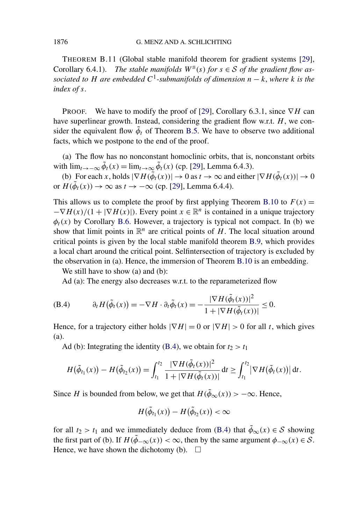<span id="page-67-0"></span>THEOREM B.11 (Global stable manifold theorem for gradient systems [\[29\]](#page-74-0), Corollary 6.4.1). *The stable manifolds*  $W^s(s)$  *for*  $s \in S$  *of the gradient flow associated to H* are embedded  $C^1$ -submanifolds of dimension  $n - k$ , where k is the *index of s*.

PROOF. We have to modify the proof of [\[29\]](#page-74-0), Corollary 6.3.1, since  $∇H$  can have superlinear growth. Instead, considering the gradient flow w.r.t. *H*, we consider the equivalent flow  $\tilde{\phi}_t$  of Theorem [B.5.](#page-65-0) We have to observe two additional facts, which we postpone to the end of the proof.

(a) The flow has no nonconstant homoclinic orbits, that is, nonconstant orbits with  $\lim_{t\to-\infty} \tilde{\phi}_t(x) = \lim_{t\to\infty} \tilde{\phi}_t(x)$  (cp. [\[29\]](#page-74-0), Lemma 6.4.3).

(b) For each *x*, holds  $|\nabla H(\tilde{\phi}_t(x))| \to 0$  as  $t \to \infty$  and either  $|\nabla H(\tilde{\phi}_t(x))| \to 0$ or  $H(\tilde{\phi}_t(x)) \to \infty$  as  $t \to -\infty$  (cp. [\[29\]](#page-74-0), Lemma 6.4.4).

This allows us to complete the proof by first applying Theorem [B.10](#page-66-0) to  $F(x) =$  $-\nabla H(x)/(1 + |\nabla H(x)|)$ . Every point  $x \in \mathbb{R}^n$  is contained in a unique trajectory  $\phi_t(x)$  by Corollary [B.6.](#page-66-0) However, a trajectory is typical not compact. In (b) we show that limit points in  $\mathbb{R}^n$  are critical points of *H*. The local situation around critical points is given by the local stable manifold theorem [B.9,](#page-66-0) which provides a local chart around the critical point. Selfintersection of trajectory is excluded by the observation in (a). Hence, the immersion of Theorem [B.10](#page-66-0) is an embedding.

We still have to show (a) and (b):

Ad (a): The energy also decreases w.r.t. to the reparameterized flow

(B.4) 
$$
\partial_t H(\tilde{\phi}_t(x)) = -\nabla H \cdot \partial_t \tilde{\phi}_t(x) = -\frac{|\nabla H(\tilde{\phi}_t(x))|^2}{1 + |\nabla H(\tilde{\phi}_t(x))|} \leq 0.
$$

Hence, for a trajectory either holds  $|\nabla H| = 0$  or  $|\nabla H| > 0$  for all *t*, which gives (a).

Ad (b): Integrating the identity (B.4), we obtain for  $t_2 > t_1$ 

$$
H(\tilde{\phi}_{t_1}(x)) - H(\tilde{\phi}_{t_2}(x)) = \int_{t_1}^{t_2} \frac{|\nabla H(\tilde{\phi}_t(x))|^2}{1 + |\nabla H(\tilde{\phi}_t(x))|} dt \ge \int_{t_1}^{t_2} |\nabla H(\tilde{\phi}_t(x))| dt.
$$

Since *H* is bounded from below, we get that  $H(\tilde{\phi}_{\infty}(x)) > -\infty$ . Hence,

$$
H(\tilde{\phi}_{t_1}(x)) - H(\tilde{\phi}_{t_2}(x)) < \infty
$$

for all  $t_2 > t_1$  and we immediately deduce from (B.4) that  $\tilde{\phi}_{\infty}(x) \in S$  showing the first part of (b). If  $H(\tilde{\phi}_{-\infty}(x)) < \infty$ , then by the same argument  $\phi_{-\infty}(x) \in S$ . Hence, we have shown the dichotomy (b).  $\Box$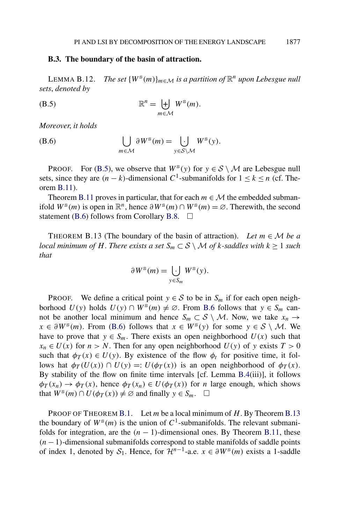#### <span id="page-68-0"></span>**B.3. The boundary of the basin of attraction.**

LEMMA B.12. *The set*  $\{W^s(m)\}_{m \in \mathcal{M}}$  *is a partition of*  $\mathbb{R}^n$  *upon Lebesgue null sets*, *denoted by*

(B.5) 
$$
\mathbb{R}^n = \biguplus_{m \in \mathcal{M}} W^{\mathcal{S}}(m).
$$

*Moreover*, *it holds*

(B.6) 
$$
\bigcup_{m \in \mathcal{M}} \partial W^{\mathsf{s}}(m) = \bigcup_{y \in \mathcal{S} \setminus \mathcal{M}} W^{\mathsf{s}}(y).
$$

PROOF. For (B.5), we observe that  $W^s(y)$  for  $y \in S \setminus M$  are Lebesgue null sets, since they are  $(n - k)$ -dimensional  $C^1$ -submanifolds for  $1 \leq k \leq n$  (cf. Theorem [B.11\)](#page-67-0).

Theorem [B.11](#page-67-0) proves in particular, that for each  $m \in \mathcal{M}$  the embedded submanifold  $W^s(m)$  is open in  $\mathbb{R}^n$ , hence  $\partial W^s(m) \cap W^s(m) = \emptyset$ . Therewith, the second statement (B.6) follows from Corollary [B.8.](#page-66-0)  $\Box$ 

THEOREM B.13 (The boundary of the basin of attraction). Let  $m \in M$  be a *local minimum of H. There exists a set*  $S_m$  ⊂ S \ M *of k*-saddles with  $k \ge 1$  such *that*

$$
\partial W^{\rm s}(m) = \bigcup_{y \in S_m} W^{\rm s}(y).
$$

**PROOF.** We define a critical point  $y \in S$  to be in  $S_m$  if for each open neighborhood  $U(y)$  holds  $U(y) \cap W^s(m) \neq \emptyset$ . From B.6 follows that  $y \in S_m$  cannot be another local minimum and hence  $S_m \subset S \setminus M$ . Now, we take  $x_n \to$  $x \in \partial W^{\mathsf{s}}(m)$ . From (B.6) follows that  $x \in W^{\mathsf{s}}(y)$  for some  $y \in \mathcal{S} \setminus \mathcal{M}$ . We have to prove that  $y \in S_m$ . There exists an open neighborhood  $U(x)$  such that  $x_n \in U(x)$  for  $n > N$ . Then for any open neighborhood  $U(y)$  of *y* exists  $T > 0$ such that  $\phi_T(x) \in U(y)$ . By existence of the flow  $\phi_t$  for positive time, it follows hat  $\phi_T(U(x)) \cap U(y) =: U(\phi_T(x))$  is an open neighborhood of  $\phi_T(x)$ . By stability of the flow on finite time intervals [cf. Lemma [B.4\(](#page-65-0)iii)], it follows  $\phi_T(x_n) \to \phi_T(x)$ , hence  $\phi_T(x_n) \in U(\phi_T(x))$  for *n* large enough, which shows that  $W^{\text{s}}(m) \cap U(\phi_T(x)) \neq \emptyset$  and finally  $y \in S_m$ .  $\Box$ 

PROOF OF THEOREM [B.1.](#page-64-0) Let *m* be a local minimum of *H*. By Theorem B.13 the boundary of  $W^s(m)$  is the union of  $C^1$ -submanifolds. The relevant submanifolds for integration, are the  $(n - 1)$ -dimensional ones. By Theorem [B.11,](#page-67-0) these  $(n - 1)$ -dimensional submanifolds correspond to stable manifolds of saddle points of index 1, denoted by  $S_1$ . Hence, for  $\mathcal{H}^{n-1}$ -a.e.  $x \in \partial W^s(m)$  exists a 1-saddle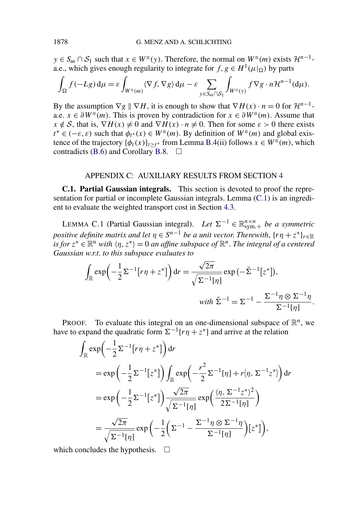<span id="page-69-0"></span>*y* ∈ *S<sub>m</sub>* ∩ *S*<sub>1</sub> such that *x* ∈ *W*<sup>s</sup>(*y*). Therefore, the normal on *W*<sup>s</sup>(*m*) exists  $\mathcal{H}^{n-1}$ a.e., which gives enough regularity to integrate for  $f, g \in H^1(\mu|_{\Omega})$  by parts

$$
\int_{\Omega} f(-Lg) d\mu = \varepsilon \int_{W^{\mathsf{s}}(m)} \langle \nabla f, \nabla g \rangle d\mu - \varepsilon \sum_{y \in S_m \cap S_1} \int_{W^{\mathsf{s}}(y)} f \nabla g \cdot n \mathcal{H}^{n-1}(d\mu).
$$

By the assumption  $\nabla g \parallel \nabla H$ , it is enough to show that  $\nabla H(x) \cdot n = 0$  for  $\mathcal{H}^{n-1}$ a.e.  $x \in \partial W^s(m)$ . This is proven by contradiction for  $x \in \partial W^s(m)$ . Assume that  $x \notin S$ , that is,  $\nabla H(x) \neq 0$  and  $\nabla H(x) \cdot n \neq 0$ . Then for some  $\varepsilon > 0$  there exists *t*<sup>∗</sup> ∈ (−*ε*,*ε*) such that  $\phi_{t^*}(x)$  ∈ *W*<sup>s</sup>(*m*). By definition of *W*<sup>s</sup>(*m*) and global existence of the trajectory  $\{\phi_t(x)\}_{t>t^*}$  from Lemma [B.4\(](#page-65-0)ii) follows  $x \in W^s(m)$ , which contradicts [\(B.6\)](#page-68-0) and Corollary [B.8.](#page-66-0)  $\Box$ 

#### APPENDIX C: AUXILIARY RESULTS FROM SECTION [4](#page-42-0)

**C.1. Partial Gaussian integrals.** This section is devoted to proof the representation for partial or incomplete Gaussian integrals. Lemma (C.1) is an ingredient to evaluate the weighted transport cost in Section [4.3.](#page-47-0)

LEMMA C.1 (Partial Gaussian integral). *Let* Σ<sup>−1</sup> ∈  $\mathbb{R}_{sym,+}^{n \times n}$  *be a symmetric positive definite matrix and let*  $\eta \in S^{n-1}$  *be a unit vector. Therewith,*  $\{r\eta + z^*\}_{r \in \mathbb{R}}$ *is for*  $z^* \in \mathbb{R}^n$  *with*  $\langle \eta, z^* \rangle = 0$  *an affine subspace of*  $\mathbb{R}^n$ . *The integral of a centered Gaussian w*.*r*.*t*. *to this subspace evaluates to*

$$
\int_{\mathbb{R}} \exp\left(-\frac{1}{2}\Sigma^{-1}[r\eta + z^*]\right) dr = \frac{\sqrt{2\pi}}{\sqrt{\Sigma^{-1}[\eta]}} \exp\left(-\tilde{\Sigma}^{-1}[z^*]\right),
$$
  
with  $\tilde{\Sigma}^{-1} = \Sigma^{-1} - \frac{\Sigma^{-1}\eta \otimes \Sigma^{-1}\eta}{\Sigma^{-1}[\eta]}.$ 

PROOF. To evaluate this integral on an one-dimensional subspace of  $\mathbb{R}^n$ , we have to expand the quadratic form  $\Sigma^{-1}[r\eta + z^*]$  and arrive at the relation

$$
\int_{\mathbb{R}} \exp\left(-\frac{1}{2}\Sigma^{-1}[r\eta + z^*]\right) dr
$$
\n
$$
= \exp\left(-\frac{1}{2}\Sigma^{-1}[z^*]\right) \int_{\mathbb{R}} \exp\left(-\frac{r^2}{2}\Sigma^{-1}[\eta] + r\langle \eta, \Sigma^{-1}z^* \rangle\right) dr
$$
\n
$$
= \exp\left(-\frac{1}{2}\Sigma^{-1}[z^*]\right) \frac{\sqrt{2\pi}}{\sqrt{\Sigma^{-1}[\eta]}} \exp\left(\frac{\langle \eta, \Sigma^{-1}z^* \rangle^2}{2\Sigma^{-1}[\eta]}\right)
$$
\n
$$
= \frac{\sqrt{2\pi}}{\sqrt{\Sigma^{-1}[\eta]}} \exp\left(-\frac{1}{2}\left(\Sigma^{-1} - \frac{\Sigma^{-1}\eta \otimes \Sigma^{-1}\eta}{\Sigma^{-1}[\eta]}\right)[z^*]\right),
$$

which concludes the hypothesis.  $\Box$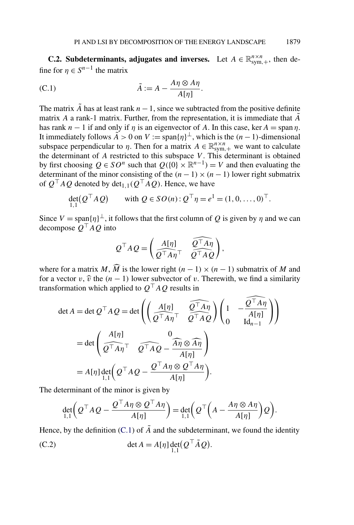<span id="page-70-0"></span>**C.2. Subdeterminants, adjugates and inverses.** Let  $A \in \mathbb{R}_{\text{sym},+}^{n \times n}$ , then define for  $\eta \in S^{n-1}$  the matrix

(C.1) 
$$
\tilde{A} := A - \frac{A\eta \otimes A\eta}{A[\eta]}.
$$

The matrix  $\tilde{A}$  has at least rank  $n-1$ , since we subtracted from the positive definite matrix *A* a rank-1 matrix. Further, from the representation, it is immediate that  $\tilde{A}$ has rank  $n - 1$  if and only if  $\eta$  is an eigenvector of A. In this case, ker  $A = \text{span } \eta$ . It immediately follows  $\tilde{A} > 0$  on  $V := \text{span}{\{\eta\}}^{\perp}$ , which is the  $(n-1)$ -dimensional subspace perpendicular to *η*. Then for a matrix  $A \in \mathbb{R}_{sym,+}^{n \times n}$  we want to calculate the determinant of *A* restricted to this subspace *V* . This determinant is obtained by first choosing  $Q \in SO^n$  such that  $Q({0} \times \mathbb{R}^{n-1}) = V$  and then evaluating the determinant of the minor consisting of the  $(n - 1) \times (n - 1)$  lower right submatrix of  $Q^{\top}AQ$  denoted by det<sub>1,1</sub>( $Q^{\top}AQ$ ). Hence, we have

$$
\det_{1,1}(Q^{\top}AQ) \qquad \text{with } Q \in SO(n): Q^{\top} \eta = e^1 = (1, 0, \dots, 0)^{\top}.
$$

Since  $V = \text{span}\{\eta\}^{\perp}$ , it follows that the first column of *Q* is given by *η* and we can decompose  $Q^{\top}AQ$  into

$$
Q^{\top}AQ = \left(\begin{matrix} A[\eta] & \widehat{Q^{\top}A\eta} \\ \widehat{Q^{\top}A\eta}^{\top} & \widehat{Q^{\top}AQ} \end{matrix}\right),
$$

where for a matrix *M*,  $\widehat{M}$  is the lower right  $(n-1) \times (n-1)$  submatrix of *M* and for a vector *v*,  $\hat{v}$  the  $(n - 1)$  lower subvector of *v*. Therewith, we find a similarity transformation which applied to  $Q<sup>T</sup> A Q$  results in

$$
\det A = \det Q^{\top} A Q = \det \left( \left( \frac{A[\eta]}{Q^{\top} A \eta^{\top}} \frac{\widehat{Q^{\top} A \eta}}{\widehat{Q^{\top} A Q}} \right) \left( 1 - \frac{\widehat{Q^{\top} A \eta}}{A[\eta]} \right) \right)
$$

$$
= \det \left( \frac{A[\eta]}{Q^{\top} A \eta^{\top}} \frac{0}{Q^{\top} A Q} - \frac{\widehat{A \eta} \otimes \widehat{A \eta}}{A[\eta]} \right)
$$

$$
= A[\eta] \det_{1,1} \left( Q^{\top} A Q - \frac{Q^{\top} A \eta \otimes Q^{\top} A \eta}{A[\eta]} \right).
$$

The determinant of the minor is given by

$$
\det_{1,1}\left(Q^{\top}AQ-\frac{Q^{\top}A\eta\otimes Q^{\top}A\eta}{A[\eta]}\right)=\det_{1,1}\left(Q^{\top}\left(A-\frac{A\eta\otimes A\eta}{A[\eta]}\right)Q\right).
$$

Hence, by the definition  $(C.1)$  of  $\tilde{A}$  and the subdeterminant, we found the identity

(C.2) 
$$
\det A = A[\eta] \det_{1,1} (Q^\top \tilde{A} Q).
$$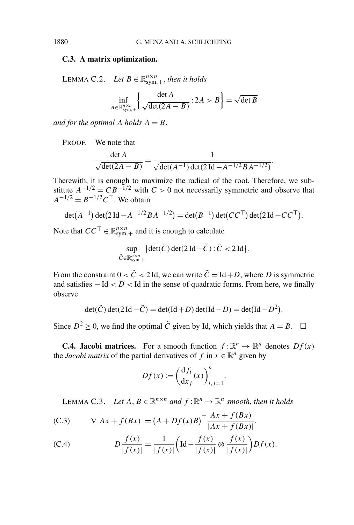# **C.3. A matrix optimization.**

LEMMA C.2. *Let*  $B \in \mathbb{R}_{sym,+}^{n \times n}$ , *then it holds* 

$$
\inf_{A \in \mathbb{R}_{\text{sym},+}^{n \times n}} \left\{ \frac{\det A}{\sqrt{\det(2A - B)}} : 2A > B \right\} = \sqrt{\det B}
$$

*and for the optimal A holds*  $A = B$ .

PROOF. We note that

$$
\frac{\det A}{\sqrt{\det(2A-B)}} = \frac{1}{\sqrt{\det(A^{-1})\det(2\operatorname{Id} - A^{-1/2}BA^{-1/2})}}.
$$

Therewith, it is enough to maximize the radical of the root. Therefore, we substitute  $A^{-1/2} = CB^{-1/2}$  with  $C > 0$  not necessarily symmetric and observe that  $A^{-1/2} = B^{-1/2}C^{\top}$ . We obtain

$$
\det(A^{-1}) \det(2 \operatorname{Id} - A^{-1/2} B A^{-1/2}) = \det(B^{-1}) \det(CC^{\top}) \det(2 \operatorname{Id} - CC^{\top}).
$$

Note that  $CC^{\top} \in \mathbb{R}_{sym,+}^{n \times n}$  and it is enough to calculate

$$
\sup_{\tilde{C}\in\mathbb{R}_{sym,+}^{n\times n}}\{\det(\tilde{C})\det(2\operatorname{Id}-\tilde{C}):\tilde{C}<2\operatorname{Id}\}.
$$

From the constraint  $0 < \tilde{C} < 2$  Id, we can write  $\tilde{C} = Id + D$ , where *D* is symmetric and satisfies −Id < D < Id in the sense of quadratic forms. From here, we finally observe

$$
\det(\tilde{C})\det(2\operatorname{Id}-\tilde{C})=\det(\operatorname{Id}+D)\det(\operatorname{Id}-D)=\det(\operatorname{Id}-D^2).
$$

Since  $D^2 \ge 0$ , we find the optimal  $\tilde{C}$  given by Id, which yields that  $A = B$ .  $\Box$ 

**C.4. Jacobi matrices.** For a smooth function  $f: \mathbb{R}^n \to \mathbb{R}^n$  denotes  $Df(x)$ the *Jacobi matrix* of the partial derivatives of *f* in  $x \in \mathbb{R}^n$  given by

$$
Df(x) := \left(\frac{\mathrm{d}f_i}{\mathrm{d}x_j}(x)\right)_{i,j=1}^n.
$$

LEMMA C.3. *Let*  $A, B \in \mathbb{R}^{n \times n}$  *and*  $f : \mathbb{R}^n \to \mathbb{R}^n$  *smooth, then it holds* 

(C.3) 
$$
\nabla |Ax + f(Bx)| = (A + Df(x)B)^{\top} \frac{Ax + f(Bx)}{|Ax + f(Bx)|},
$$

(C.4) 
$$
D\frac{f(x)}{|f(x)|} = \frac{1}{|f(x)|} \left( \text{Id} - \frac{f(x)}{|f(x)|} \otimes \frac{f(x)}{|f(x)|} \right) Df(x).
$$

<span id="page-71-0"></span>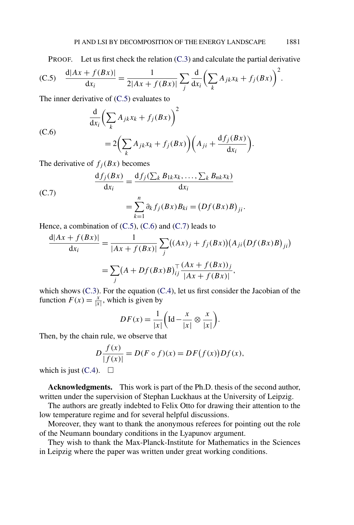PROOF. Let us first check the relation [\(C.3\)](#page-71-0) and calculate the partial derivative

(C.5) 
$$
\frac{d|Ax + f(Bx)|}{dx_i} = \frac{1}{2|Ax + f(Bx)|} \sum_j \frac{d}{dx_i} \left( \sum_k A_{jk} x_k + f_j(Bx) \right)^2.
$$

The inner derivative of (C.5) evaluates to

(C.6)  

$$
\frac{d}{dx_i} \left( \sum_k A_{jk} x_k + f_j(Bx) \right)^2
$$

$$
= 2 \left( \sum_k A_{jk} x_k + f_j(Bx) \right) \left( A_{ji} + \frac{d f_j(Bx)}{d x_i} \right).
$$

The derivative of  $f_j(Bx)$  becomes

(C.7)  
\n
$$
\frac{\mathrm{d}f_j(Bx)}{\mathrm{d}x_i} = \frac{\mathrm{d}f_j(\sum_k B_{1k}x_k, \dots, \sum_k B_{nk}x_k)}{\mathrm{d}x_i}
$$
\n
$$
= \sum_{k=1}^n \partial_k f_j(Bx) B_{ki} = (Df(Bx)B)_{ji}.
$$

 $k=1$ 

Hence, a combination of  $(C.5)$ ,  $(C.6)$  and  $(C.7)$  leads to

$$
\frac{d|Ax + f(Bx)|}{dx_i} = \frac{1}{|Ax + f(Bx)|} \sum_j ((Ax)_j + f_j(Bx))(A_{ji}(Df(Bx)B)_{ji})
$$
  
= 
$$
\sum_j (A + Df(Bx)B)_{ij}^\top \frac{(Ax + f(Bx))_j}{|Ax + f(Bx)|},
$$

which shows [\(C.3\)](#page-71-0). For the equation [\(C.4\)](#page-71-0), let us first consider the Jacobian of the function  $F(x) = \frac{x}{|x|}$ , which is given by

$$
DF(x) = \frac{1}{|x|} \left( \text{Id} - \frac{x}{|x|} \otimes \frac{x}{|x|} \right).
$$

Then, by the chain rule, we observe that

$$
D\frac{f(x)}{|f(x)|} = D(F \circ f)(x) = DF(f(x))Df(x),
$$

which is just  $(C.4)$ .  $\Box$ 

**Acknowledgments.** This work is part of the Ph.D. thesis of the second author, written under the supervision of Stephan Luckhaus at the University of Leipzig.

The authors are greatly indebted to Felix Otto for drawing their attention to the low temperature regime and for several helpful discussions.

Moreover, they want to thank the anonymous referees for pointing out the role of the Neumann boundary conditions in the Lyapunov argument.

They wish to thank the Max-Planck-Institute for Mathematics in the Sciences in Leipzig where the paper was written under great working conditions.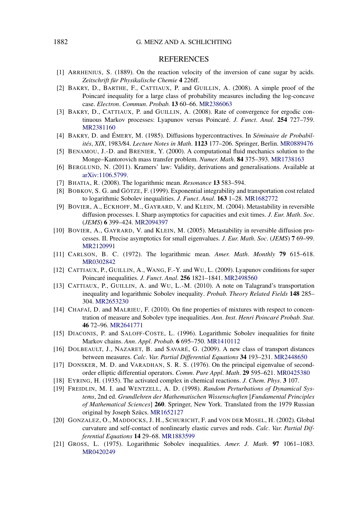## REFERENCES

- [1] ARRHENIUS, S. (1889). On the reaction velocity of the inversion of cane sugar by acids. *Zeitschrift für Physikalische Chemie* **4** 226ff.
- [2] BAKRY, D., BARTHE, F., CATTIAUX, P. and GUILLIN, A. (2008). A simple proof of the Poincaré inequality for a large class of probability measures including the log-concave case. *Electron*. *Commun*. *Probab*. **13** 60–66. [MR2386063](http://www.ams.org/mathscinet-getitem?mr=2386063)
- [3] BAKRY, D., CATTIAUX, P. and GUILLIN, A. (2008). Rate of convergence for ergodic continuous Markov processes: Lyapunov versus Poincaré. *J*. *Funct*. *Anal*. **254** 727–759. [MR2381160](http://www.ams.org/mathscinet-getitem?mr=2381160)
- [4] BAKRY, D. and ÉMERY, M. (1985). Diffusions hypercontractives. In *Séminaire de Probabilités*, *XIX*, 1983*/*84. *Lecture Notes in Math*. **1123** 177–206. Springer, Berlin. [MR0889476](http://www.ams.org/mathscinet-getitem?mr=0889476)
- [5] BENAMOU, J.-D. and BRENIER, Y. (2000). A computational fluid mechanics solution to the Monge–Kantorovich mass transfer problem. *Numer*. *Math*. **84** 375–393. [MR1738163](http://www.ams.org/mathscinet-getitem?mr=1738163)
- [6] BERGLUND, N. (2011). Kramers' law: Validity, derivations and generalisations. Available at [arXiv:1106.5799.](http://arxiv.org/abs/arXiv:1106.5799)
- [7] BHATIA, R. (2008). The logarithmic mean. *Resonance* **13** 583–594.
- [8] BOBKOV, S. G. and GÖTZE, F. (1999). Exponential integrability and transportation cost related to logarithmic Sobolev inequalities. *J*. *Funct*. *Anal*. **163** 1–28. [MR1682772](http://www.ams.org/mathscinet-getitem?mr=1682772)
- [9] BOVIER, A., ECKHOFF, M., GAYRARD, V. and KLEIN, M. (2004). Metastability in reversible diffusion processes. I. Sharp asymptotics for capacities and exit times. *J*. *Eur*. *Math*. *Soc*. (*JEMS*) **6** 399–424. [MR2094397](http://www.ams.org/mathscinet-getitem?mr=2094397)
- [10] BOVIER, A., GAYRARD, V. and KLEIN, M. (2005). Metastability in reversible diffusion processes. II. Precise asymptotics for small eigenvalues. *J*. *Eur*. *Math*. *Soc*. (*JEMS*) **7** 69–99. [MR2120991](http://www.ams.org/mathscinet-getitem?mr=2120991)
- [11] CARLSON, B. C. (1972). The logarithmic mean. *Amer*. *Math*. *Monthly* **79** 615–618. [MR0302842](http://www.ams.org/mathscinet-getitem?mr=0302842)
- [12] CATTIAUX, P., GUILLIN, A., WANG, F.-Y. and WU, L. (2009). Lyapunov conditions for super Poincaré inequalities. *J*. *Funct*. *Anal*. **256** 1821–1841. [MR2498560](http://www.ams.org/mathscinet-getitem?mr=2498560)
- [13] CATTIAUX, P., GUILLIN, A. and WU, L.-M. (2010). A note on Talagrand's transportation inequality and logarithmic Sobolev inequality. *Probab*. *Theory Related Fields* **148** 285– 304. [MR2653230](http://www.ams.org/mathscinet-getitem?mr=2653230)
- [14] CHAFAÏ, D. and MALRIEU, F. (2010). On fine properties of mixtures with respect to concentration of measure and Sobolev type inequalities. *Ann*. *Inst*. *Henri Poincaré Probab*. *Stat*. **46** 72–96. [MR2641771](http://www.ams.org/mathscinet-getitem?mr=2641771)
- [15] DIACONIS, P. and SALOFF-COSTE, L. (1996). Logarithmic Sobolev inequalities for finite Markov chains. *Ann*. *Appl*. *Probab*. **6** 695–750. [MR1410112](http://www.ams.org/mathscinet-getitem?mr=1410112)
- [16] DOLBEAULT, J., NAZARET, B. and SAVARÉ, G. (2009). A new class of transport distances between measures. *Calc*. *Var*. *Partial Differential Equations* **34** 193–231. [MR2448650](http://www.ams.org/mathscinet-getitem?mr=2448650)
- [17] DONSKER, M. D. and VARADHAN, S. R. S. (1976). On the principal eigenvalue of secondorder elliptic differential operators. *Comm*. *Pure Appl*. *Math*. **29** 595–621. [MR0425380](http://www.ams.org/mathscinet-getitem?mr=0425380)
- [18] EYRING, H. (1935). The activated complex in chemical reactions. *J*. *Chem*. *Phys*. **3** 107.
- [19] FREIDLIN, M. I. and WENTZELL, A. D. (1998). *Random Perturbations of Dynamical Systems*, 2nd ed. *Grundlehren der Mathematischen Wissenschaften* [*Fundamental Principles of Mathematical Sciences*] **260**. Springer, New York. Translated from the 1979 Russian original by Joseph Szücs. [MR1652127](http://www.ams.org/mathscinet-getitem?mr=1652127)
- [20] GONZALEZ, O., MADDOCKS, J. H., SCHURICHT, F. and VON DER MOSEL, H. (2002). Global curvature and self-contact of nonlinearly elastic curves and rods. *Calc*. *Var*. *Partial Differential Equations* **14** 29–68. [MR1883599](http://www.ams.org/mathscinet-getitem?mr=1883599)
- [21] GROSS, L. (1975). Logarithmic Sobolev inequalities. *Amer*. *J*. *Math*. **97** 1061–1083. [MR0420249](http://www.ams.org/mathscinet-getitem?mr=0420249)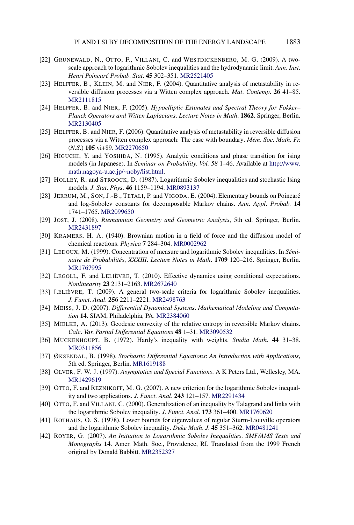- [22] GRUNEWALD, N., OTTO, F., VILLANI, C. and WESTDICKENBERG, M. G. (2009). A twoscale approach to logarithmic Sobolev inequalities and the hydrodynamic limit. *Ann*. *Inst*. *Henri Poincaré Probab*. *Stat*. **45** 302–351. [MR2521405](http://www.ams.org/mathscinet-getitem?mr=2521405)
- [23] HELFFER, B., KLEIN, M. and NIER, F. (2004). Quantitative analysis of metastability in reversible diffusion processes via a Witten complex approach. *Mat*. *Contemp*. **26** 41–85. [MR2111815](http://www.ams.org/mathscinet-getitem?mr=2111815)
- [24] HELFFER, B. and NIER, F. (2005). *Hypoelliptic Estimates and Spectral Theory for Fokker– Planck Operators and Witten Laplacians*. *Lecture Notes in Math*. **1862**. Springer, Berlin. [MR2130405](http://www.ams.org/mathscinet-getitem?mr=2130405)
- [25] HELFFER, B. and NIER, F. (2006). Quantitative analysis of metastability in reversible diffusion processes via a Witten complex approach: The case with boundary. *Mém*. *Soc*. *Math*. *Fr*. (*N*.*S*.) **105** vi+89. [MR2270650](http://www.ams.org/mathscinet-getitem?mr=2270650)
- [26] HIGUCHI, Y. and YOSHIDA, N. (1995). Analytic conditions and phase transition for ising models (in Japanese). In *Seminar on Probability, Vol. 58* 1–46. Available at [http://www.](http://www.math.nagoya-u.ac.jp/~noby/list.html) [math.nagoya-u.ac.jp/~noby/list.html.](http://www.math.nagoya-u.ac.jp/~noby/list.html)
- [27] HOLLEY, R. and STROOCK, D. (1987). Logarithmic Sobolev inequalities and stochastic Ising models. *J*. *Stat*. *Phys*. **46** 1159–1194. [MR0893137](http://www.ams.org/mathscinet-getitem?mr=0893137)
- [28] JERRUM, M., SON, J.-B., TETALI, P. and VIGODA, E. (2004). Elementary bounds on Poincaré and log-Sobolev constants for decomposable Markov chains. *Ann*. *Appl*. *Probab*. **14** 1741–1765. [MR2099650](http://www.ams.org/mathscinet-getitem?mr=2099650)
- [29] JOST, J. (2008). *Riemannian Geometry and Geometric Analysis*, 5th ed. Springer, Berlin. [MR2431897](http://www.ams.org/mathscinet-getitem?mr=2431897)
- [30] KRAMERS, H. A. (1940). Brownian motion in a field of force and the diffusion model of chemical reactions. *Physica* **7** 284–304. [MR0002962](http://www.ams.org/mathscinet-getitem?mr=0002962)
- [31] LEDOUX, M. (1999). Concentration of measure and logarithmic Sobolev inequalities. In *Séminaire de Probabilités*, *XXXIII*. *Lecture Notes in Math*. **1709** 120–216. Springer, Berlin. [MR1767995](http://www.ams.org/mathscinet-getitem?mr=1767995)
- [32] LEGOLL, F. and LELIÈVRE, T. (2010). Effective dynamics using conditional expectations. *Nonlinearity* **23** 2131–2163. [MR2672640](http://www.ams.org/mathscinet-getitem?mr=2672640)
- [33] LELIÈVRE, T. (2009). A general two-scale criteria for logarithmic Sobolev inequalities. *J*. *Funct*. *Anal*. **256** 2211–2221. [MR2498763](http://www.ams.org/mathscinet-getitem?mr=2498763)
- [34] MEISS, J. D. (2007). *Differential Dynamical Systems*. *Mathematical Modeling and Computation* **14**. SIAM, Philadelphia, PA. [MR2384060](http://www.ams.org/mathscinet-getitem?mr=2384060)
- [35] MIELKE, A. (2013). Geodesic convexity of the relative entropy in reversible Markov chains. *Calc*. *Var*. *Partial Differential Equations* **48** 1–31. [MR3090532](http://www.ams.org/mathscinet-getitem?mr=3090532)
- [36] MUCKENHOUPT, B. (1972). Hardy's inequality with weights. *Studia Math*. **44** 31–38. [MR0311856](http://www.ams.org/mathscinet-getitem?mr=0311856)
- [37] ØKSENDAL, B. (1998). *Stochastic Differential Equations*: *An Introduction with Applications*, 5th ed. Springer, Berlin. [MR1619188](http://www.ams.org/mathscinet-getitem?mr=1619188)
- [38] OLVER, F. W. J. (1997). *Asymptotics and Special Functions*. A K Peters Ltd., Wellesley, MA. [MR1429619](http://www.ams.org/mathscinet-getitem?mr=1429619)
- [39] OTTO, F. and REZNIKOFF, M. G. (2007). A new criterion for the logarithmic Sobolev inequality and two applications. *J*. *Funct*. *Anal*. **243** 121–157. [MR2291434](http://www.ams.org/mathscinet-getitem?mr=2291434)
- [40] OTTO, F. and VILLANI, C. (2000). Generalization of an inequality by Talagrand and links with the logarithmic Sobolev inequality. *J*. *Funct*. *Anal*. **173** 361–400. [MR1760620](http://www.ams.org/mathscinet-getitem?mr=1760620)
- [41] ROTHAUS, O. S. (1978). Lower bounds for eigenvalues of regular Sturm-Liouville operators and the logarithmic Sobolev inequality. *Duke Math*. *J*. **45** 351–362. [MR0481241](http://www.ams.org/mathscinet-getitem?mr=0481241)
- [42] ROYER, G. (2007). *An Initiation to Logarithmic Sobolev Inequalities*. *SMF/AMS Texts and Monographs* **14**. Amer. Math. Soc., Providence, RI. Translated from the 1999 French original by Donald Babbitt. [MR2352327](http://www.ams.org/mathscinet-getitem?mr=2352327)